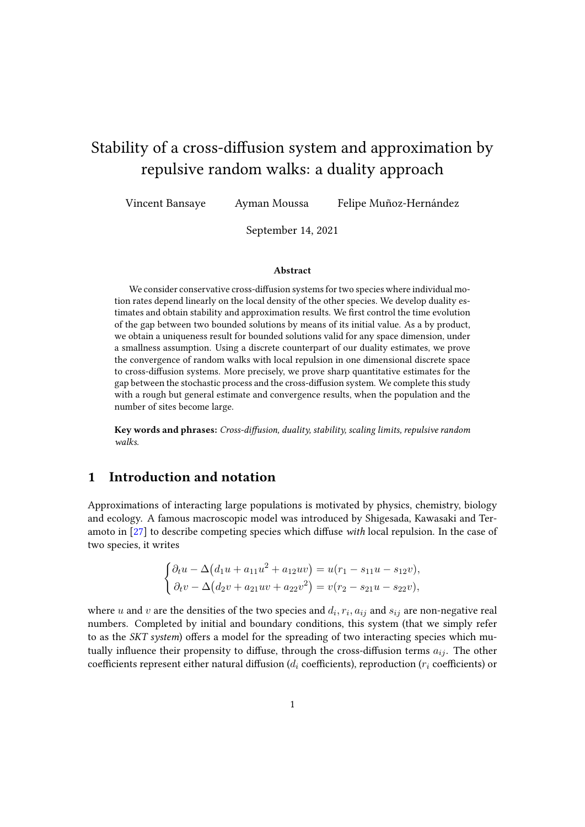# Stability of a cross-diffusion system and approximation by repulsive random walks: a duality approach

Vincent Bansaye Ayman Moussa Felipe Muñoz-Hernández

September 14, 2021

#### Abstract

We consider conservative cross-diffusion systems for two species where individual motion rates depend linearly on the local density of the other species. We develop duality estimates and obtain stability and approximation results. We first control the time evolution of the gap between two bounded solutions by means of its initial value. As a by product, we obtain a uniqueness result for bounded solutions valid for any space dimension, under a smallness assumption. Using a discrete counterpart of our duality estimates, we prove the convergence of random walks with local repulsion in one dimensional discrete space to cross-diffusion systems. More precisely, we prove sharp quantitative estimates for the gap between the stochastic process and the cross-diffusion system. We complete this study with a rough but general estimate and convergence results, when the population and the number of sites become large.

Key words and phrases: Cross-diffusion, duality, stability, scaling limits, repulsive random walks.

# 1 Introduction and notation

Approximations of interacting large populations is motivated by physics, chemistry, biology and ecology. A famous macroscopic model was introduced by Shigesada, Kawasaki and Teramoto in  $[27]$  to describe competing species which diffuse with local repulsion. In the case of two species, it writes

$$
\begin{cases} \partial_t u - \Delta (d_1 u + a_{11} u^2 + a_{12} u v) = u(r_1 - s_{11} u - s_{12} v), \\ \partial_t v - \Delta (d_2 v + a_{21} u v + a_{22} v^2) = v(r_2 - s_{21} u - s_{22} v), \end{cases}
$$

where u and v are the densities of the two species and  $d_i, r_i, a_{ij}$  and  $s_{ij}$  are non-negative real numbers. Completed by initial and boundary conditions, this system (that we simply refer to as the SKT system) offers a model for the spreading of two interacting species which mutually influence their propensity to diffuse, through the cross-diffusion terms  $a_{ij}$ . The other coefficients represent either natural diffusion ( $d_i$  coefficients), reproduction ( $r_i$  coefficients) or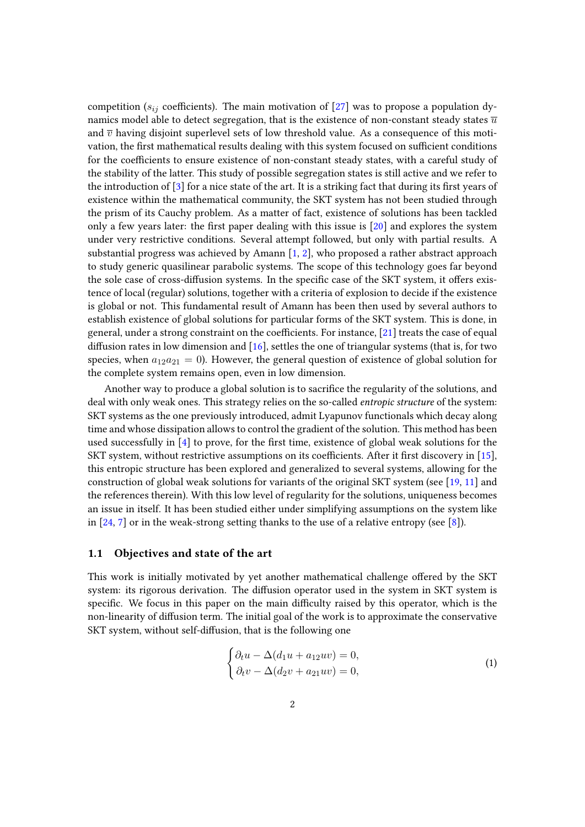competition ( $s_{ij}$  coefficients). The main motivation of [\[27\]](#page-39-0) was to propose a population dynamics model able to detect segregation, that is the existence of non-constant steady states  $\overline{u}$ and  $\overline{v}$  having disjoint superlevel sets of low threshold value. As a consequence of this motivation, the first mathematical results dealing with this system focused on sufficient conditions for the coefficients to ensure existence of non-constant steady states, with a careful study of the stability of the latter. This study of possible segregation states is still active and we refer to the introduction of  $[3]$  for a nice state of the art. It is a striking fact that during its first years of existence within the mathematical community, the SKT system has not been studied through the prism of its Cauchy problem. As a matter of fact, existence of solutions has been tackled only a few years later: the first paper dealing with this issue is  $[20]$  and explores the system under very restrictive conditions. Several attempt followed, but only with partial results. A substantial progress was achieved by Amann  $[1, 2]$  $[1, 2]$  $[1, 2]$ , who proposed a rather abstract approach to study generic quasilinear parabolic systems. The scope of this technology goes far beyond the sole case of cross-diffusion systems. In the specific case of the SKT system, it offers existence of local (regular) solutions, together with a criteria of explosion to decide if the existence is global or not. This fundamental result of Amann has been then used by several authors to establish existence of global solutions for particular forms of the SKT system. This is done, in general, under a strong constraint on the coefficients. For instance,  $[21]$  treats the case of equal diffusion rates in low dimension and  $[16]$ , settles the one of triangular systems (that is, for two species, when  $a_{12}a_{21} = 0$ ). However, the general question of existence of global solution for the complete system remains open, even in low dimension.

Another way to produce a global solution is to sacrifice the regularity of the solutions, and deal with only weak ones. This strategy relies on the so-called entropic structure of the system: SKT systems as the one previously introduced, admit Lyapunov functionals which decay along time and whose dissipation allows to control the gradient of the solution. This method has been used successfully in  $[4]$  to prove, for the first time, existence of global weak solutions for the SKT system, without restrictive assumptions on its coefficients. After it first discovery in  $[15]$ , this entropic structure has been explored and generalized to several systems, allowing for the construction of global weak solutions for variants of the original SKT system (see [\[19,](#page-38-3) [11\]](#page-38-4) and the references therein). With this low level of regularity for the solutions, uniqueness becomes an issue in itself. It has been studied either under simplifying assumptions on the system like in  $[24, 7]$  $[24, 7]$  $[24, 7]$  or in the weak-strong setting thanks to the use of a relative entropy (see  $[8]$ ).

### 1.1 Objectives and state of the art

This work is initially motivated by yet another mathematical challenge offered by the SKT system: its rigorous derivation. The diffusion operator used in the system in SKT system is specific. We focus in this paper on the main difficulty raised by this operator, which is the non-linearity of diffusion term. The initial goal of the work is to approximate the conservative SKT system, without self-diffusion, that is the following one

<span id="page-1-0"></span>
$$
\begin{cases} \partial_t u - \Delta (d_1 u + a_{12} uv) = 0, \\ \partial_t v - \Delta (d_2 v + a_{21} uv) = 0, \end{cases}
$$
\n(1)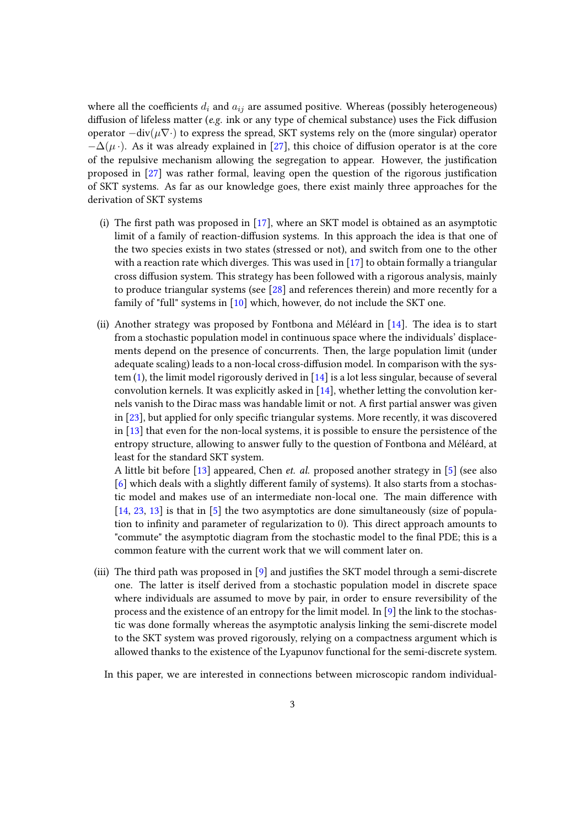where all the coefficients  $d_i$  and  $a_{ij}$  are assumed positive. Whereas (possibly heterogeneous) diffusion of lifeless matter (e.g. ink or any type of chemical substance) uses the Fick diffusion operator  $-\text{div}(\mu \nabla \cdot)$  to express the spread, SKT systems rely on the (more singular) operator  $-\Delta(\mu)$ . As it was already explained in [\[27\]](#page-39-0), this choice of diffusion operator is at the core of the repulsive mechanism allowing the segregation to appear. However, the justification proposed in [\[27\]](#page-39-0) was rather formal, leaving open the question of the rigorous justification of SKT systems. As far as our knowledge goes, there exist mainly three approaches for the derivation of SKT systems

- (i) The first path was proposed in  $[17]$ , where an SKT model is obtained as an asymptotic limit of a family of reaction-diffusion systems. In this approach the idea is that one of the two species exists in two states (stressed or not), and switch from one to the other with a reaction rate which diverges. This was used in [\[17\]](#page-38-7) to obtain formally a triangular cross diffusion system. This strategy has been followed with a rigorous analysis, mainly to produce triangular systems (see [\[28\]](#page-39-3) and references therein) and more recently for a family of "full" systems in [\[10\]](#page-38-8) which, however, do not include the SKT one.
- (ii) Another strategy was proposed by Fontbona and Méléard in [\[14\]](#page-38-9). The idea is to start from a stochastic population model in continuous space where the individuals' displacements depend on the presence of concurrents. Then, the large population limit (under adequate scaling) leads to a non-local cross-diffusion model. In comparison with the system [\(1\)](#page-1-0), the limit model rigorously derived in [\[14\]](#page-38-9) is a lot less singular, because of several convolution kernels. It was explicitly asked in [\[14\]](#page-38-9), whether letting the convolution kernels vanish to the Dirac mass was handable limit or not. A first partial answer was given in [\[23\]](#page-39-4), but applied for only specific triangular systems. More recently, it was discovered in [\[13\]](#page-38-10) that even for the non-local systems, it is possible to ensure the persistence of the entropy structure, allowing to answer fully to the question of Fontbona and Méléard, at least for the standard SKT system.

A little bit before [\[13\]](#page-38-10) appeared, Chen et. al. proposed another strategy in [\[5\]](#page-37-4) (see also  $[6]$  which deals with a slightly different family of systems). It also starts from a stochastic model and makes use of an intermediate non-local one. The main difference with [\[14,](#page-38-9) [23,](#page-39-4) [13\]](#page-38-10) is that in [\[5\]](#page-37-4) the two asymptotics are done simultaneously (size of population to infinity and parameter of regularization to 0). This direct approach amounts to "commute" the asymptotic diagram from the stochastic model to the final PDE; this is a common feature with the current work that we will comment later on.

(iii) The third path was proposed in  $[9]$  and justifies the SKT model through a semi-discrete one. The latter is itself derived from a stochastic population model in discrete space where individuals are assumed to move by pair, in order to ensure reversibility of the process and the existence of an entropy for the limit model. In [\[9\]](#page-38-11) the link to the stochastic was done formally whereas the asymptotic analysis linking the semi-discrete model to the SKT system was proved rigorously, relying on a compactness argument which is allowed thanks to the existence of the Lyapunov functional for the semi-discrete system.

In this paper, we are interested in connections between microscopic random individual-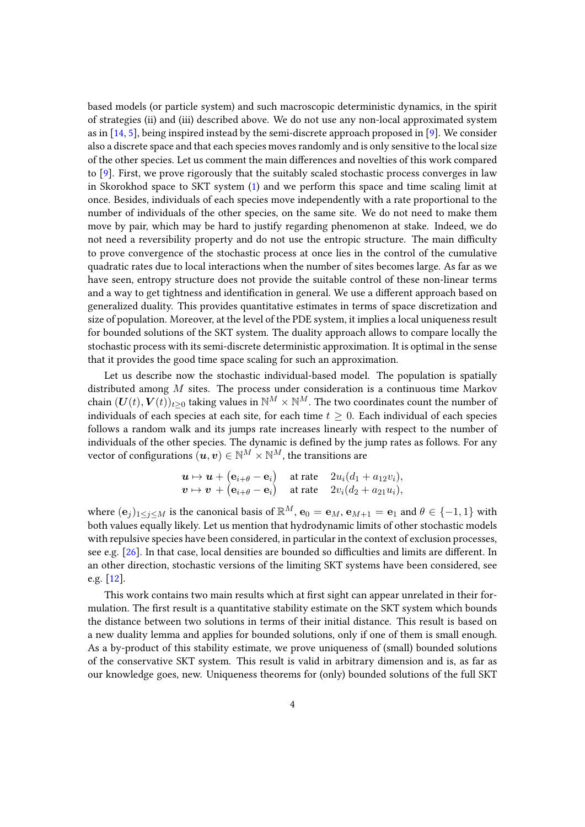based models (or particle system) and such macroscopic deterministic dynamics, in the spirit of strategies (ii) and (iii) described above. We do not use any non-local approximated system as in  $[14, 5]$  $[14, 5]$  $[14, 5]$ , being inspired instead by the semi-discrete approach proposed in  $[9]$ . We consider also a discrete space and that each species moves randomly and is only sensitive to the local size of the other species. Let us comment the main differences and novelties of this work compared to [\[9\]](#page-38-11). First, we prove rigorously that the suitably scaled stochastic process converges in law in Skorokhod space to SKT system [\(1\)](#page-1-0) and we perform this space and time scaling limit at once. Besides, individuals of each species move independently with a rate proportional to the number of individuals of the other species, on the same site. We do not need to make them move by pair, which may be hard to justify regarding phenomenon at stake. Indeed, we do not need a reversibility property and do not use the entropic structure. The main difficulty to prove convergence of the stochastic process at once lies in the control of the cumulative quadratic rates due to local interactions when the number of sites becomes large. As far as we have seen, entropy structure does not provide the suitable control of these non-linear terms and a way to get tightness and identification in general. We use a different approach based on generalized duality. This provides quantitative estimates in terms of space discretization and size of population. Moreover, at the level of the PDE system, it implies a local uniqueness result for bounded solutions of the SKT system. The duality approach allows to compare locally the stochastic process with its semi-discrete deterministic approximation. It is optimal in the sense that it provides the good time space scaling for such an approximation.

Let us describe now the stochastic individual-based model. The population is spatially distributed among M sites. The process under consideration is a continuous time Markov chain  $(U(t), V(t))_{t>0}$  taking values in  $\mathbb{N}^M \times \mathbb{N}^M$ . The two coordinates count the number of individuals of each species at each site, for each time  $t > 0$ . Each individual of each species follows a random walk and its jumps rate increases linearly with respect to the number of individuals of the other species. The dynamic is defined by the jump rates as follows. For any vector of configurations  $(u, v) \in \mathbb{N}^M \times \mathbb{N}^M$ , the transitions are

$$
\mathbf{u} \mapsto \mathbf{u} + (\mathbf{e}_{i+\theta} - \mathbf{e}_i) \quad \text{at rate} \quad 2u_i(d_1 + a_{12}v_i),\n\mathbf{v} \mapsto \mathbf{v} + (\mathbf{e}_{i+\theta} - \mathbf{e}_i) \quad \text{at rate} \quad 2v_i(d_2 + a_{21}u_i),
$$

where  $(e_i)_{1\leq i\leq M}$  is the canonical basis of  $\mathbb{R}^M$ ,  $e_0 = e_M$ ,  $e_{M+1} = e_1$  and  $\theta \in \{-1,1\}$  with both values equally likely. Let us mention that hydrodynamic limits of other stochastic models with repulsive species have been considered, in particular in the context of exclusion processes, see e.g.  $[26]$ . In that case, local densities are bounded so difficulties and limits are different. In an other direction, stochastic versions of the limiting SKT systems have been considered, see e.g. [\[12\]](#page-38-12).

This work contains two main results which at first sight can appear unrelated in their formulation. The first result is a quantitative stability estimate on the SKT system which bounds the distance between two solutions in terms of their initial distance. This result is based on a new duality lemma and applies for bounded solutions, only if one of them is small enough. As a by-product of this stability estimate, we prove uniqueness of (small) bounded solutions of the conservative SKT system. This result is valid in arbitrary dimension and is, as far as our knowledge goes, new. Uniqueness theorems for (only) bounded solutions of the full SKT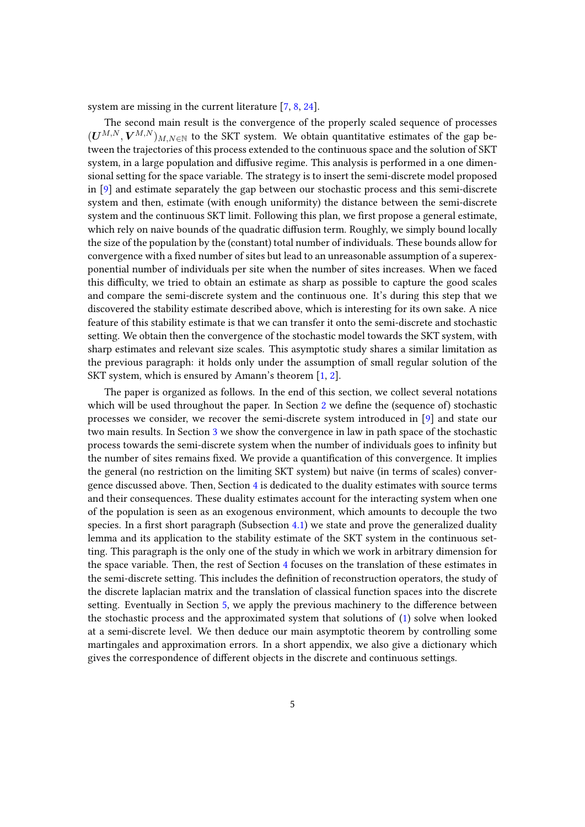system are missing in the current literature [\[7,](#page-38-5) [8,](#page-38-6) [24\]](#page-39-2).

The second main result is the convergence of the properly scaled sequence of processes  $(U^{M,N}, V^{M,N})_{M,N \in \mathbb{N}}$  to the SKT system. We obtain quantitative estimates of the gap between the trajectories of this process extended to the continuous space and the solution of SKT system, in a large population and diffusive regime. This analysis is performed in a one dimensional setting for the space variable. The strategy is to insert the semi-discrete model proposed in [\[9\]](#page-38-11) and estimate separately the gap between our stochastic process and this semi-discrete system and then, estimate (with enough uniformity) the distance between the semi-discrete system and the continuous SKT limit. Following this plan, we first propose a general estimate, which rely on naive bounds of the quadratic diffusion term. Roughly, we simply bound locally the size of the population by the (constant) total number of individuals. These bounds allow for convergence with a fixed number of sites but lead to an unreasonable assumption of a superexponential number of individuals per site when the number of sites increases. When we faced this difficulty, we tried to obtain an estimate as sharp as possible to capture the good scales and compare the semi-discrete system and the continuous one. It's during this step that we discovered the stability estimate described above, which is interesting for its own sake. A nice feature of this stability estimate is that we can transfer it onto the semi-discrete and stochastic setting. We obtain then the convergence of the stochastic model towards the SKT system, with sharp estimates and relevant size scales. This asymptotic study shares a similar limitation as the previous paragraph: it holds only under the assumption of small regular solution of the SKT system, which is ensured by Amann's theorem [\[1,](#page-37-1) [2\]](#page-37-2).

The paper is organized as follows. In the end of this section, we collect several notations which will be used throughout the paper. In Section [2](#page-6-0) we define the (sequence of) stochastic processes we consider, we recover the semi-discrete system introduced in [\[9\]](#page-38-11) and state our two main results. In Section [3](#page-12-0) we show the convergence in law in path space of the stochastic process towards the semi-discrete system when the number of individuals goes to infinity but the number of sites remains fixed. We provide a quantification of this convergence. It implies the general (no restriction on the limiting SKT system) but naive (in terms of scales) convergence discussed above. Then, Section [4](#page-17-0) is dedicated to the duality estimates with source terms and their consequences. These duality estimates account for the interacting system when one of the population is seen as an exogenous environment, which amounts to decouple the two species. In a first short paragraph (Subsection  $4.1$ ) we state and prove the generalized duality lemma and its application to the stability estimate of the SKT system in the continuous setting. This paragraph is the only one of the study in which we work in arbitrary dimension for the space variable. Then, the rest of Section [4](#page-17-0) focuses on the translation of these estimates in the semi-discrete setting. This includes the definition of reconstruction operators, the study of the discrete laplacian matrix and the translation of classical function spaces into the discrete setting. Eventually in Section [5,](#page-31-0) we apply the previous machinery to the difference between the stochastic process and the approximated system that solutions of [\(1\)](#page-1-0) solve when looked at a semi-discrete level. We then deduce our main asymptotic theorem by controlling some martingales and approximation errors. In a short appendix, we also give a dictionary which gives the correspondence of different objects in the discrete and continuous settings.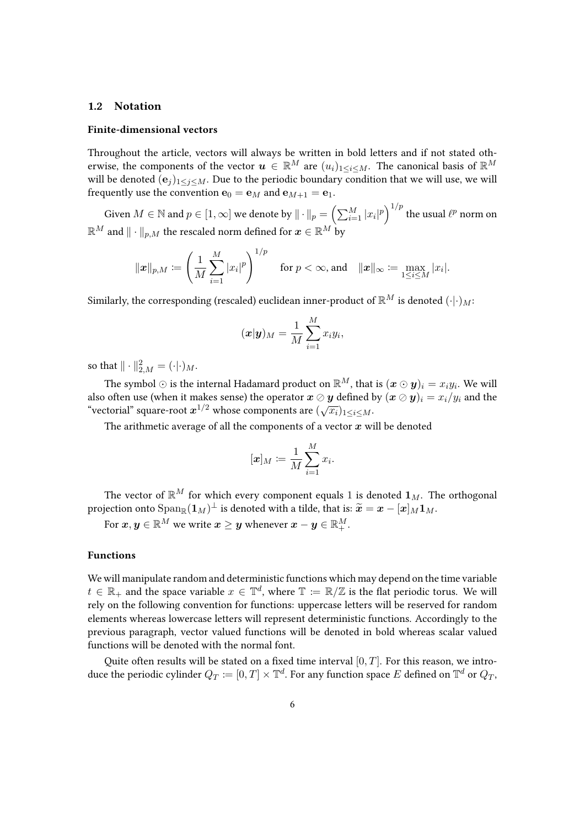#### <span id="page-5-0"></span>1.2 Notation

#### Finite-dimensional vectors

Throughout the article, vectors will always be written in bold letters and if not stated otherwise, the components of the vector  $\mathbf{u} \in \mathbb{R}^M$  are  $(u_i)_{1 \leq i \leq M}$ . The canonical basis of  $\mathbb{R}^M$ will be denoted  $(e_i)_{1\leq i\leq M}$ . Due to the periodic boundary condition that we will use, we will frequently use the convention  $\mathbf{e}_0 = \mathbf{e}_M$  and  $\mathbf{e}_{M+1} = \mathbf{e}_1$ .

Given  $M\in\mathbb{N}$  and  $p\in[1,\infty]$  we denote by  $\|\cdot\|_p=\left(\sum_{i=1}^M|x_i|^p\right)^{1/p}$  the usual  $\ell^p$  norm on  $\mathbb{R}^M$  and  $\|\cdot\|_{p,M}$  the rescaled norm defined for  $\boldsymbol{x} \in \mathbb{R}^M$  by

$$
\|x\|_{p,M} \coloneqq \left(\frac{1}{M}\sum_{i=1}^M |x_i|^p\right)^{1/p} \quad \text{for } p < \infty \text{, and} \quad \|x\|_{\infty} \coloneqq \max_{1 \leq i \leq M} |x_i|.
$$

Similarly, the corresponding (rescaled) euclidean inner-product of  $\mathbb{R}^M$  is denoted  $(\cdot | \cdot)_{M}$ :

$$
(\boldsymbol{x}|\boldsymbol{y})_M = \frac{1}{M}\sum_{i=1}^M x_i y_i,
$$

so that  $\|\cdot\|_{2,M}^2 = (\cdot|\cdot)_{M}$ .

The symbol  $\odot$  is the internal Hadamard product on  $\mathbb{R}^M$ , that is  $(\bm{x} \odot \bm{y})_i = x_i y_i.$  We will also often use (when it makes sense) the operator  $x \oslash y$  defined by  $(x \oslash y)_i = x_i/y_i$  and the diso often use (when it makes sense) the operator  $x \circ y$  defined if "vectorial" square-root  $x^{1/2}$  whose components are  $(\sqrt{x_i})_{1 \le i \le M}$ .

The arithmetic average of all the components of a vector  $x$  will be denoted

$$
[\boldsymbol{x}]_M \coloneqq \frac{1}{M} \sum_{i=1}^M x_i.
$$

The vector of  $\mathbb{R}^M$  for which every component equals 1 is denoted  $\mathbf{1}_M$ . The orthogonal projection onto  $\mathrm{Span}_\mathbb{R}(\mathbf{1}_M)^\perp$  is denoted with a tilde, that is:  $\widetilde{\bm{x}} = \bm{x} - [\bm{x}]_M \bm{1}_M$ .

For  $\boldsymbol{x},\boldsymbol{y}\in\mathbb{R}^M$  we write  $\boldsymbol{x}\geq\boldsymbol{y}$  whenever  $\boldsymbol{x}-\boldsymbol{y}\in\mathbb{R}^M_+.$ 

#### Functions

We will manipulate random and deterministic functions which may depend on the time variable  $t \in \mathbb{R}_+$  and the space variable  $x \in \mathbb{T}^d$ , where  $\mathbb{T} \coloneqq \mathbb{R}/\mathbb{Z}$  is the flat periodic torus. We will rely on the following convention for functions: uppercase letters will be reserved for random elements whereas lowercase letters will represent deterministic functions. Accordingly to the previous paragraph, vector valued functions will be denoted in bold whereas scalar valued functions will be denoted with the normal font.

Quite often results will be stated on a fixed time interval  $[0, T]$ . For this reason, we introduce the periodic cylinder  $Q_T \coloneqq [0,T] \times \mathbb{T}^d.$  For any function space  $E$  defined on  $\mathbb{T}^d$  or  $Q_T,$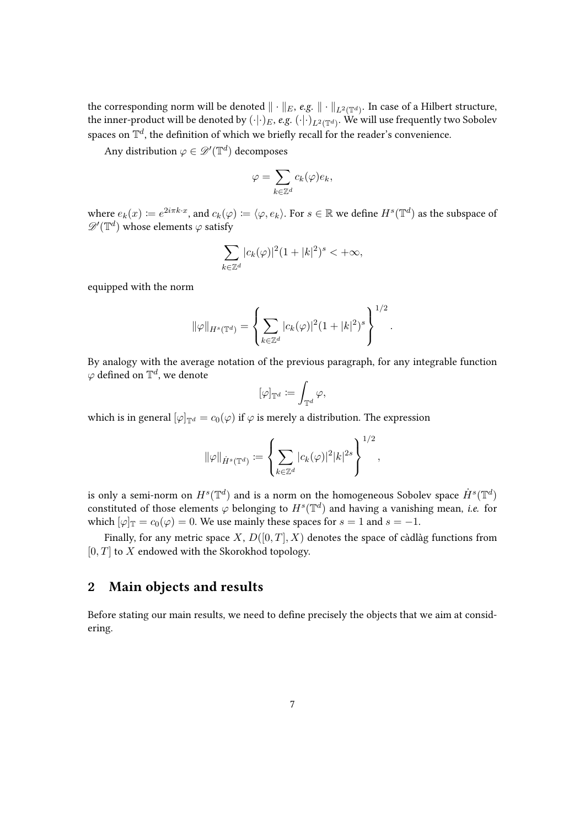the corresponding norm will be denoted  $\|\cdot\|_E$ , e.g.  $\|\cdot\|_{L^2(\mathbb{T}^d)}.$  In case of a Hilbert structure, the inner-product will be denoted by  $(\cdot| \cdot)_E$ ,  $e.g.$   $(\cdot| \cdot)_{L^2(\mathbb{T}^d)}.$  We will use frequently two Sobolev spaces on  $\mathbb{T}^d$ , the definition of which we briefly recall for the reader's convenience.

Any distribution  $\varphi \in \mathscr{D}'(\mathbb{T}^d)$  decomposes

$$
\varphi = \sum_{k \in \mathbb{Z}^d} c_k(\varphi) e_k,
$$

where  $e_k(x) \coloneqq e^{2i\pi k \cdot x}$ , and  $c_k(\varphi) \coloneqq \langle \varphi, e_k \rangle$ . For  $s \in \mathbb{R}$  we define  $H^s(\mathbb{T}^d)$  as the subspace of  $\mathscr{D}^\prime(\mathbb{T}^d)$  whose elements  $\varphi$  satisfy

$$
\sum_{k\in\mathbb{Z}^d} |c_k(\varphi)|^2 (1+|k|^2)^s < +\infty,
$$

equipped with the norm

$$
\|\varphi\|_{H^s(\mathbb{T}^d)} = \left\{ \sum_{k \in \mathbb{Z}^d} |c_k(\varphi)|^2 (1+|k|^2)^s \right\}^{1/2}.
$$

By analogy with the average notation of the previous paragraph, for any integrable function  $\varphi$  defined on  $\mathbb{T}^d$ , we denote

$$
[\varphi]_{\mathbb{T}^d} \coloneqq \int_{\mathbb{T}^d} \varphi,
$$

which is in general  $[\varphi]_{\mathbb{T}^d} = c_0(\varphi)$  if  $\varphi$  is merely a distribution. The expression

$$
\|\varphi\|_{\dot{H}^s(\mathbb{T}^d)} \coloneqq \left\{ \sum_{k \in \mathbb{Z}^d} |c_k(\varphi)|^2 |k|^{2s} \right\}^{1/2},
$$

is only a semi-norm on  $H^s(\mathbb{T}^d)$  and is a norm on the homogeneous Sobolev space  $\dot{H}^s(\mathbb{T}^d)$ constituted of those elements  $\varphi$  belonging to  $H^s(\mathbb{T}^d)$  and having a vanishing mean, *i.e.* for which  $[\varphi]_{\mathbb{T}} = c_0(\varphi) = 0$ . We use mainly these spaces for  $s = 1$  and  $s = -1$ .

Finally, for any metric space X,  $D([0, T], X)$  denotes the space of càdlàg functions from  $[0, T]$  to X endowed with the Skorokhod topology.

# <span id="page-6-0"></span>2 Main objects and results

Before stating our main results, we need to define precisely the objects that we aim at considering.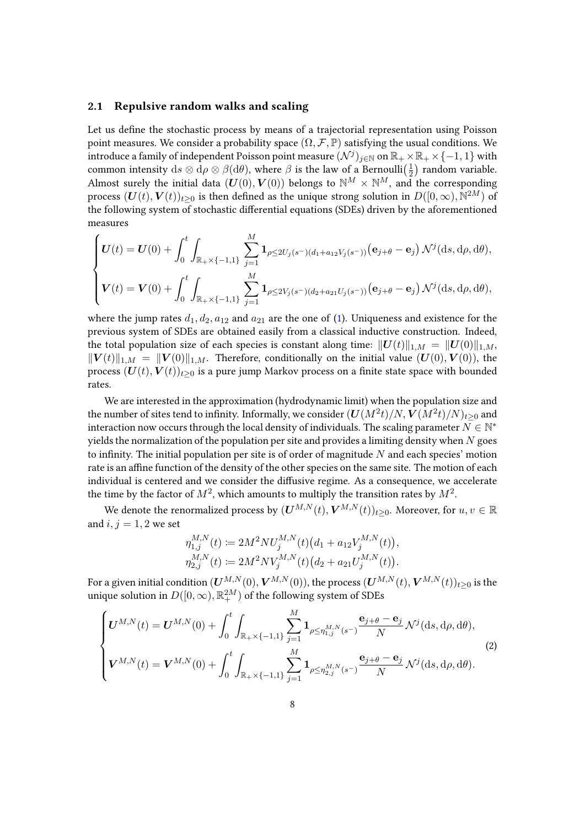### 2.1 Repulsive random walks and scaling

Let us define the stochastic process by means of a trajectorial representation using Poisson point measures. We consider a probability space  $(\Omega, \mathcal{F}, \mathbb{P})$  satisfying the usual conditions. We introduce a family of independent Poisson point measure  $(\mathcal{N}^j)_{j\in\mathbb{N}}$  on  $\mathbb{R}_+\times \mathbb{R}_+\times\{-1,1\}$  with common intensity  $ds \otimes d\rho \otimes \beta(d\theta)$ , where  $\beta$  is the law of a Bernoulli $(\frac{1}{2})$  random variable. Almost surely the initial data  $(U(0), V(0))$  belongs to  $\mathbb{N}^M \times \mathbb{N}^M$ , and the corresponding process  $(\bm{U}(t),\bm{V}(t))_{t\geq 0}$  is then defined as the unique strong solution in  $D([0,\infty),\mathbb{N}^{2M})$  of the following system of stochastic differential equations (SDEs) driven by the aforementioned measures

$$
\begin{cases}\n\boldsymbol{U}(t) = \boldsymbol{U}(0) + \int_0^t \int_{\mathbb{R}_+ \times \{-1,1\}} \sum_{j=1}^M \mathbf{1}_{\rho \leq 2U_j(s^-)(d_1 + a_{12}V_j(s^-))} (\mathbf{e}_{j+\theta} - \mathbf{e}_j) \, \mathcal{N}^j(\mathrm{d}s, \mathrm{d}\rho, \mathrm{d}\theta), \\
\boldsymbol{V}(t) = \boldsymbol{V}(0) + \int_0^t \int_{\mathbb{R}_+ \times \{-1,1\}} \sum_{j=1}^M \mathbf{1}_{\rho \leq 2V_j(s^-)(d_2 + a_{21}U_j(s^-))} (\mathbf{e}_{j+\theta} - \mathbf{e}_j) \, \mathcal{N}^j(\mathrm{d}s, \mathrm{d}\rho, \mathrm{d}\theta),\n\end{cases}
$$

where the jump rates  $d_1, d_2, a_{12}$  and  $a_{21}$  are the one of [\(1\)](#page-1-0). Uniqueness and existence for the previous system of SDEs are obtained easily from a classical inductive construction. Indeed, the total population size of each species is constant along time:  $||U(t)||_{1,M} = ||U(0)||_{1,M}$ ,  $||\mathbf{V}(t)||_{1,M} = ||\mathbf{V}(0)||_{1,M}$ . Therefore, conditionally on the initial value  $(\mathbf{U}(0),\mathbf{V}(0))$ , the process  $(U(t), V(t))_{t>0}$  is a pure jump Markov process on a finite state space with bounded rates.

We are interested in the approximation (hydrodynamic limit) when the population size and the number of sites tend to infinity. Informally, we consider  $(\boldsymbol{U}(M^2t)/N,\boldsymbol{V}(M^2t)/N)_{t\geq 0}$  and interaction now occurs through the local density of individuals. The scaling parameter  $N\in\mathbb{N}^*$ yields the normalization of the population per site and provides a limiting density when  $N$  goes to infinity. The initial population per site is of order of magnitude  $N$  and each species' motion rate is an affine function of the density of the other species on the same site. The motion of each individual is centered and we consider the diffusive regime. As a consequence, we accelerate the time by the factor of  $M^2$ , which amounts to multiply the transition rates by  $M^2$ .

We denote the renormalized process by  $(U^{M,N}(t), V^{M,N}(t))_{t\geq0}$ . Moreover, for  $u, v \in \mathbb{R}$ and  $i, j = 1, 2$  we set

$$
\eta_{1,j}^{M,N}(t) := 2M^2 N U_j^{M,N}(t) (d_1 + a_{12} V_j^{M,N}(t)),
$$
  

$$
\eta_{2,j}^{M,N}(t) := 2M^2 N V_j^{M,N}(t) (d_2 + a_{21} U_j^{M,N}(t)).
$$

For a given initial condition  $(U^{M,N}(0), V^{M,N}(0))$ , the process  $(U^{M,N}(t), V^{M,N}(t))_{t>0}$  is the unique solution in  $D([0,\infty),{\mathbb R}^{2M}_+)$  of the following system of SDEs

<span id="page-7-0"></span>
$$
\begin{cases}\n\boldsymbol{U}^{M,N}(t) = \boldsymbol{U}^{M,N}(0) + \int_0^t \int_{\mathbb{R}_+ \times \{-1,1\}} \sum_{j=1}^M \mathbf{1}_{\rho \le \eta_{1,j}^{M,N}(s^-)} \frac{\mathbf{e}_{j+\theta} - \mathbf{e}_j}{N} \mathcal{N}^j(\mathrm{d}s, \mathrm{d}\rho, \mathrm{d}\theta), \\
\boldsymbol{V}^{M,N}(t) = \boldsymbol{V}^{M,N}(0) + \int_0^t \int_{\mathbb{R}_+ \times \{-1,1\}} \sum_{j=1}^M \mathbf{1}_{\rho \le \eta_{2,j}^{M,N}(s^-)} \frac{\mathbf{e}_{j+\theta} - \mathbf{e}_j}{N} \mathcal{N}^j(\mathrm{d}s, \mathrm{d}\rho, \mathrm{d}\theta).\n\end{cases}
$$
\n(2)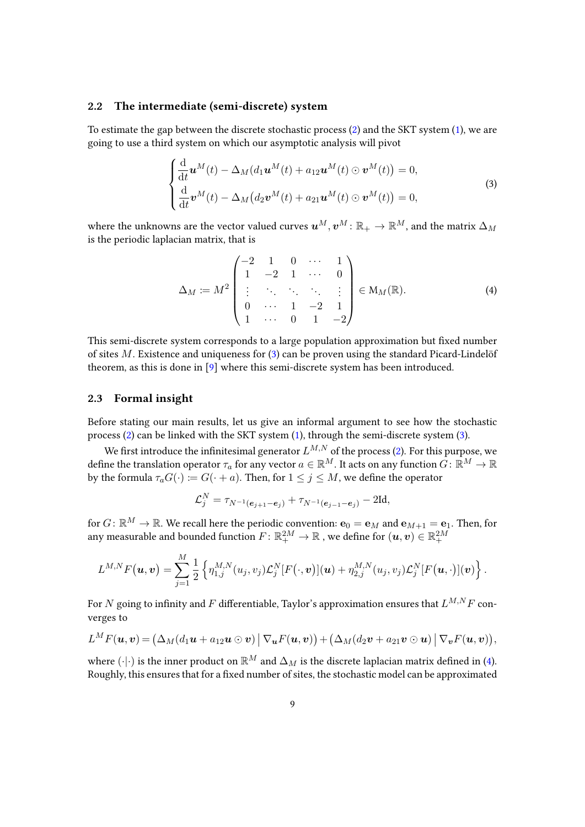### 2.2 The intermediate (semi-discrete) system

To estimate the gap between the discrete stochastic process [\(2\)](#page-7-0) and the SKT system [\(1\)](#page-1-0), we are going to use a third system on which our asymptotic analysis will pivot

<span id="page-8-0"></span>
$$
\begin{cases}\n\frac{\mathrm{d}}{\mathrm{d}t}\boldsymbol{u}^{M}(t) - \Delta_{M}(d_{1}\boldsymbol{u}^{M}(t) + a_{12}\boldsymbol{u}^{M}(t) \odot \boldsymbol{v}^{M}(t)) = 0, \\
\frac{\mathrm{d}}{\mathrm{d}t}\boldsymbol{v}^{M}(t) - \Delta_{M}(d_{2}\boldsymbol{v}^{M}(t) + a_{21}\boldsymbol{u}^{M}(t) \odot \boldsymbol{v}^{M}(t)) = 0,\n\end{cases}
$$
\n(3)

where the unknowns are the vector valued curves  $u^M, v^M \colon \mathbb{R}_+ \to \mathbb{R}^M$ , and the matrix  $\Delta_M$ is the periodic laplacian matrix, that is

<span id="page-8-1"></span>
$$
\Delta_M := M^2 \begin{pmatrix} -2 & 1 & 0 & \cdots & 1 \\ 1 & -2 & 1 & \cdots & 0 \\ \vdots & \ddots & \ddots & \ddots & \vdots \\ 0 & \cdots & 1 & -2 & 1 \\ 1 & \cdots & 0 & 1 & -2 \end{pmatrix} \in M_M(\mathbb{R}).
$$
 (4)

This semi-discrete system corresponds to a large population approximation but fixed number of sites  $M$ . Existence and uniqueness for  $(3)$  can be proven using the standard Picard-Lindelöf theorem, as this is done in [\[9\]](#page-38-11) where this semi-discrete system has been introduced.

### 2.3 Formal insight

Before stating our main results, let us give an informal argument to see how the stochastic process [\(2\)](#page-7-0) can be linked with the SKT system [\(1\)](#page-1-0), through the semi-discrete system [\(3\)](#page-8-0).

We first introduce the infinitesimal generator  $L^{M,N}$  of the process [\(2\)](#page-7-0). For this purpose, we define the translation operator  $\tau_a$  for any vector  $a \in \mathbb{R}^M$ . It acts on any function  $G: \mathbb{R}^M \to \mathbb{R}$ by the formula  $\tau_a G(\cdot) := G(\cdot + a)$ . Then, for  $1 \leq j \leq M$ , we define the operator

$$
\mathcal{L}_j^N = \tau_{N^{-1}(\boldsymbol{e}_{j+1}-\boldsymbol{e}_j)} + \tau_{N^{-1}(\boldsymbol{e}_{j-1}-\boldsymbol{e}_j)} - 2\mathrm{Id},
$$

for  $G\colon\mathbb{R}^M\to\mathbb{R}.$  We recall here the periodic convention:  $\mathbf{e}_0=\mathbf{e}_M$  and  $\mathbf{e}_{M+1}=\mathbf{e}_1.$  Then, for any measurable and bounded function  $F\colon \mathbb{R}^{2M}_+\to \mathbb{R}$  , we define for  $(\bm u,\bm v)\in \mathbb{R}^{2M}_+$ 

$$
L^{M,N}F\bigl(\boldsymbol{u},\boldsymbol{v}\bigr)=\sum_{j=1}^M\frac{1}{2}\left\{\eta_{1,j}^{M,N}(u_j,v_j)\mathcal{L}_j^N[F(\cdot,\boldsymbol{v})](\boldsymbol{u})+\eta_{2,j}^{M,N}(u_j,v_j)\mathcal{L}_j^N[F(\boldsymbol{u},\cdot)](\boldsymbol{v})\right\}.
$$

For N going to infinity and F differentiable, Taylor's approximation ensures that  $L^{M,N}F$  converges to

$$
L^M F(\boldsymbol{u},\boldsymbol{v})=\big(\Delta_M(d_1\boldsymbol{u}+a_{12}\boldsymbol{u}\odot\boldsymbol{v})\,\big|\,\nabla_{\boldsymbol{u}}F(\boldsymbol{u},\boldsymbol{v})\big)+\big(\Delta_M(d_2\boldsymbol{v}+a_{21}\boldsymbol{v}\odot\boldsymbol{u})\,\big|\,\nabla_{\boldsymbol{v}}F(\boldsymbol{u},\boldsymbol{v})\big),
$$

where  $(\cdot | \cdot)$  is the inner product on  $\mathbb{R}^M$  and  $\Delta_M$  is the discrete laplacian matrix defined in [\(4\)](#page-8-1). Roughly, this ensures that for a fixed number of sites, the stochastic model can be approximated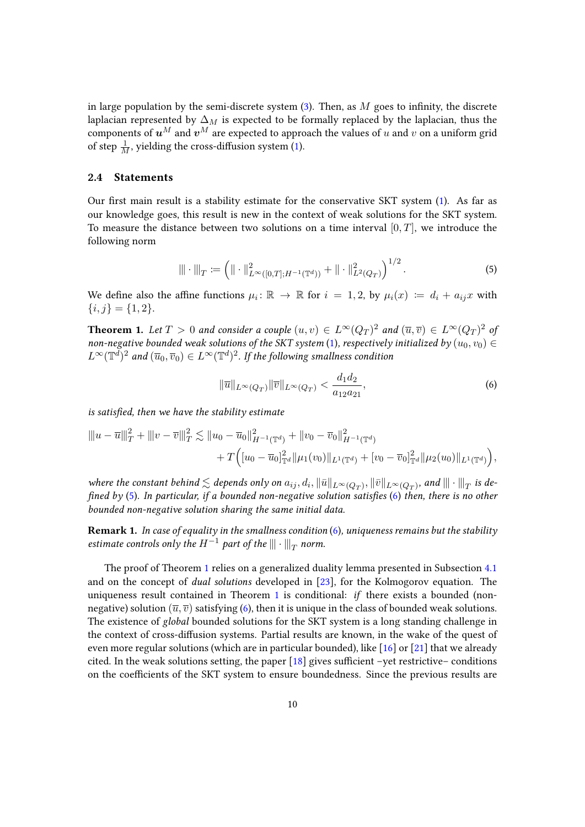in large population by the semi-discrete system  $(3)$ . Then, as M goes to infinity, the discrete laplacian represented by  $\Delta_M$  is expected to be formally replaced by the laplacian, thus the components of  $u^M$  and  $v^M$  are expected to approach the values of u and v on a uniform grid of step  $\frac{1}{M}$ , yielding the cross-diffusion system [\(1\)](#page-1-0).

### 2.4 Statements

Our first main result is a stability estimate for the conservative SKT system  $(1)$ . As far as our knowledge goes, this result is new in the context of weak solutions for the SKT system. To measure the distance between two solutions on a time interval  $[0, T]$ , we introduce the following norm

$$
\|\cdot\|_{T} := \left(\|\cdot\|_{L^{\infty}([0,T];H^{-1}(\mathbb{T}^d))}^2 + \|\cdot\|_{L^2(Q_T)}^2\right)^{1/2}.
$$
\n(5)

We define also the affine functions  $\mu_i: \mathbb{R} \to \mathbb{R}$  for  $i = 1, 2$ , by  $\mu_i(x) := d_i + a_{ij}x$  with  ${i, j} = {1, 2}.$ 

<span id="page-9-2"></span>**Theorem 1.** Let  $T > 0$  and consider a couple  $(u, v) \in L^{\infty}(Q_T)^2$  and  $(\overline{u}, \overline{v}) \in L^{\infty}(Q_T)^2$  of non-negative bounded weak solutions of the SKT system [\(1\)](#page-1-0), respectively initialized by  $(u_0, v_0) \in$  $L^\infty(\mathbb{T}^d)^2$  and  $(\overline{u}_0,\overline{v}_0)\in L^\infty(\mathbb{T}^d)^2.$  If the following smallness condition

<span id="page-9-1"></span><span id="page-9-0"></span>
$$
\|\overline{u}\|_{L^{\infty}(Q_T)} \|\overline{v}\|_{L^{\infty}(Q_T)} < \frac{d_1 d_2}{a_{12} a_{21}},\tag{6}
$$

is satisfied, then we have the stability estimate

$$
\| |u - \overline{u}|||_{T}^{2} + \| |v - \overline{v}|||_{T}^{2} \lesssim \|u_{0} - \overline{u}_{0}\|_{H^{-1}(\mathbb{T}^{d})}^{2} + \|v_{0} - \overline{v}_{0}\|_{H^{-1}(\mathbb{T}^{d})}^{2} + T \Big( [u_{0} - \overline{u}_{0}]_{\mathbb{T}^{d}}^{2} \| \mu_{1}(v_{0})\|_{L^{1}(\mathbb{T}^{d})} + [v_{0} - \overline{v}_{0}]_{\mathbb{T}^{d}}^{2} \| \mu_{2}(u_{0})\|_{L^{1}(\mathbb{T}^{d})} \Big),
$$

where the constant behind  $\lesssim$  depends only on  $a_{ij}, d_i, \|\bar u\|_{L^\infty(Q_T)}, \|\bar v\|_{L^\infty(Q_T)}$ , and  $\|\|\cdot\|_T$  is defined by  $(5)$ . In particular, if a bounded non-negative solution satisfies  $(6)$  then, there is no other bounded non-negative solution sharing the same initial data.

**Remark 1.** In case of equality in the smallness condition  $(6)$ , uniqueness remains but the stability estimate controls only the  $H^{-1}$  part of the  $\|\|\cdot\|_T$  norm.

The proof of Theorem [1](#page-9-2) relies on a generalized duality lemma presented in Subsection [4.1](#page-17-1) and on the concept of dual solutions developed in [\[23\]](#page-39-4), for the Kolmogorov equation. The uniqueness result contained in Theorem [1](#page-9-2) is conditional: if there exists a bounded (nonnegative) solution ( $\overline{u}, \overline{v}$ ) satisfying [\(6\)](#page-9-1), then it is unique in the class of bounded weak solutions. The existence of global bounded solutions for the SKT system is a long standing challenge in the context of cross-diffusion systems. Partial results are known, in the wake of the quest of even more regular solutions (which are in particular bounded), like  $\lceil 16 \rceil$  or  $\lceil 21 \rceil$  that we already cited. In the weak solutions setting, the paper  $[18]$  gives sufficient –yet restrictive– conditions on the coefficients of the SKT system to ensure boundedness. Since the previous results are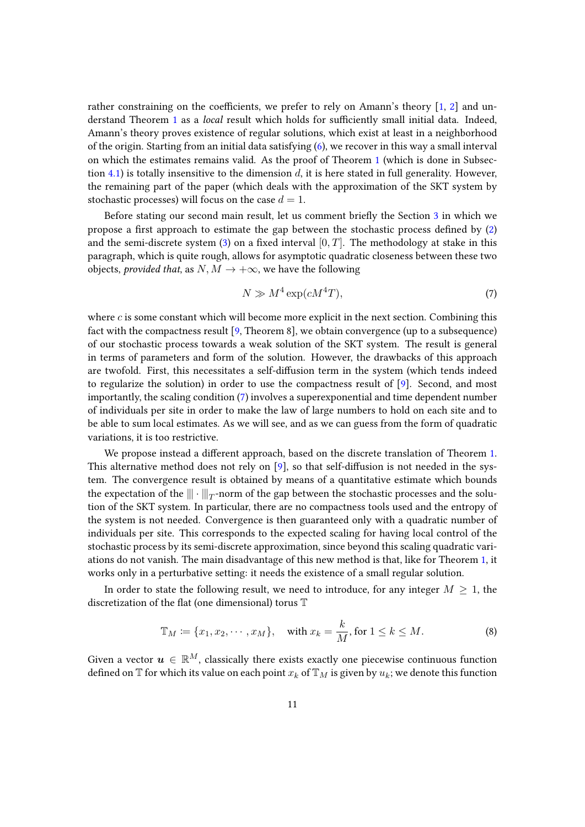rather constraining on the coefficients, we prefer to rely on Amann's theory  $[1, 2]$  $[1, 2]$  $[1, 2]$  and un-derstand Theorem [1](#page-9-2) as a *local* result which holds for sufficiently small initial data. Indeed, Amann's theory proves existence of regular solutions, which exist at least in a neighborhood of the origin. Starting from an initial data satisfying [\(6\)](#page-9-1), we recover in this way a small interval on which the estimates remains valid. As the proof of Theorem [1](#page-9-2) (which is done in Subsec-tion [4.1\)](#page-17-1) is totally insensitive to the dimension  $d$ , it is here stated in full generality. However, the remaining part of the paper (which deals with the approximation of the SKT system by stochastic processes) will focus on the case  $d = 1$ .

Before stating our second main result, let us comment briefly the Section [3](#page-12-0) in which we propose a first approach to estimate the gap between the stochastic process defined by  $(2)$ and the semi-discrete system [\(3\)](#page-8-0) on a fixed interval  $[0, T]$ . The methodology at stake in this paragraph, which is quite rough, allows for asymptotic quadratic closeness between these two objects, *provided that*, as  $N, M \rightarrow +\infty$ , we have the following

<span id="page-10-0"></span>
$$
N \gg M^4 \exp(cM^4T),\tag{7}
$$

where  $c$  is some constant which will become more explicit in the next section. Combining this fact with the compactness result  $[9,$  Theorem 8], we obtain convergence (up to a subsequence) of our stochastic process towards a weak solution of the SKT system. The result is general in terms of parameters and form of the solution. However, the drawbacks of this approach are twofold. First, this necessitates a self-diffusion term in the system (which tends indeed to regularize the solution) in order to use the compactness result of [\[9\]](#page-38-11). Second, and most importantly, the scaling condition [\(7\)](#page-10-0) involves a superexponential and time dependent number of individuals per site in order to make the law of large numbers to hold on each site and to be able to sum local estimates. As we will see, and as we can guess from the form of quadratic variations, it is too restrictive.

We propose instead a different approach, based on the discrete translation of Theorem [1.](#page-9-2) This alternative method does not rely on  $[9]$ , so that self-diffusion is not needed in the system. The convergence result is obtained by means of a quantitative estimate which bounds the expectation of the  $\|\!|\cdot|\!|\!|_T$ -norm of the gap between the stochastic processes and the solution of the SKT system. In particular, there are no compactness tools used and the entropy of the system is not needed. Convergence is then guaranteed only with a quadratic number of individuals per site. This corresponds to the expected scaling for having local control of the stochastic process by its semi-discrete approximation, since beyond this scaling quadratic variations do not vanish. The main disadvantage of this new method is that, like for Theorem [1,](#page-9-2) it works only in a perturbative setting: it needs the existence of a small regular solution.

In order to state the following result, we need to introduce, for any integer  $M \geq 1$ , the discretization of the flat (one dimensional) torus  $\mathbb T$ 

<span id="page-10-1"></span>
$$
\mathbb{T}_M \coloneqq \{x_1, x_2, \cdots, x_M\}, \quad \text{with } x_k = \frac{k}{M}, \text{ for } 1 \le k \le M. \tag{8}
$$

Given a vector  $u \in \mathbb{R}^M$ , classically there exists exactly one piecewise continuous function defined on  $\mathbb T$  for which its value on each point  $x_k$  of  $\mathbb T_M$  is given by  $u_k$ ; we denote this function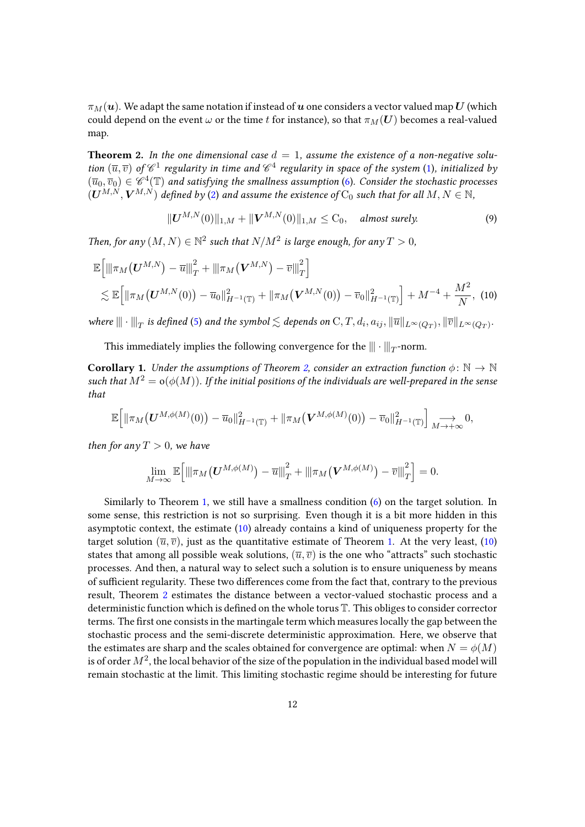$\pi_M(u)$ . We adapt the same notation if instead of u one considers a vector valued map U (which could depend on the event  $\omega$  or the time t for instance), so that  $\pi_M(U)$  becomes a real-valued map.

<span id="page-11-0"></span>**Theorem 2.** In the one dimensional case  $d = 1$ , assume the existence of a non-negative solution  $(\overline{u}, \overline{v})$  of  $\mathscr{C}^1$  regularity in time and  $\mathscr{C}^4$  regularity in space of the system [\(1\)](#page-1-0), initialized by  $(\overline{u}_0, \overline{v}_0) \in \mathscr{C}^4(\mathbb{T})$  and satisfying the smallness assumption [\(6\)](#page-9-1). Consider the stochastic processes  $(U^{M,N}, V^{M,N})$  defined by [\(2\)](#page-7-0) and assume the existence of  $C_0$  such that for all  $M, N \in \mathbb{N}$ ,

<span id="page-11-1"></span>
$$
||U^{M,N}(0)||_{1,M} + ||V^{M,N}(0)||_{1,M} \leq C_0, \quad almost \ surely.
$$
 (9)

Then, for any  $(M, N) \in \mathbb{N}^2$  such that  $N/M^2$  is large enough, for any  $T > 0$ ,

$$
\mathbb{E}\left[\left\|\pi_{M}\left(\mathbf{U}^{M,N}\right)-\overline{u}\right\|_{T}^{2}+\left\|\pi_{M}\left(\mathbf{V}^{M,N}\right)-\overline{v}\right\|_{T}^{2}\right] \leq \mathbb{E}\left[\left\|\pi_{M}\left(\mathbf{U}^{M,N}(0)\right)-\overline{u}_{0}\right\|_{H^{-1}(\mathbb{T})}^{2}+\left\|\pi_{M}\left(\mathbf{V}^{M,N}(0)\right)-\overline{v}_{0}\right\|_{H^{-1}(\mathbb{T})}^{2}\right]+M^{-4}+\frac{M^{2}}{N}, (10)
$$

where  $\|\|\cdot\|_T$  is defined [\(5\)](#page-9-0) and the symbol  $\lesssim$  depends on  $C,T,d_i,a_{ij}, \|\overline{u}\|_{L^\infty(Q_T)}, \|\overline{v}\|_{L^\infty(Q_T)}.$ 

This immediately implies the following convergence for the  $|\!|\!|\cdot|\!|\!|_T$  -norm.

**Corollary 1.** Under the assumptions of Theorem [2,](#page-11-0) consider an extraction function  $\phi \colon \mathbb{N} \to \mathbb{N}$ such that  $M^2 = o(\phi(M))$ . If the initial positions of the individuals are well-prepared in the sense that

$$
\mathbb{E}\Big[\|\pi_M\big(\boldsymbol{U}^{M,\phi(M)}(0)\big)-\overline{u}_0\|_{H^{-1}(\mathbb{T})}^2+\|\pi_M\big(\boldsymbol{V}^{M,\phi(M)}(0)\big)-\overline{v}_0\|_{H^{-1}(\mathbb{T})}^2\Big]\underset{M\to+\infty}{\longrightarrow}0,
$$

then for any  $T > 0$ , we have

$$
\lim_{M\to\infty}\mathbb{E}\Big[\big\|\pi_M\big(\boldsymbol{U}^{M,\phi(M)}\big)-\overline{u}\big\|_T^2+\big\|\pi_M\big(\boldsymbol{V}^{M,\phi(M)}\big)-\overline{v}\big\|_T^2\Big]=0.
$$

Similarly to Theorem [1,](#page-9-2) we still have a smallness condition [\(6\)](#page-9-1) on the target solution. In some sense, this restriction is not so surprising. Even though it is a bit more hidden in this asymptotic context, the estimate [\(10\)](#page-11-1) already contains a kind of uniqueness property for the target solution  $(\overline{u}, \overline{v})$ , just as the quantitative estimate of Theorem [1.](#page-9-2) At the very least, [\(10\)](#page-11-1) states that among all possible weak solutions,  $(\overline{u}, \overline{v})$  is the one who "attracts" such stochastic processes. And then, a natural way to select such a solution is to ensure uniqueness by means of sufficient regularity. These two differences come from the fact that, contrary to the previous result, Theorem [2](#page-11-0) estimates the distance between a vector-valued stochastic process and a deterministic function which is defined on the whole torus  $\mathbb T$ . This obliges to consider corrector terms. The first one consists in the martingale term which measures locally the gap between the stochastic process and the semi-discrete deterministic approximation. Here, we observe that the estimates are sharp and the scales obtained for convergence are optimal: when  $N = \phi(M)$ is of order  $M^2$ , the local behavior of the size of the population in the individual based model will remain stochastic at the limit. This limiting stochastic regime should be interesting for future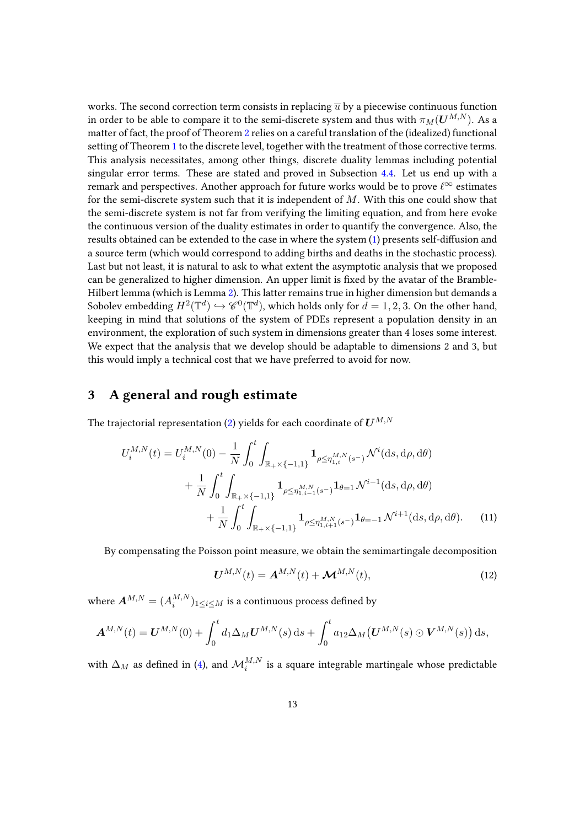works. The second correction term consists in replacing  $\overline{u}$  by a piecewise continuous function in order to be able to compare it to the semi-discrete system and thus with  $\pi_M(U^{M,N})$ . As a matter of fact, the proof of Theorem [2](#page-11-0) relies on a careful translation of the (idealized) functional setting of Theorem [1](#page-9-2) to the discrete level, together with the treatment of those corrective terms. This analysis necessitates, among other things, discrete duality lemmas including potential singular error terms. These are stated and proved in Subsection [4.4.](#page-26-0) Let us end up with a remark and perspectives. Another approach for future works would be to prove  $\ell^{\infty}$  estimates for the semi-discrete system such that it is independent of  $M$ . With this one could show that the semi-discrete system is not far from verifying the limiting equation, and from here evoke the continuous version of the duality estimates in order to quantify the convergence. Also, the results obtained can be extended to the case in where the system [\(1\)](#page-1-0) presents self-diffusion and a source term (which would correspond to adding births and deaths in the stochastic process). Last but not least, it is natural to ask to what extent the asymptotic analysis that we proposed can be generalized to higher dimension. An upper limit is fixed by the avatar of the Bramble-Hilbert lemma (which is Lemma [2\)](#page-21-0). This latter remains true in higher dimension but demands a Sobolev embedding  $H^2(\mathbb{T}^d) \hookrightarrow \mathscr{C}^0(\mathbb{T}^d)$ , which holds only for  $d=1,2,3.$  On the other hand, keeping in mind that solutions of the system of PDEs represent a population density in an environment, the exploration of such system in dimensions greater than 4 loses some interest. We expect that the analysis that we develop should be adaptable to dimensions 2 and 3, but this would imply a technical cost that we have preferred to avoid for now.

# <span id="page-12-0"></span>3 A general and rough estimate

The trajectorial representation [\(2\)](#page-7-0) yields for each coordinate of  $U^{M,N}$ 

$$
U_i^{M,N}(t) = U_i^{M,N}(0) - \frac{1}{N} \int_0^t \int_{\mathbb{R}_+ \times \{-1,1\}} \mathbf{1}_{\rho \le \eta_{1,i}^{M,N}(s^-)} \mathcal{N}^i(\mathrm{d}s, \mathrm{d}\rho, \mathrm{d}\theta) + \frac{1}{N} \int_0^t \int_{\mathbb{R}_+ \times \{-1,1\}} \mathbf{1}_{\rho \le \eta_{1,i-1}^{M,N}(s^-)} \mathbf{1}_{\theta=1} \mathcal{N}^{i-1}(\mathrm{d}s, \mathrm{d}\rho, \mathrm{d}\theta) + \frac{1}{N} \int_0^t \int_{\mathbb{R}_+ \times \{-1,1\}} \mathbf{1}_{\rho \le \eta_{1,i+1}^{M,N}(s^-)} \mathbf{1}_{\theta=-1} \mathcal{N}^{i+1}(\mathrm{d}s, \mathrm{d}\rho, \mathrm{d}\theta). \tag{11}
$$

By compensating the Poisson point measure, we obtain the semimartingale decomposition

<span id="page-12-1"></span>
$$
\boldsymbol{U}^{M,N}(t) = \boldsymbol{A}^{M,N}(t) + \boldsymbol{\mathcal{M}}^{M,N}(t),\tag{12}
$$

where  $\boldsymbol{A}^{M,N} = (A_i^{M,N})$  $\binom{M,N}{i}$ 1 $\le$ i $\le$ M $\,$  is a continuous process defined by

$$
\mathbf{A}^{M,N}(t) = \mathbf{U}^{M,N}(0) + \int_0^t d_1 \Delta_M \mathbf{U}^{M,N}(s) \,ds + \int_0^t a_{12} \Delta_M (\mathbf{U}^{M,N}(s) \odot \mathbf{V}^{M,N}(s)) \,ds,
$$

with  $\Delta_M$  as defined in [\(4\)](#page-8-1), and  ${\cal M}^{M,N}_i$  is a square integrable martingale whose predictable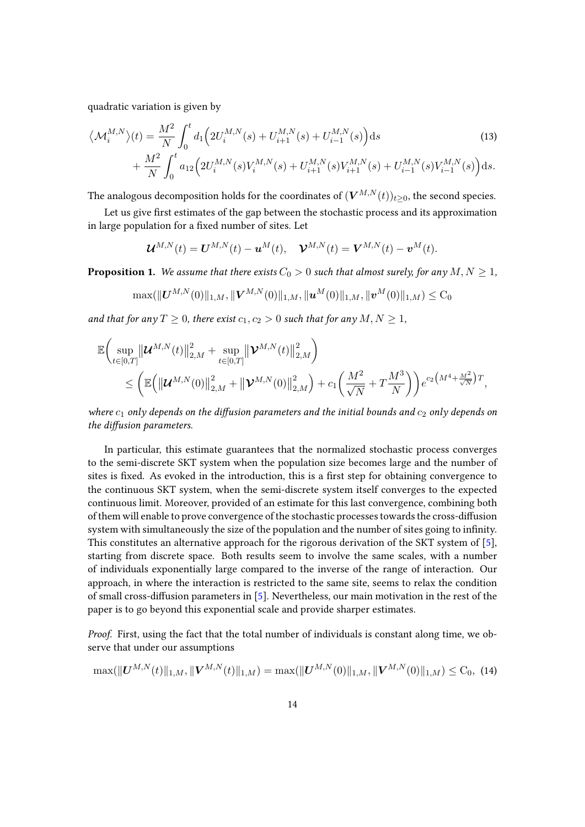quadratic variation is given by

$$
\langle \mathcal{M}_i^{M,N} \rangle(t) = \frac{M^2}{N} \int_0^t d_1 \Big( 2U_i^{M,N}(s) + U_{i+1}^{M,N}(s) + U_{i-1}^{M,N}(s) \Big) ds
$$
\n
$$
+ \frac{M^2}{N} \int_0^t a_{12} \Big( 2U_i^{M,N}(s)V_i^{M,N}(s) + U_{i+1}^{M,N}(s)V_{i+1}^{M,N}(s) + U_{i-1}^{M,N}(s)V_{i-1}^{M,N}(s) \Big) ds.
$$
\n(13)

The analogous decomposition holds for the coordinates of  $(V^{M,N}(t))_{t\geq0}$ , the second species.

Let us give first estimates of the gap between the stochastic process and its approximation in large population for a fixed number of sites. Let

<span id="page-13-1"></span>
$$
\boldsymbol{U}^{M,N}(t) = \boldsymbol{U}^{M,N}(t) - \boldsymbol{u}^M(t), \quad \boldsymbol{\mathcal{V}}^{M,N}(t) = \boldsymbol{V}^{M,N}(t) - \boldsymbol{v}^M(t).
$$

**Proposition 1.** We assume that there exists  $C_0 > 0$  such that almost surely, for any  $M, N \geq 1$ ,

$$
\max(\|\bm{U}^{M,N}(0)\|_{1,M},\|\bm{V}^{M,N}(0)\|_{1,M},\|\bm{u}^M(0)\|_{1,M},\|\bm{v}^M(0)\|_{1,M})\leq \mathrm{C}_0
$$

and that for any  $T \geq 0$ , there exist  $c_1, c_2 > 0$  such that for any  $M, N \geq 1$ ,

$$
\mathbb{E}\bigg(\sup_{t\in[0,T]}\big\|\mathcal{U}^{M,N}(t)\big\|_{2,M}^2 + \sup_{t\in[0,T]}\big\|\mathcal{V}^{M,N}(t)\big\|_{2,M}^2\bigg) \leq \bigg(\mathbb{E}\bigg(\big\|\mathcal{U}^{M,N}(0)\big\|_{2,M}^2 + \big\|\mathcal{V}^{M,N}(0)\big\|_{2,M}^2\bigg) + c_1\bigg(\frac{M^2}{\sqrt{N}} + T\frac{M^3}{N}\bigg)\bigg)e^{c_2\big(M^4 + \frac{M^2}{\sqrt{N}}\big)T},
$$

where  $c_1$  only depends on the diffusion parameters and the initial bounds and  $c_2$  only depends on the diffusion parameters.

In particular, this estimate guarantees that the normalized stochastic process converges to the semi-discrete SKT system when the population size becomes large and the number of sites is fixed. As evoked in the introduction, this is a first step for obtaining convergence to the continuous SKT system, when the semi-discrete system itself converges to the expected continuous limit. Moreover, provided of an estimate for this last convergence, combining both of them will enable to prove convergence of the stochastic processes towards the cross-diffusion system with simultaneously the size of the population and the number of sites going to infinity. This constitutes an alternative approach for the rigorous derivation of the SKT system of [\[5\]](#page-37-4), starting from discrete space. Both results seem to involve the same scales, with a number of individuals exponentially large compared to the inverse of the range of interaction. Our approach, in where the interaction is restricted to the same site, seems to relax the condition of small cross-diffusion parameters in  $[5]$ . Nevertheless, our main motivation in the rest of the paper is to go beyond this exponential scale and provide sharper estimates.

Proof. First, using the fact that the total number of individuals is constant along time, we observe that under our assumptions

<span id="page-13-0"></span>
$$
\max(\|\mathbf{U}^{M,N}(t)\|_{1,M}, \|\mathbf{V}^{M,N}(t)\|_{1,M}) = \max(\|\mathbf{U}^{M,N}(0)\|_{1,M}, \|\mathbf{V}^{M,N}(0)\|_{1,M}) \leq C_0, (14)
$$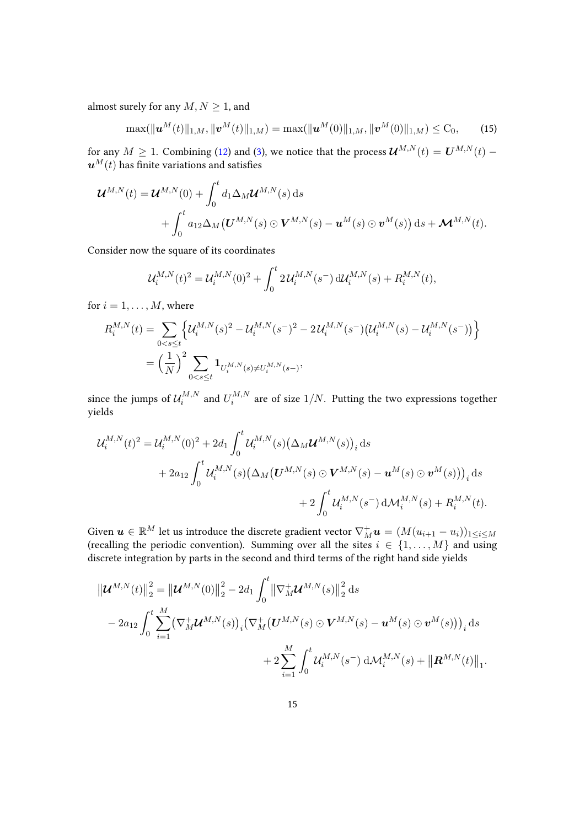almost surely for any  $M, N \geq 1$ , and

<span id="page-14-0"></span>
$$
\max(\|\boldsymbol{u}^{M}(t)\|_{1,M},\|\boldsymbol{v}^{M}(t)\|_{1,M})=\max(\|\boldsymbol{u}^{M}(0)\|_{1,M},\|\boldsymbol{v}^{M}(0)\|_{1,M})\leq C_{0},\qquad(15)
$$

for any  $M\geq 1.$  Combining [\(12\)](#page-12-1) and [\(3\)](#page-8-0), we notice that the process  $\mathcal{U}^{M,N}(t)=\boldsymbol{U}^{M,N}(t)-1$  $u^M(t)$  has finite variations and satisfies

$$
\mathbf{\mathcal{U}}^{M,N}(t) = \mathbf{\mathcal{U}}^{M,N}(0) + \int_0^t d_1 \Delta_M \mathbf{\mathcal{U}}^{M,N}(s) ds + \int_0^t a_{12} \Delta_M (\mathbf{U}^{M,N}(s) \odot \mathbf{V}^{M,N}(s) - \mathbf{u}^M(s) \odot \mathbf{v}^M(s)) ds + \mathbf{\mathcal{M}}^{M,N}(t).
$$

Consider now the square of its coordinates

$$
\mathcal{U}_i^{M,N}(t)^2 = \mathcal{U}_i^{M,N}(0)^2 + \int_0^t 2\,\mathcal{U}_i^{M,N}(s^-)\,\mathrm{d}\mathcal{U}_i^{M,N}(s) + R_i^{M,N}(t),
$$

for  $i = 1, \ldots, M$ , where

$$
R_i^{M,N}(t) = \sum_{0 < s \le t} \left\{ \mathcal{U}_i^{M,N}(s)^2 - \mathcal{U}_i^{M,N}(s^{-})^2 - 2\mathcal{U}_i^{M,N}(s^{-})\left(\mathcal{U}_i^{M,N}(s) - \mathcal{U}_i^{M,N}(s^{-})\right) \right\}
$$
\n
$$
= \left(\frac{1}{N}\right)^2 \sum_{0 < s \le t} \mathbf{1}_{U_i^{M,N}(s) \ne U_i^{M,N}(s^{-})},
$$

since the jumps of  $\mathcal{U}^{M,N}_i$  $U_i^{M,N}$  and  $U_i^{M,N}$  $i^{M,N}$  are of size  $1/N$ . Putting the two expressions together yields

$$
\mathcal{U}_{i}^{M,N}(t)^{2} = \mathcal{U}_{i}^{M,N}(0)^{2} + 2d_{1} \int_{0}^{t} \mathcal{U}_{i}^{M,N}(s) (\Delta_{M} \mathcal{U}^{M,N}(s))_{i} ds \n+ 2a_{12} \int_{0}^{t} \mathcal{U}_{i}^{M,N}(s) (\Delta_{M} (\mathbf{U}^{M,N}(s) \odot \mathbf{V}^{M,N}(s) - \mathbf{u}^{M}(s) \odot \mathbf{v}^{M}(s)))_{i} ds \n+ 2 \int_{0}^{t} \mathcal{U}_{i}^{M,N}(s^{-}) d\mathcal{M}_{i}^{M,N}(s) + R_{i}^{M,N}(t).
$$

Given  $\bm{u}\in\mathbb{R}^M$  let us introduce the discrete gradient vector  $\nabla_M^+\bm{u}=(M(u_{i+1}-u_i))_{1\leq i\leq M}$ (recalling the periodic convention). Summing over all the sites  $i \in \{1, \ldots, M\}$  and using discrete integration by parts in the second and third terms of the right hand side yields

$$
\|\boldsymbol{U}^{M,N}(t)\|_{2}^{2} = \|\boldsymbol{U}^{M,N}(0)\|_{2}^{2} - 2d_{1} \int_{0}^{t} \|\nabla_{M}^{+} \boldsymbol{U}^{M,N}(s)\|_{2}^{2} ds
$$
  
- 2a<sub>12</sub>  $\int_{0}^{t} \sum_{i=1}^{M} (\nabla_{M}^{+} \boldsymbol{U}^{M,N}(s))_{i} (\nabla_{M}^{+} (\boldsymbol{U}^{M,N}(s) \odot \boldsymbol{V}^{M,N}(s) - \boldsymbol{u}^{M}(s) \odot \boldsymbol{v}^{M}(s)))_{i} ds$   
+ 2  $\sum_{i=1}^{M} \int_{0}^{t} \mathcal{U}_{i}^{M,N}(s^{-}) d\mathcal{M}_{i}^{M,N}(s) + ||\boldsymbol{R}^{M,N}(t)||_{1}.$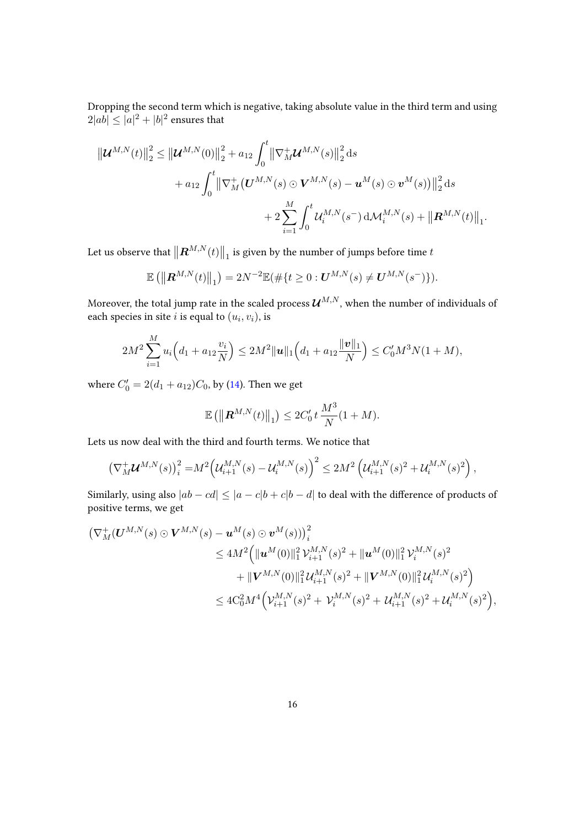Dropping the second term which is negative, taking absolute value in the third term and using  $2|ab| \leq |a|^2 + |b|^2$  ensures that

$$
\|\boldsymbol{U}^{M,N}(t)\|_{2}^{2} \leq \|\boldsymbol{U}^{M,N}(0)\|_{2}^{2} + a_{12} \int_{0}^{t} \|\nabla_{M}^{+} \boldsymbol{U}^{M,N}(s)\|_{2}^{2} ds + a_{12} \int_{0}^{t} \|\nabla_{M}^{+} (\boldsymbol{U}^{M,N}(s) \odot \boldsymbol{V}^{M,N}(s) - \boldsymbol{u}^{M}(s) \odot \boldsymbol{v}^{M}(s))\|_{2}^{2} ds + 2 \sum_{i=1}^{M} \int_{0}^{t} \mathcal{U}_{i}^{M,N}(s^{-}) d\mathcal{M}_{i}^{M,N}(s) + \|\boldsymbol{R}^{M,N}(t)\|_{1}
$$

.

Let us observe that  $\left\|\bm{R}^{M,N}(t)\right\|_1$  is given by the number of jumps before time  $t$ 

$$
\mathbb{E}(|[{\bf R}^{M,N}(t)|]_1) = 2N^{-2}\mathbb{E}(\#\{t \geq 0 : {\bf U}^{M,N}(s) \neq {\bf U}^{M,N}(s^{-})\}).
$$

Moreover, the total jump rate in the scaled process  $\mathcal{U}^{M,N},$  when the number of individuals of each species in site *i* is equal to  $(u_i, v_i)$ , is

$$
2M^2\sum_{i=1}^M u_i\Big(d_1+a_{12}\frac{v_i}{N}\Big)\leq 2M^2\|\mathbf{u}\|_1\Big(d_1+a_{12}\frac{\|\mathbf{v}\|_1}{N}\Big)\leq C_0'M^3N(1+M),
$$

where  $C'_0 = 2(d_1 + a_{12})C_0$ , by [\(14\)](#page-13-0). Then we get

$$
\mathbb{E} (||R^{M,N}(t)||_1) \leq 2C'_0 t \frac{M^3}{N} (1+M).
$$

Lets us now deal with the third and fourth terms. We notice that

$$
\left(\nabla_M^+\mathcal{U}^{M,N}(s)\right)_i^2 = M^2 \left(\mathcal{U}_{i+1}^{M,N}(s) - \mathcal{U}_i^{M,N}(s)\right)^2 \le 2M^2 \left(\mathcal{U}_{i+1}^{M,N}(s)^2 + \mathcal{U}_i^{M,N}(s)^2\right),
$$

Similarly, using also  $|ab - cd| \leq |a - c|b + c|b - d$  to deal with the difference of products of positive terms, we get

$$
\begin{split} \left(\nabla^+_M (\boldsymbol{U}^{M,N}(s) \odot \boldsymbol{V}^{M,N}(s) - \boldsymbol{u}^M(s) \odot \boldsymbol{v}^M(s))\right)_i^2 \\ &\le 4M^2 \Big( \|\boldsymbol{u}^M(0)\|_1^2 \mathcal{V}_{i+1}^{M,N}(s)^2 + \|\boldsymbol{u}^M(0)\|_1^2 \mathcal{V}_i^{M,N}(s)^2 \\ &\quad + \|\boldsymbol{V}^{M,N}(0)\|_1^2 \mathcal{U}_{i+1}^{M,N}(s)^2 + \|\boldsymbol{V}^{M,N}(0)\|_1^2 \mathcal{U}_i^{M,N}(s)^2 \Big) \\ &\le 4C_0^2 M^4 \Big( \mathcal{V}_{i+1}^{M,N}(s)^2 + \mathcal{V}_i^{M,N}(s)^2 + \mathcal{U}_{i+1}^{M,N}(s)^2 + \mathcal{U}_i^{M,N}(s)^2 \Big), \end{split}
$$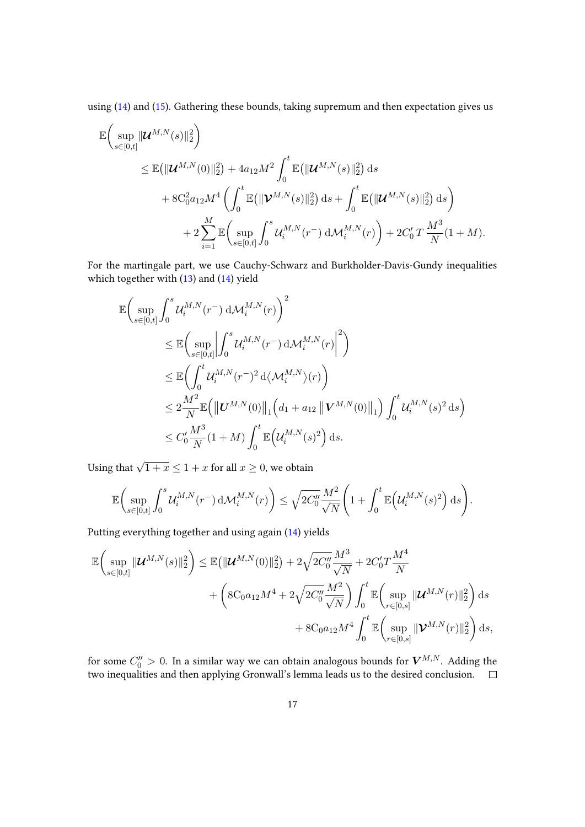using [\(14\)](#page-13-0) and [\(15\)](#page-14-0). Gathering these bounds, taking supremum and then expectation gives us

$$
\mathbb{E}\left(\sup_{s\in[0,t]}\|\mathcal{U}^{M,N}(s)\|_{2}^{2}\right) \n\leq \mathbb{E}\left(\|\mathcal{U}^{M,N}(0)\|_{2}^{2}\right) + 4a_{12}M^{2}\int_{0}^{t} \mathbb{E}\left(\|\mathcal{U}^{M,N}(s)\|_{2}^{2}\right) ds \n+ 8C_{0}^{2}a_{12}M^{4}\left(\int_{0}^{t} \mathbb{E}\left(\|\mathcal{V}^{M,N}(s)\|_{2}^{2}\right) ds + \int_{0}^{t} \mathbb{E}\left(\|\mathcal{U}^{M,N}(s)\|_{2}^{2}\right) ds\right) \n+ 2\sum_{i=1}^{M} \mathbb{E}\left(\sup_{s\in[0,t]}\int_{0}^{s} \mathcal{U}_{i}^{M,N}(r^{-}) d\mathcal{M}_{i}^{M,N}(r)\right) + 2C_{0}'T\frac{M^{3}}{N}(1+M).
$$

For the martingale part, we use Cauchy-Schwarz and Burkholder-Davis-Gundy inequalities which together with [\(13\)](#page-13-1) and [\(14\)](#page-13-0) yield

$$
\mathbb{E}\Big(\sup_{s\in[0,t]}\int_0^s \mathcal{U}_i^{M,N}(r^-) d\mathcal{M}_i^{M,N}(r)\Big)^2\leq \mathbb{E}\Big(\sup_{s\in[0,t]}\Big|\int_0^s \mathcal{U}_i^{M,N}(r^-) d\mathcal{M}_i^{M,N}(r)\Big|^2\Big)\leq \mathbb{E}\Big(\int_0^t \mathcal{U}_i^{M,N}(r^-)^2 d\langle \mathcal{M}_i^{M,N}\rangle(r)\Big)\leq 2\frac{M^2}{N}\mathbb{E}\Big(\|\mathbf{U}^{M,N}(0)\|_1\Big(d_1+a_{12}\left\|\mathbf{V}^{M,N}(0)\right\|_1\Big)\int_0^t \mathcal{U}_i^{M,N}(s)^2 ds\Big)\leq C'_0\frac{M^3}{N}(1+M)\int_0^t \mathbb{E}\Big(\mathcal{U}_i^{M,N}(s)^2\Big) ds.
$$

Using that  $\sqrt{1+x} \leq 1+x$  for all  $x \geq 0$ , we obtain

$$
\mathbb{E}\bigg(\sup_{s\in[0,t]}\int_0^s \mathcal{U}_i^{M,N}(r^-)\,\mathrm{d}\mathcal{M}_i^{M,N}(r)\bigg) \leq \sqrt{2C_0''}\frac{M^2}{\sqrt{N}}\bigg(1+\int_0^t \mathbb{E}\Big(\mathcal{U}_i^{M,N}(s)^2\Big)\,\mathrm{d}s\bigg).
$$

Putting everything together and using again [\(14\)](#page-13-0) yields

$$
\mathbb{E}\left(\sup_{s\in[0,t]}\|\mathcal{U}^{M,N}(s)\|_{2}^{2}\right) \leq \mathbb{E}\left(\|\mathcal{U}^{M,N}(0)\|_{2}^{2}\right) + 2\sqrt{2C_{0}''}\frac{M^{3}}{\sqrt{N}} + 2C_{0}'T\frac{M^{4}}{N} + 4C_{0}'T\frac{M^{4}}{N} + 4C_{0}'T\frac{M^{2}}{N^{2}}\right) + 4C_{0}'T\frac{M^{2}}{\sqrt{N}}\int_{0}^{t} \mathbb{E}\left(\sup_{r\in[0,s]}\|\mathcal{U}^{M,N}(r)\|_{2}^{2}\right) ds + 8C_{0}a_{12}M^{4}\int_{0}^{t} \mathbb{E}\left(\sup_{r\in[0,s]}\|\mathcal{V}^{M,N}(r)\|_{2}^{2}\right) ds,
$$

for some  $C_0^{\prime\prime}>0.$  In a similar way we can obtain analogous bounds for  $\boldsymbol{V}^{M,N}.$  Adding the two inequalities and then applying Gronwall's lemma leads us to the desired conclusion.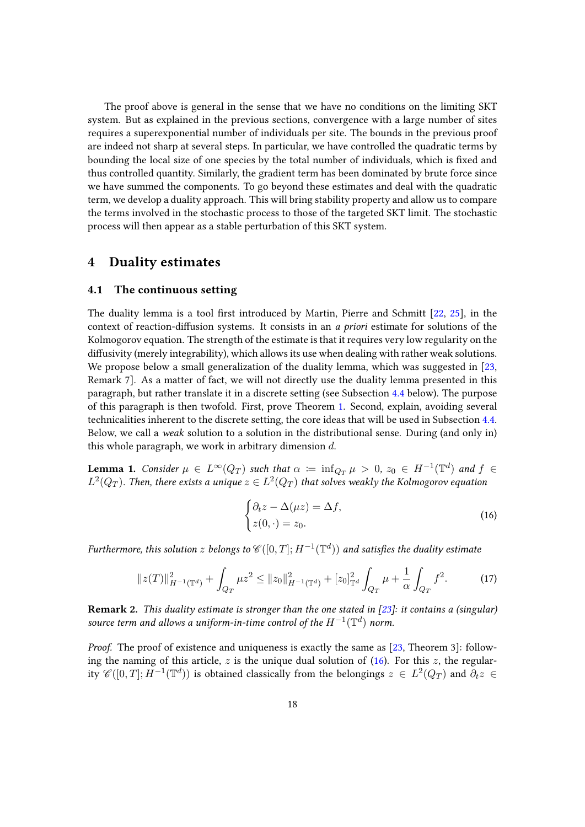The proof above is general in the sense that we have no conditions on the limiting SKT system. But as explained in the previous sections, convergence with a large number of sites requires a superexponential number of individuals per site. The bounds in the previous proof are indeed not sharp at several steps. In particular, we have controlled the quadratic terms by bounding the local size of one species by the total number of individuals, which is fixed and thus controlled quantity. Similarly, the gradient term has been dominated by brute force since we have summed the components. To go beyond these estimates and deal with the quadratic term, we develop a duality approach. This will bring stability property and allow us to compare the terms involved in the stochastic process to those of the targeted SKT limit. The stochastic process will then appear as a stable perturbation of this SKT system.

## <span id="page-17-0"></span>4 Duality estimates

### <span id="page-17-1"></span>4.1 The continuous setting

The duality lemma is a tool first introduced by Martin, Pierre and Schmitt  $[22, 25]$  $[22, 25]$  $[22, 25]$ , in the context of reaction-diffusion systems. It consists in an a priori estimate for solutions of the Kolmogorov equation. The strength of the estimate is that it requires very low regularity on the diffusivity (merely integrability), which allows its use when dealing with rather weak solutions. We propose below a small generalization of the duality lemma, which was suggested in [\[23,](#page-39-4) Remark 7]. As a matter of fact, we will not directly use the duality lemma presented in this paragraph, but rather translate it in a discrete setting (see Subsection [4.4](#page-26-0) below). The purpose of this paragraph is then twofold. First, prove Theorem [1.](#page-9-2) Second, explain, avoiding several technicalities inherent to the discrete setting, the core ideas that will be used in Subsection [4.4.](#page-26-0) Below, we call a weak solution to a solution in the distributional sense. During (and only in) this whole paragraph, we work in arbitrary dimension  $d$ .

<span id="page-17-4"></span>**Lemma 1.** Consider  $\mu \in L^{\infty}(Q_T)$  such that  $\alpha := \inf_{Q_T} \mu > 0$ ,  $z_0 \in H^{-1}(\mathbb{T}^d)$  and  $f \in$  $L^2(Q_T).$  Then, there exists a unique  $z\in L^2(Q_T)$  that solves weakly the Kolmogorov equation

<span id="page-17-3"></span><span id="page-17-2"></span>
$$
\begin{cases} \partial_t z - \Delta(\mu z) = \Delta f, \\ z(0, \cdot) = z_0. \end{cases}
$$
 (16)

Furthermore, this solution  $z$  belongs to  $\mathscr{C}([0,T];H^{-1}(\mathbb{T}^d))$  and satisfies the duality estimate

$$
||z(T)||_{H^{-1}(\mathbb{T}^d)}^2 + \int_{Q_T} \mu z^2 \le ||z_0||_{H^{-1}(\mathbb{T}^d)}^2 + [z_0]_{\mathbb{T}^d}^2 \int_{Q_T} \mu + \frac{1}{\alpha} \int_{Q_T} f^2. \tag{17}
$$

**Remark 2.** This duality estimate is stronger than the one stated in [\[23\]](#page-39-4): it contains a (singular) source term and allows a uniform-in-time control of the  $H^{-1}(\mathbb{T}^d)$  norm.

Proof. The proof of existence and uniqueness is exactly the same as [\[23,](#page-39-4) Theorem 3]: following the naming of this article, z is the unique dual solution of  $(16)$ . For this z, the regularity  $\mathscr{C}([0,T];H^{-1}(\mathbb{T}^d))$  is obtained classically from the belongings  $z\,\in\,L^2(Q_T)$  and  $\partial_t z\,\in\,$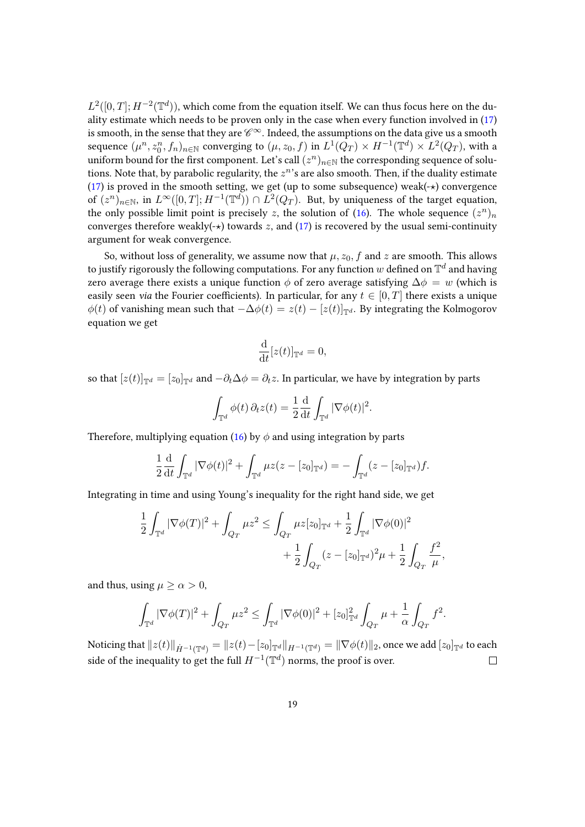$L^2([0,T];H^{-2}(\mathbb{T}^d))$ , which come from the equation itself. We can thus focus here on the duality estimate which needs to be proven only in the case when every function involved in [\(17\)](#page-17-3) is smooth, in the sense that they are  $\mathscr{C}^\infty$ . Indeed, the assumptions on the data give us a smooth sequence  $(\mu^n, z_0^n, f_n)_{n \in \mathbb{N}}$  converging to  $(\mu, z_0, f)$  in  $L^1(Q_T) \times H^{-1}(\mathbb{T}^d) \times L^2(Q_T)$ , with a uniform bound for the first component. Let's call  $(z^n)_{n\in\mathbb{N}}$  the corresponding sequence of solutions. Note that, by parabolic regularity, the  $z^n$ 's are also smooth. Then, if the duality estimate [\(17\)](#page-17-3) is proved in the smooth setting, we get (up to some subsequence) weak( $\rightarrow$ ) convergence of  $(z^n)_{n\in\mathbb{N}}$ , in  $L^\infty([0,T];H^{-1}(\mathbb{T}^d))\cap L^2(Q_T)$ . But, by uniqueness of the target equation, the only possible limit point is precisely z, the solution of [\(16\)](#page-17-2). The whole sequence  $(z^n)_n$ converges therefore weakly( $\rightarrow$ ) towards z, and [\(17\)](#page-17-3) is recovered by the usual semi-continuity argument for weak convergence.

So, without loss of generality, we assume now that  $\mu$ ,  $z_0$ , f and z are smooth. This allows to justify rigorously the following computations. For any function  $w$  defined on  $\mathbb{T}^d$  and having zero average there exists a unique function  $\phi$  of zero average satisfying  $\Delta \phi = w$  (which is easily seen *via* the Fourier coefficients). In particular, for any  $t \in [0, T]$  there exists a unique  $\phi(t)$  of vanishing mean such that  $-\Delta\phi(t) = z(t) - [z(t)]_{\mathbb{T}^d}$ . By integrating the Kolmogorov equation we get

$$
\frac{\mathrm{d}}{\mathrm{d}t}[z(t)]_{\mathbb{T}^d} = 0,
$$

so that  $[z(t)]_{\mathbb{T}^d} = [z_0]_{\mathbb{T}^d}$  and  $-\partial_t \Delta \phi = \partial_t z$ . In particular, we have by integration by parts

$$
\int_{\mathbb{T}^d} \phi(t) \, \partial_t z(t) = \frac{1}{2} \frac{\mathrm{d}}{\mathrm{d}t} \int_{\mathbb{T}^d} |\nabla \phi(t)|^2.
$$

Therefore, multiplying equation [\(16\)](#page-17-2) by  $\phi$  and using integration by parts

$$
\frac{1}{2}\frac{\mathrm{d}}{\mathrm{d}t}\int_{\mathbb{T}^d}|\nabla\phi(t)|^2+\int_{\mathbb{T}^d}\mu z(z-[z_0]_{\mathbb{T}^d})=-\int_{\mathbb{T}^d}(z-[z_0]_{\mathbb{T}^d})f.
$$

Integrating in time and using Young's inequality for the right hand side, we get

$$
\frac{1}{2} \int_{\mathbb{T}^d} |\nabla \phi(T)|^2 + \int_{Q_T} \mu z^2 \le \int_{Q_T} \mu z [z_0]_{\mathbb{T}^d} + \frac{1}{2} \int_{\mathbb{T}^d} |\nabla \phi(0)|^2 \n+ \frac{1}{2} \int_{Q_T} (z - [z_0]_{\mathbb{T}^d})^2 \mu + \frac{1}{2} \int_{Q_T} \frac{f^2}{\mu},
$$

and thus, using  $\mu \ge \alpha > 0$ ,

$$
\int_{\mathbb{T}^d} |\nabla \phi(T)|^2 + \int_{Q_T} \mu z^2 \leq \int_{\mathbb{T}^d} |\nabla \phi(0)|^2 + [z_0]_{\mathbb{T}^d}^2 \int_{Q_T} \mu + \frac{1}{\alpha} \int_{Q_T} f^2.
$$

Noticing that  $||z(t)||_{\dot{H}^{-1}(\mathbb{T}^d)} = ||z(t)-[z_0]_{\mathbb{T}^d}||_{H^{-1}(\mathbb{T}^d)} = ||\nabla \phi(t)||_2$ , once we add  $[z_0]_{\mathbb{T}^d}$  to each side of the inequality to get the full  $H^{-1}(\mathbb{T}^d)$  norms, the proof is over.  $\Box$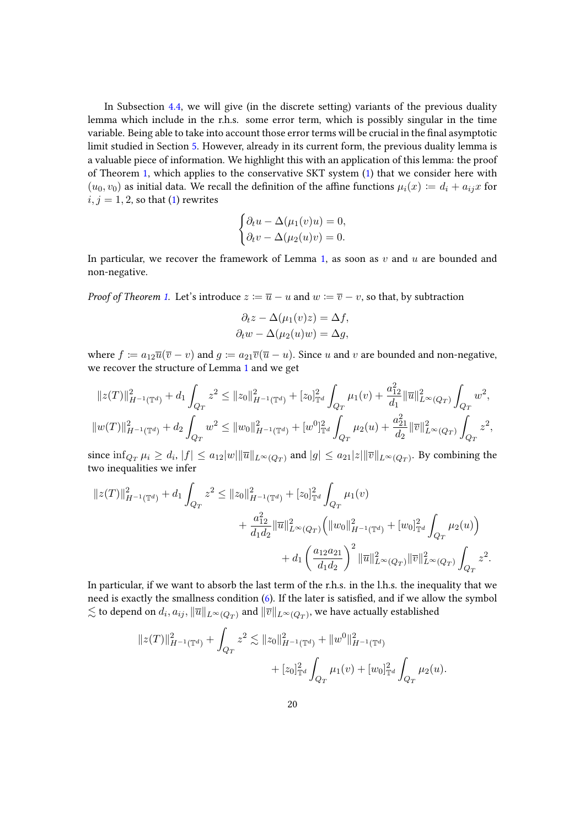In Subsection [4.4,](#page-26-0) we will give (in the discrete setting) variants of the previous duality lemma which include in the r.h.s. some error term, which is possibly singular in the time variable. Being able to take into account those error terms will be crucial in the final asymptotic limit studied in Section [5.](#page-31-0) However, already in its current form, the previous duality lemma is a valuable piece of information. We highlight this with an application of this lemma: the proof of Theorem [1,](#page-9-2) which applies to the conservative SKT system [\(1\)](#page-1-0) that we consider here with  $(u_0, v_0)$  as initial data. We recall the definition of the affine functions  $\mu_i(x) \coloneqq d_i + a_{ij}x$  for  $i, j = 1, 2$ , so that [\(1\)](#page-1-0) rewrites

$$
\begin{cases} \partial_t u - \Delta(\mu_1(v)u) = 0, \\ \partial_t v - \Delta(\mu_2(u)v) = 0. \end{cases}
$$

In particular, we recover the framework of Lemma [1,](#page-17-4) as soon as  $v$  and  $u$  are bounded and non-negative.

*Proof of Theorem [1.](#page-9-2)* Let's introduce  $z := \overline{u} - u$  and  $w := \overline{v} - v$ , so that, by subtraction

$$
\partial_t z - \Delta(\mu_1(v)z) = \Delta f,
$$
  

$$
\partial_t w - \Delta(\mu_2(u)w) = \Delta g,
$$

where  $f := a_{12}\overline{u}(\overline{v} - v)$  and  $g := a_{21}\overline{v}(\overline{u} - u)$ . Since u and v are bounded and non-negative, we recover the structure of Lemma [1](#page-17-4) and we get

$$
||z(T)||_{H^{-1}(\mathbb{T}^d)}^2 + d_1 \int_{Q_T} z^2 \le ||z_0||_{H^{-1}(\mathbb{T}^d)}^2 + [z_0]_{\mathbb{T}^d}^2 \int_{Q_T} \mu_1(v) + \frac{a_{12}^2}{d_1} ||\overline{u}||_{L^{\infty}(Q_T)}^2 \int_{Q_T} w^2,
$$
  

$$
||w(T)||_{H^{-1}(\mathbb{T}^d)}^2 + d_2 \int_{Q_T} w^2 \le ||w_0||_{H^{-1}(\mathbb{T}^d)}^2 + [w^0]_{\mathbb{T}^d}^2 \int_{Q_T} \mu_2(u) + \frac{a_{21}^2}{d_2} ||\overline{v}||_{L^{\infty}(Q_T)}^2 \int_{Q_T} z^2,
$$

since  $\inf_{Q_T} \mu_i \ge d_i$ ,  $|f| \le a_{12}|w|\|\overline{u}\|_{L^{\infty}(Q_T)}$  and  $|g| \le a_{21}|z|\|\overline{v}\|_{L^{\infty}(Q_T)}$ . By combining the two inequalities we infer

$$
\begin{split} \|z(T)\|_{H^{-1}(\mathbb{T}^d)}^2 + d_1 \int_{Q_T} z^2 &\leq \|z_0\|_{H^{-1}(\mathbb{T}^d)}^2 + [z_0]_{\mathbb{T}^d}^2 \int_{Q_T} \mu_1(v) \\ &+ \frac{a_{12}^2}{d_1 d_2} \|\overline{u}\|_{L^\infty(Q_T)}^2 \Big( \|w_0\|_{H^{-1}(\mathbb{T}^d)}^2 + [w_0]_{\mathbb{T}^d}^2 \int_{Q_T} \mu_2(u) \Big) \\ &+ d_1 \left( \frac{a_{12}a_{21}}{d_1 d_2} \right)^2 \|\overline{u}\|_{L^\infty(Q_T)}^2 \|\overline{v}\|_{L^\infty(Q_T)}^2 \int_{Q_T} z^2. \end{split}
$$

In particular, if we want to absorb the last term of the r.h.s. in the l.h.s. the inequality that we need is exactly the smallness condition [\(6\)](#page-9-1). If the later is satisfied, and if we allow the symbol  $\lesssim$  to depend on  $d_i,a_{ij}, \|\overline{u}\|_{L^\infty(Q_T)}$  and  $\|\overline{v}\|_{L^\infty(Q_T)},$  we have actually established

$$
||z(T)||_{H^{-1}(\mathbb{T}^d)}^2 + \int_{Q_T} z^2 \lesssim ||z_0||_{H^{-1}(\mathbb{T}^d)}^2 + ||w^0||_{H^{-1}(\mathbb{T}^d)}^2 + [z_0]_{\mathbb{T}^d}^2 \int_{Q_T} \mu_1(v) + [w_0]_{\mathbb{T}^d}^2 \int_{Q_T} \mu_2(u).
$$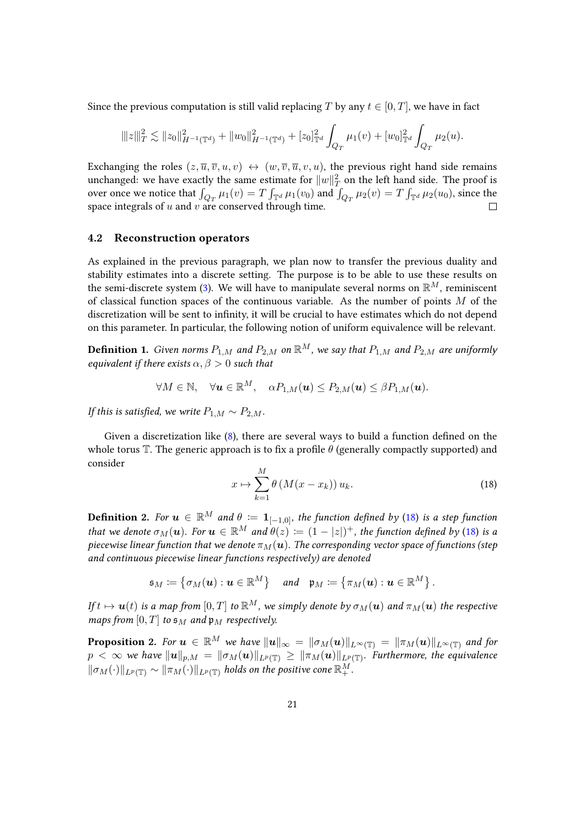Since the previous computation is still valid replacing T by any  $t \in [0, T]$ , we have in fact

$$
\||z|\|_T^2 \lesssim \|z_0\|_{H^{-1}(\mathbb{T}^d)}^2 + \|w_0\|_{H^{-1}(\mathbb{T}^d)}^2 + [z_0]_{\mathbb{T}^d}^2 \int_{Q_T} \mu_1(v) + [w_0]_{\mathbb{T}^d}^2 \int_{Q_T} \mu_2(u).
$$

Exchanging the roles  $(z, \overline{u}, \overline{v}, u, v) \leftrightarrow (w, \overline{v}, \overline{u}, v, u)$ , the previous right hand side remains unchanged: we have exactly the same estimate for  $\|w\|_T^2$  on the left hand side. The proof is over once we notice that  $\int_{Q_T} \mu_1(v) = T \int_{\mathbb{T}^d} \mu_1(v_0)$  and  $\int_{Q_T} \mu_2(v) = T \int_{\mathbb{T}^d} \mu_2(u_0)$ , since the space integrals of  $u$  and  $v$  are conserved through time.

#### 4.2 Reconstruction operators

As explained in the previous paragraph, we plan now to transfer the previous duality and stability estimates into a discrete setting. The purpose is to be able to use these results on the semi-discrete system [\(3\)](#page-8-0). We will have to manipulate several norms on  $\mathbb{R}^M$ , reminiscent of classical function spaces of the continuous variable. As the number of points  $M$  of the discretization will be sent to infinity, it will be crucial to have estimates which do not depend on this parameter. In particular, the following notion of uniform equivalence will be relevant.

**Definition 1.** Given norms  $P_{1,M}$  and  $P_{2,M}$  on  $\mathbb{R}^M$ , we say that  $P_{1,M}$  and  $P_{2,M}$  are uniformly equivalent if there exists  $\alpha, \beta > 0$  such that

$$
\forall M \in \mathbb{N}, \quad \forall \mathbf{u} \in \mathbb{R}^M, \quad \alpha P_{1,M}(\mathbf{u}) \le P_{2,M}(\mathbf{u}) \le \beta P_{1,M}(\mathbf{u}).
$$

If this is satisfied, we write  $P_{1,M} \sim P_{2,M}$ .

Given a discretization like  $(8)$ , there are several ways to build a function defined on the whole torus  $\mathbb T$ . The generic approach is to fix a profile  $\theta$  (generally compactly supported) and consider

<span id="page-20-0"></span>
$$
x \mapsto \sum_{k=1}^{M} \theta \left( M(x - x_k) \right) u_k. \tag{18}
$$

**Definition 2.** For  $u \in \mathbb{R}^M$  and  $\theta := 1_{[-1,0]}$ , the function defined by [\(18\)](#page-20-0) is a step function that we denote  $\sigma_M(\bm{u})$ . For  $\bm{u} \in \mathbb{R}^M$  and  $\theta(z) \coloneqq (1 - |z|)^+$ , the function defined by [\(18\)](#page-20-0) is a piecewise linear function that we denote  $\pi_M(u)$ . The corresponding vector space of functions (step and continuous piecewise linear functions respectively) are denoted

$$
\mathfrak{s}_M \coloneqq \left\{\sigma_M(\boldsymbol{u}): \boldsymbol{u} \in \mathbb{R}^M\right\} \quad \textit{and} \quad \mathfrak{p}_M \coloneqq \left\{\pi_M(\boldsymbol{u}): \boldsymbol{u} \in \mathbb{R}^M\right\}.
$$

If  $t \mapsto u(t)$  is a map from  $[0, T]$  to  $\mathbb{R}^M$ , we simply denote by  $\sigma_M(u)$  and  $\pi_M(u)$  the respective maps from  $[0, T]$  to  $\mathfrak{s}_M$  and  $\mathfrak{p}_M$  respectively.

<span id="page-20-1"></span>**Proposition 2.** For  $u \in \mathbb{R}^M$  we have  $||u||_{\infty} = ||\sigma_M(u)||_{L^{\infty}(\mathbb{T})} = ||\pi_M(u)||_{L^{\infty}(\mathbb{T})}$  and for  $p\,<\infty$  we have  $\|{\bm u}\|_{p,M}\,=\,\|\sigma_M({\bm u})\|_{L^p({\mathbb T})}\,\ge\,\|\pi_M({\bm u})\|_{L^p({\mathbb T})}.$  Furthermore, the equivalence  $\|\sigma_M(\cdot)\|_{L^p(\mathbb{T})}\sim \|\pi_M(\cdot)\|_{L^p(\mathbb{T})}$  holds on the positive cone  $\mathbb{R}^M_+$ .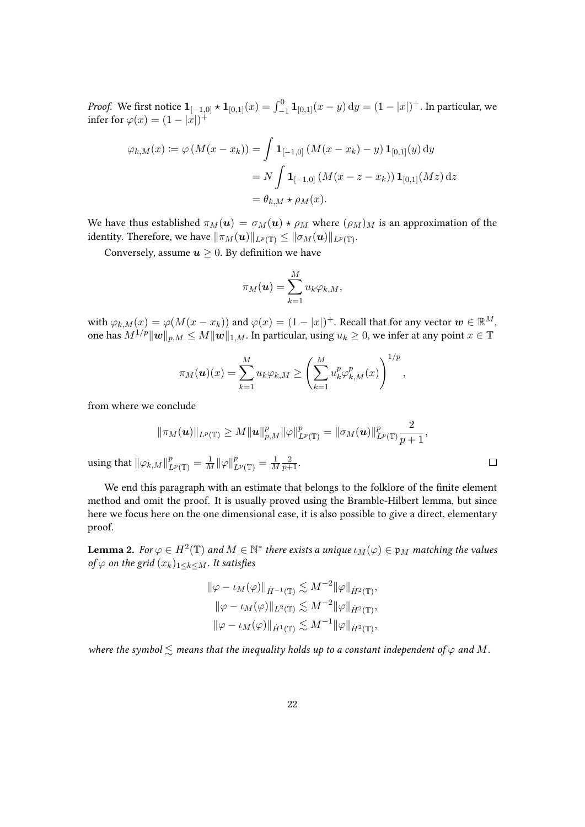*Proof.* We first notice  $\mathbf{1}_{[-1,0]} \star \mathbf{1}_{[0,1]}(x) = \int_{-1}^{0} \mathbf{1}_{[0,1]}(x-y) \, \mathrm{d}y = (1-|x|)^+.$  In particular, we infer for  $\varphi(x) = (1 - |x|)^+$ 

$$
\varphi_{k,M}(x) := \varphi(M(x - x_k)) = \int \mathbf{1}_{[-1,0]} \left( M(x - x_k) - y \right) \mathbf{1}_{[0,1]}(y) \, dy
$$

$$
= N \int \mathbf{1}_{[-1,0]} \left( M(x - z - x_k) \right) \mathbf{1}_{[0,1]}(Mz) \, dz
$$

$$
= \theta_{k,M} \star \rho_M(x).
$$

We have thus established  $\pi_M(u) = \sigma_M(u) \star \rho_M$  where  $(\rho_M)_M$  is an approximation of the identity. Therefore, we have  $\|\pi_M(\boldsymbol{u})\|_{L^p(\mathbb{T})}\le\|\sigma_M(\boldsymbol{u})\|_{L^p(\mathbb{T})}.$ 

Conversely, assume  $u \geq 0$ . By definition we have

$$
\pi_M(\boldsymbol{u}) = \sum_{k=1}^M u_k \varphi_{k,M},
$$

with  $\varphi_{k,M}(x)=\varphi(M(x-x_k))$  and  $\varphi(x)=(1-|x|)^+$ . Recall that for any vector  $\boldsymbol{w}\in\mathbb{R}^M,$ one has  $M^{1/p}||w||_{p,M} \leq M||w||_{1,M}$ . In particular, using  $u_k \geq 0$ , we infer at any point  $x \in \mathbb{T}$ 

$$
\pi_M(\boldsymbol{u})(x) = \sum_{k=1}^M u_k \varphi_{k,M} \ge \left(\sum_{k=1}^M u_k^p \varphi_{k,M}^p(x)\right)^{1/p},
$$

from where we conclude

$$
\|\pi_M(\boldsymbol{u})\|_{L^p(\mathbb{T})}\geq M\|\boldsymbol{u}\|_{p,M}^p\|\varphi\|_{L^p(\mathbb{T})}^p=\|\sigma_M(\boldsymbol{u})\|_{L^p(\mathbb{T})}^p\frac{2}{p+1},
$$

 $\Box$ 

using that  $\|\varphi_{k,M}\|_{L^p(\mathbb{T})}^p = \frac{1}{M} \|\varphi\|_{L^p(\mathbb{T})}^p = \frac{1}{M}$ M  $rac{2}{p+1}$ .

We end this paragraph with an estimate that belongs to the folklore of the finite element method and omit the proof. It is usually proved using the Bramble-Hilbert lemma, but since here we focus here on the one dimensional case, it is also possible to give a direct, elementary proof.

<span id="page-21-0"></span>**Lemma 2.** For  $\varphi \in H^2(\mathbb{T})$  and  $M \in \mathbb{N}^*$  there exists a unique  $\iota_M(\varphi) \in \mathfrak{p}_M$  matching the values of  $\varphi$  on the grid  $(x_k)_{1\leq k\leq M}$ . It satisfies

$$
\|\varphi - \iota_M(\varphi)\|_{\dot{H}^{-1}(\mathbb{T})} \lesssim M^{-2} \|\varphi\|_{\dot{H}^2(\mathbb{T})},
$$
  

$$
\|\varphi - \iota_M(\varphi)\|_{L^2(\mathbb{T})} \lesssim M^{-2} \|\varphi\|_{\dot{H}^2(\mathbb{T})},
$$
  

$$
\|\varphi - \iota_M(\varphi)\|_{\dot{H}^1(\mathbb{T})} \lesssim M^{-1} \|\varphi\|_{\dot{H}^2(\mathbb{T})},
$$

where the symbol  $\leq$  means that the inequality holds up to a constant independent of  $\varphi$  and M.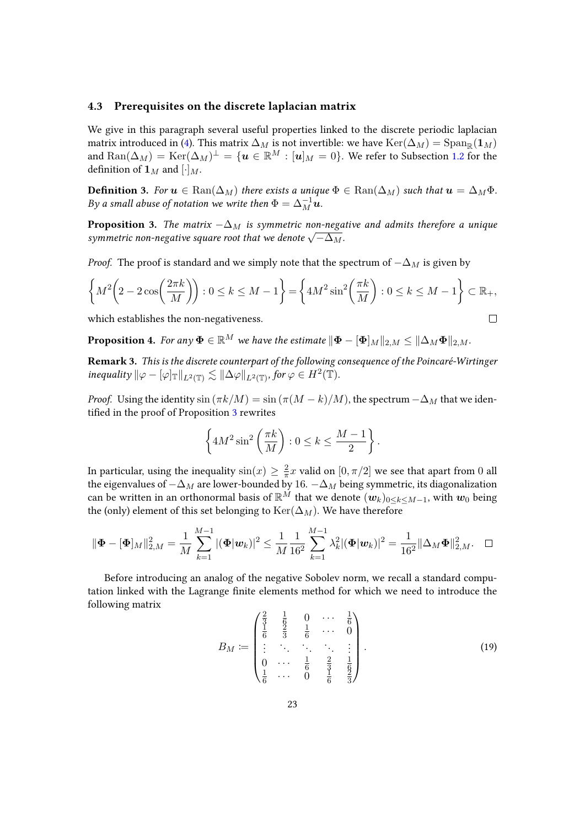### <span id="page-22-3"></span>4.3 Prerequisites on the discrete laplacian matrix

We give in this paragraph several useful properties linked to the discrete periodic laplacian matrix introduced in [\(4\)](#page-8-1). This matrix  $\Delta_M$  is not invertible: we have  $\text{Ker}(\Delta_M) = \text{Span}_{\mathbb{R}}(\mathbf{1}_M)$ and  ${\rm Ran}(\Delta_M)={\rm Ker}(\Delta_M)^\perp=\{{\bm u}\in{\mathbb R}^M:[{\bm u}]_M=0\}.$  We refer to Subsection [1.2](#page-5-0) for the definition of  $\mathbf{1}_M$  and  $[\cdot]_M$ .

**Definition 3.** For  $u \in \text{Ran}(\Delta_M)$  there exists a unique  $\Phi \in \text{Ran}(\Delta_M)$  such that  $u = \Delta_M \Phi$ . By a small abuse of notation we write then  $\Phi = \Delta_M^{-1} \bm u.$ 

<span id="page-22-0"></span>**Proposition 3.** The matrix  $-\Delta_M$  is symmetric non-negative and admits therefore a unique **Proposition 5.** The matrix  $-\Delta_M$  is symmetric non-negative square root that we denote  $\sqrt{-\Delta_M}$ .

*Proof.* The proof is standard and we simply note that the spectrum of  $-\Delta_M$  is given by

$$
\left\{ M^2 \left( 2 - 2\cos\left(\frac{2\pi k}{M}\right) \right) : 0 \le k \le M - 1 \right\} = \left\{ 4M^2 \sin^2\left(\frac{\pi k}{M}\right) : 0 \le k \le M - 1 \right\} \subset \mathbb{R}_+,
$$
  
which establishes the non-negativeness.

which establishes the non-negativeness.

<span id="page-22-2"></span>**Proposition 4.** For any  $\mathbf{\Phi} \in \mathbb{R}^M$  we have the estimate  $\|\mathbf{\Phi} - [\mathbf{\Phi}]_M\|_{2,M} \leq \|\Delta_M\mathbf{\Phi}\|_{2,M}$ .

Remark 3. This is the discrete counterpart of the following consequence of the Poincaré-Wirtinger inequality  $\|\varphi - [\varphi]_{\mathbb{T}}\|_{L^2(\mathbb{T})} \lesssim \|\Delta \varphi\|_{L^2(\mathbb{T})}$ , for  $\varphi \in H^2(\mathbb{T})$ .

*Proof.* Using the identity  $\sin(\pi k/M) = \sin(\pi (M - k)/M)$ , the spectrum  $-\Delta_M$  that we iden-tified in the proof of Proposition [3](#page-22-0) rewrites

$$
\left\{ 4M^2 \sin^2 \left( \frac{\pi k}{M} \right) : 0 \le k \le \frac{M-1}{2} \right\}.
$$

In particular, using the inequality  $\sin(x) \geq \frac{2}{\pi}$  $\frac{2}{\pi}x$  valid on  $[0, \pi/2]$  we see that apart from 0 all the eigenvalues of  $-\Delta_M$  are lower-bounded by 16.  $-\Delta_M$  being symmetric, its diagonalization can be written in an orthonormal basis of  $\mathbb{R}^M$  that we denote  $(w_k)_{0\leq k\leq M-1}$ , with  $w_0$  being the (only) element of this set belonging to  $\text{Ker}(\Delta_M)$ . We have therefore

$$
\|\mathbf{\Phi}-[\mathbf{\Phi}]_M\|_{2,M}^2=\frac{1}{M}\sum_{k=1}^{M-1}|(\mathbf{\Phi}|\mathbf{w}_k)|^2\leq \frac{1}{M}\frac{1}{16^2}\sum_{k=1}^{M-1}\lambda_k^2|(\mathbf{\Phi}|\mathbf{w}_k)|^2=\frac{1}{16^2}\|\Delta_M\mathbf{\Phi}\|_{2,M}^2.\quad \Box
$$

Before introducing an analog of the negative Sobolev norm, we recall a standard computation linked with the Lagrange finite elements method for which we need to introduce the following matrix

<span id="page-22-1"></span>
$$
B_M := \begin{pmatrix} \frac{2}{3} & \frac{1}{6} & 0 & \cdots & \frac{1}{6} \\ \frac{1}{6} & \frac{2}{3} & \frac{1}{6} & \cdots & 0 \\ \vdots & \ddots & \ddots & \ddots & \vdots \\ 0 & \cdots & \frac{1}{6} & \frac{2}{3} & \frac{1}{6} \\ \frac{1}{6} & \cdots & 0 & \frac{1}{6} & \frac{2}{3} \end{pmatrix} .
$$
 (19)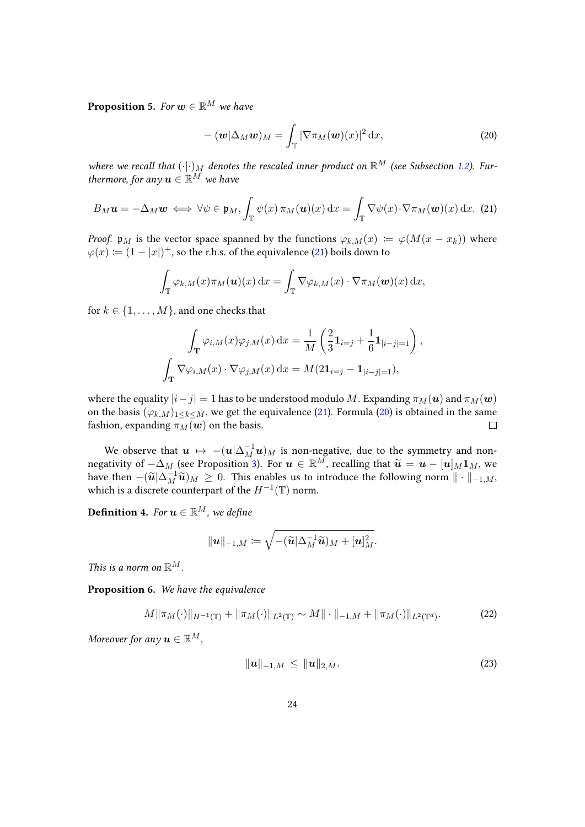<span id="page-23-3"></span>**Proposition 5.** For  $w \in \mathbb{R}^M$  we have

<span id="page-23-1"></span>
$$
-(\boldsymbol{w}|\Delta_M\boldsymbol{w})_M = \int_{\mathbb{T}} |\nabla \pi_M(\boldsymbol{w})(x)|^2 dx,
$$
\n(20)

where we recall that  $(\cdot| \cdot)_M$  denotes the rescaled inner product on  $\mathbb{R}^M$  (see Subsection [1.2\)](#page-5-0). Furthermore, for any  $\mathbf{u} \in \mathbb{R}^M$  we have

<span id="page-23-0"></span>
$$
B_M u = -\Delta_M w \iff \forall \psi \in \mathfrak{p}_M, \int_{\mathbb{T}} \psi(x) \, \pi_M(u)(x) \, dx = \int_{\mathbb{T}} \nabla \psi(x) \cdot \nabla \pi_M(w)(x) \, dx. \tag{21}
$$

*Proof.*  $\mathfrak{p}_M$  is the vector space spanned by the functions  $\varphi_{k,M}(x) := \varphi(M(x - x_k))$  where  $\varphi(x) := (1 - |x|)^{+}$ , so the r.h.s. of the equivalence [\(21\)](#page-23-0) boils down to

$$
\int_{\mathbb{T}} \varphi_{k,M}(x) \pi_M(\boldsymbol{u})(x) dx = \int_{\mathbb{T}} \nabla \varphi_{k,M}(x) \cdot \nabla \pi_M(\boldsymbol{w})(x) dx,
$$

for  $k \in \{1, \ldots, M\}$ , and one checks that

$$
\int_{\mathbf{T}} \varphi_{i,M}(x)\varphi_{j,M}(x) dx = \frac{1}{M} \left( \frac{2}{3} \mathbf{1}_{i=j} + \frac{1}{6} \mathbf{1}_{|i-j|=1} \right),
$$

$$
\int_{\mathbf{T}} \nabla \varphi_{i,M}(x) \cdot \nabla \varphi_{j,M}(x) dx = M(2\mathbf{1}_{i=j} - \mathbf{1}_{|i-j|=1}),
$$

where the equality  $|i-j|=1$  has to be understood modulo M. Expanding  $\pi_M(u)$  and  $\pi_M(w)$ on the basis  $(\varphi_{k,M})_{1\leq k\leq M}$ , we get the equivalence [\(21\)](#page-23-0). Formula [\(20\)](#page-23-1) is obtained in the same fashion, expanding  $\pi_M(\boldsymbol{w})$  on the basis.  $\Box$ 

We observe that  $\bm{u} \: \mapsto \: -(\bm{u}|\Delta_M^{-1}\bm{u})_M$  is non-negative, due to the symmetry and nonnegativity of  $-\Delta_M$  (see Proposition [3\)](#page-22-0). For  $u \in \mathbb{R}^M$ , recalling that  $\widetilde{u} = u - [u]_M 1_M$ , we have then  $(\widetilde{u} | \Delta^{-1} \widetilde{u})_{\Delta} > 0$ . This anables us to introduce the following narm  $\|\cdot\|$ have then  $-(\widetilde{\mathbf{u}}|\Delta_M^{-1}\widetilde{\mathbf{u}})_M \geq 0$ . This enables us to introduce the following norm  $\|\cdot\|_{-1,M}$ , which is a discrete counterpart of the  $H^{-1}(\mathbb{T})$  norm.

**Definition 4.** For  $u \in \mathbb{R}^M$ , we define

$$
\|\boldsymbol{u}\|_{-1,M}\coloneqq\sqrt{-(\widetilde{\boldsymbol{u}}|\Delta_M^{-1}\widetilde{\boldsymbol{u}})_M+[\boldsymbol{u}]_M^2}.
$$

This is a norm on  $\mathbb{R}^M$ .

<span id="page-23-5"></span>Proposition 6. We have the equivalence

$$
M\|\pi_M(\cdot)\|_{H^{-1}(\mathbb{T})} + \|\pi_M(\cdot)\|_{L^2(\mathbb{T})} \sim M\|\cdot\|_{-1,M} + \|\pi_M(\cdot)\|_{L^2(\mathbb{T}^d)}.\tag{22}
$$

Moreover for any  $\mathbf{u} \in \mathbb{R}^M$ ,

<span id="page-23-4"></span><span id="page-23-2"></span>
$$
\|\mathbf{u}\|_{-1,M} \le \|\mathbf{u}\|_{2,M}.\tag{23}
$$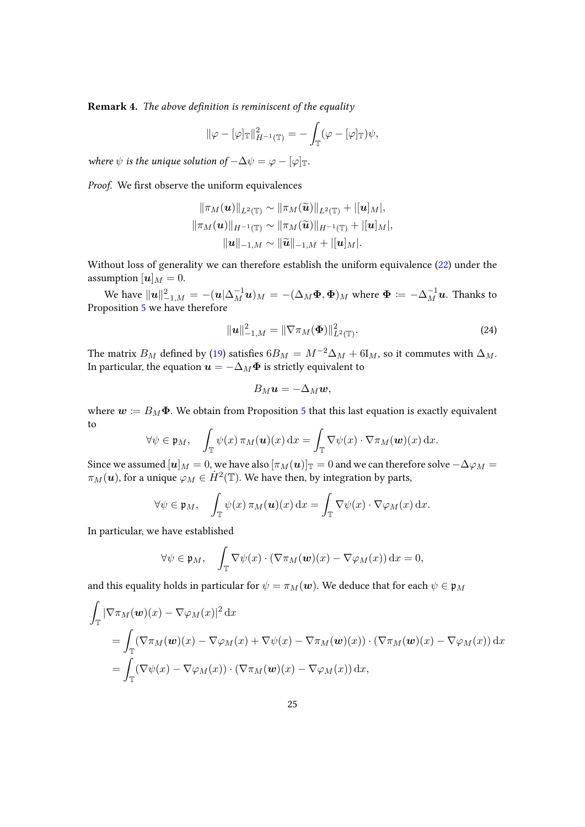**Remark 4.** The above definition is reminiscent of the equality

$$
\|\varphi - [\varphi]_{\mathbb{T}}\|_{H^{-1}(\mathbb{T})}^2 = -\int_{\mathbb{T}} (\varphi - [\varphi]_{\mathbb{T}}) \psi,
$$

where  $\psi$  is the unique solution of  $-\Delta \psi = \varphi - [\varphi]_{\mathbb{T}}$ .

Proof. We first observe the uniform equivalences

$$
\|\pi_M(\boldsymbol{u})\|_{L^2(\mathbb{T})} \sim \|\pi_M(\widetilde{\boldsymbol{u}})\|_{L^2(\mathbb{T})} + |[\boldsymbol{u}]_M|,
$$
  

$$
\|\pi_M(\boldsymbol{u})\|_{H^{-1}(\mathbb{T})} \sim \|\pi_M(\widetilde{\boldsymbol{u}})\|_{H^{-1}(\mathbb{T})} + |[\boldsymbol{u}]_M|,
$$
  

$$
\|\boldsymbol{u}\|_{-1,M} \sim \|\widetilde{\boldsymbol{u}}\|_{-1,M} + |[\boldsymbol{u}]_M|.
$$

Without loss of generality we can therefore establish the uniform equivalence [\(22\)](#page-23-2) under the assumption  $[u]_M = 0$ .

We have  $\| \bm{u} \|_{-1,M}^2 = -(\bm{u}|\Delta_M^{-1}\bm{u})_M = -(\Delta_M \bm{\Phi}, \bm{\Phi})_M$  where  $\bm{\Phi} \coloneqq -\Delta_M^{-1} \bm{u}$ . Thanks to Proposition [5](#page-23-3) we have therefore

$$
\|\mathbf{u}\|_{-1,M}^2 = \|\nabla \pi_M(\mathbf{\Phi})\|_{L^2(\mathbb{T})}^2.
$$
 (24)

The matrix B<sub>M</sub> defined by [\(19\)](#page-22-1) satisfies  $6B_M = M^{-2}\Delta_M + 6I_M$ , so it commutes with  $\Delta_M$ . In particular, the equation  $\mathbf{u} = -\Delta_M \mathbf{\Phi}$  is strictly equivalent to

<span id="page-24-0"></span>
$$
B_M u = -\Delta_M w,
$$

where  $w := B_M \Phi$ . We obtain from Proposition [5](#page-23-3) that this last equation is exactly equivalent to

$$
\forall \psi \in \mathfrak{p}_M, \quad \int_{\mathbb{T}} \psi(x) \, \pi_M(\boldsymbol{u})(x) \, dx = \int_{\mathbb{T}} \nabla \psi(x) \cdot \nabla \pi_M(\boldsymbol{w})(x) \, dx.
$$

Since we assumed  $[u]_M = 0$ , we have also  $[\pi_M(u)]_{\mathbb{T}} = 0$  and we can therefore solve  $-\Delta \varphi_M =$  $\pi_M(\boldsymbol{u})$ , for a unique  $\varphi_M\in \dot{H}^2(\mathbb{T}).$  We have then, by integration by parts,

$$
\forall \psi \in \mathfrak{p}_M, \quad \int_{\mathbb{T}} \psi(x) \, \pi_M(\mathbf{u})(x) \, dx = \int_{\mathbb{T}} \nabla \psi(x) \cdot \nabla \varphi_M(x) \, dx.
$$

In particular, we have established

$$
\forall \psi \in \mathfrak{p}_M, \quad \int_{\mathbb{T}} \nabla \psi(x) \cdot (\nabla \pi_M(\boldsymbol{w})(x) - \nabla \varphi_M(x)) \, \mathrm{d}x = 0,
$$

and this equality holds in particular for  $\psi = \pi_M(\boldsymbol{w})$ . We deduce that for each  $\psi \in \mathfrak{p}_M$ 

$$
\int_{\mathbb{T}} |\nabla \pi_M(\mathbf{w})(x) - \nabla \varphi_M(x)|^2 dx
$$
\n
$$
= \int_{\mathbb{T}} (\nabla \pi_M(\mathbf{w})(x) - \nabla \varphi_M(x) + \nabla \psi(x) - \nabla \pi_M(\mathbf{w})(x)) \cdot (\nabla \pi_M(\mathbf{w})(x) - \nabla \varphi_M(x)) dx
$$
\n
$$
= \int_{\mathbb{T}} (\nabla \psi(x) - \nabla \varphi_M(x)) \cdot (\nabla \pi_M(\mathbf{w})(x) - \nabla \varphi_M(x)) dx,
$$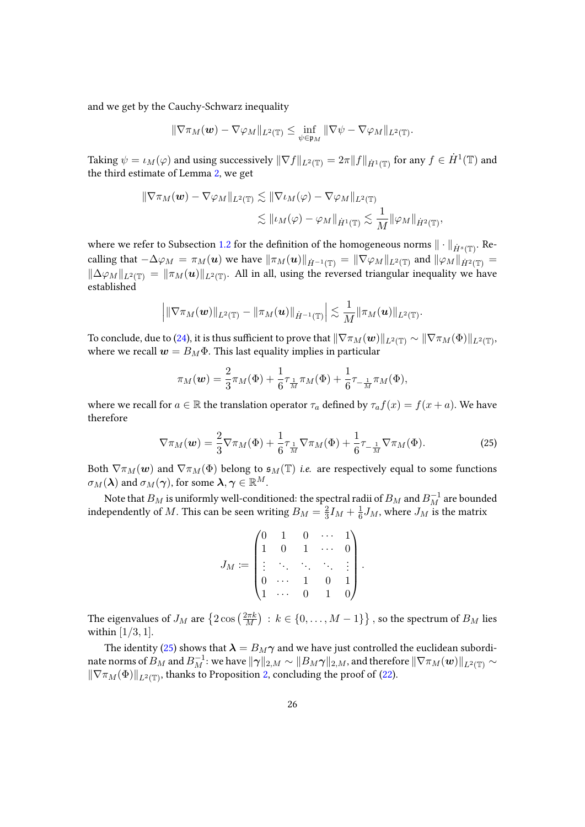and we get by the Cauchy-Schwarz inequality

$$
\|\nabla \pi_M(\boldsymbol{w})-\nabla \varphi_M\|_{L^2(\mathbb{T})}\leq \inf_{\psi\in\mathfrak{p}_M}\|\nabla \psi-\nabla \varphi_M\|_{L^2(\mathbb{T})}.
$$

Taking  $\psi = \iota_M(\varphi)$  and using successively  $\|\nabla f\|_{L^2(\mathbb{T})} = 2\pi \|f\|_{\dot{H}^1(\mathbb{T})}$  for any  $f\in \dot{H}^1(\mathbb{T})$  and the third estimate of Lemma [2,](#page-21-0) we get

$$
\|\nabla \pi_M(\boldsymbol{w}) - \nabla \varphi_M\|_{L^2(\mathbb{T})} \lesssim \|\nabla \iota_M(\varphi) - \nabla \varphi_M\|_{L^2(\mathbb{T})}
$$
  

$$
\lesssim \|\iota_M(\varphi) - \varphi_M\|_{\dot{H}^1(\mathbb{T})} \lesssim \frac{1}{M} \|\varphi_M\|_{\dot{H}^2(\mathbb{T})},
$$

where we refer to Subsection [1.2](#page-5-0) for the definition of the homogeneous norms  $\|\cdot\|_{\dot{H}^s(\mathbb{T})}$ . Recalling that  $-\Delta\varphi_M = \pi_M(\boldsymbol{u})$  we have  $\|\pi_M(\boldsymbol{u})\|_{\dot{H}^{-1}(\mathbb{T})} = \|\nabla\varphi_M\|_{L^2(\mathbb{T})}$  and  $\|\varphi_M\|_{\dot{H}^2(\mathbb{T})} =$  $\|\Delta\varphi_M\|_{L^2(\mathbb{T})} = \|\pi_M(u)\|_{L^2(\mathbb{T})}$ . All in all, using the reversed triangular inequality we have established

$$
\Big|\|\nabla\pi_M(\boldsymbol{w})\|_{L^2(\mathbb{T})}-\|\pi_M(\boldsymbol{u})\|_{\dot{H}^{-1}(\mathbb{T})}\Big|\lesssim \frac{1}{M}\|\pi_M(\boldsymbol{u})\|_{L^2(\mathbb{T})}.
$$

To conclude, due to [\(24\)](#page-24-0), it is thus sufficient to prove that  $\|\nabla\pi_M(\bm{w})\|_{L^2(\mathbb{T})}\sim\|\nabla\pi_M(\Phi)\|_{L^2(\mathbb{T})},$ where we recall  $w = B_M \Phi$ . This last equality implies in particular

$$
\pi_M(\mathbf{w}) = \frac{2}{3}\pi_M(\Phi) + \frac{1}{6}\tau_{\frac{1}{M}}\pi_M(\Phi) + \frac{1}{6}\tau_{-\frac{1}{M}}\pi_M(\Phi),
$$

where we recall for  $a \in \mathbb{R}$  the translation operator  $\tau_a$  defined by  $\tau_a f(x) = f(x + a)$ . We have therefore

$$
\nabla \pi_M(\mathbf{w}) = \frac{2}{3} \nabla \pi_M(\Phi) + \frac{1}{6} \tau_{\frac{1}{M}} \nabla \pi_M(\Phi) + \frac{1}{6} \tau_{-\frac{1}{M}} \nabla \pi_M(\Phi).
$$
 (25)

Both  $\nabla \pi_M(w)$  and  $\nabla \pi_M(\Phi)$  belong to  $\mathfrak{s}_M(\mathbb{T})$  i.e. are respectively equal to some functions  $\sigma_M(\lambda)$  and  $\sigma_M(\gamma)$ , for some  $\lambda, \gamma \in \mathbb{R}^M$ .

Note that  $B_M$  is uniformly well-conditioned: the spectral radii of  $B_M$  and  $B_M^{-1}$  are bounded independently of M. This can be seen writing  $B_M = \frac{2}{3}$  $\frac{2}{3}I_M + \frac{1}{6}$  $\frac{1}{6}J_M$ , where  $J_M$  is the matrix

<span id="page-25-0"></span>
$$
J_M \coloneqq \begin{pmatrix} 0 & 1 & 0 & \cdots & 1 \\ 1 & 0 & 1 & \cdots & 0 \\ \vdots & \ddots & \ddots & \ddots & \vdots \\ 0 & \cdots & 1 & 0 & 1 \\ 1 & \cdots & 0 & 1 & 0 \end{pmatrix}.
$$

The eigenvalues of  $J_M$  are  $\left\{2\cos\left(\frac{2\pi k}{M}\right)\right\}$  $\left(\frac{2\pi k}{M}\right)\,:\,k\in\{0,\ldots,M-1\}\big\}$  , so the spectrum of  $B_M$  lies within  $[1/3, 1]$ .

The identity [\(25\)](#page-25-0) shows that  $\lambda = B_M \gamma$  and we have just controlled the euclidean subordinate norms of  $B_M$  and  $B_M^{-1}$ : we have  $\|\bm{\gamma}\|_{2,M}\sim \|B_M\bm{\gamma}\|_{2,M}$ , and therefore  $\|\nabla \pi_M(\bm{w})\|_{L^2(\mathbb{T})}\sim$  $\|\nabla \pi_M(\Phi)\|_{L^2(\mathbb{T})}$ , thanks to Proposition [2,](#page-20-1) concluding the proof of [\(22\)](#page-23-2).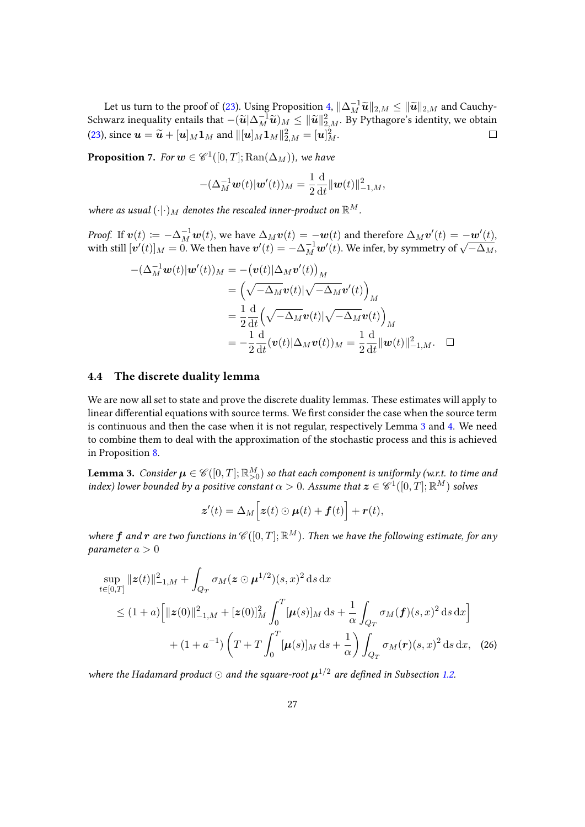Let us turn to the proof of [\(23\)](#page-23-4). Using Proposition [4,](#page-22-2)  $\|\Delta_M^{-1}\tilde{u}\|_{2,M} \le \|\tilde{u}\|_{2,M}$  and Cauchy-<br>were inequality ortails that  $\|\tilde{u}\|_{2,\infty} \le \|\tilde{u}\|_{2,\infty}$ . By Bythegan's identity we obtain Schwarz inequality entails that  $-(\widetilde{u}|\Delta_M^{-1}\widetilde{u})_M \leq \|\widetilde{u}\|_{2,M}^2$ . By Pythagore's identity, we obtain [\(23\)](#page-23-4), since  $\boldsymbol{u} = \widetilde{\boldsymbol{u}} + [\boldsymbol{u}]_M \boldsymbol{1}_M$  and  $\|[\boldsymbol{u}]_M \boldsymbol{1}_M\|_{2,M}^2 = [\boldsymbol{u}]_M^2$ .

<span id="page-26-2"></span>**Proposition 7.** For  $w \in \mathscr{C}^1([0,T]; \text{Ran}(\Delta_M))$ , we have

$$
-(\Delta_M^{-1} \mathbf{w}(t) \|\mathbf{w}'(t))_M = \frac{1}{2} \frac{\mathrm{d}}{\mathrm{d}t} \|\mathbf{w}(t)\|_{-1,M}^2,
$$

where as usual  $(\cdot|·)$ <sub>M</sub> denotes the rescaled inner-product on  $\mathbb{R}^M$ .

*Proof.* If  $\mathbf{v}(t) := -\Delta_M^{-1} \mathbf{w}(t)$ , we have  $\Delta_M \mathbf{v}(t) = -\mathbf{w}(t)$  and therefore  $\Delta_M \mathbf{v}'(t) = -\mathbf{w}'(t)$ , *Proof.* If  $v(t) = -\Delta_M w(t)$ , we have  $\Delta_M v(t) = -w(t)$  and therefore  $\Delta_M v(t) = -w(t)$ ,<br>with still  $[v'(t)]_M = 0$ . We then have  $v'(t) = -\Delta_M^{-1} w'(t)$ . We infer, by symmetry of  $\sqrt{-\Delta_M}$ ,

$$
-(\Delta_M^{-1} \mathbf{w}(t)|\mathbf{w}'(t))_M = -(\mathbf{v}(t)|\Delta_M \mathbf{v}'(t))_M
$$
  
\n
$$
= (\sqrt{-\Delta_M} \mathbf{v}(t)|\sqrt{-\Delta_M} \mathbf{v}'(t))_M
$$
  
\n
$$
= \frac{1}{2} \frac{d}{dt} (\sqrt{-\Delta_M} \mathbf{v}(t)|\sqrt{-\Delta_M} \mathbf{v}(t))_M
$$
  
\n
$$
= -\frac{1}{2} \frac{d}{dt} (\mathbf{v}(t)|\Delta_M \mathbf{v}(t))_M = \frac{1}{2} \frac{d}{dt} ||\mathbf{w}(t)||_{-1,M}^2. \quad \Box
$$

### <span id="page-26-0"></span>4.4 The discrete duality lemma

We are now all set to state and prove the discrete duality lemmas. These estimates will apply to linear differential equations with source terms. We first consider the case when the source term is continuous and then the case when it is not regular, respectively Lemma [3](#page-26-1) and [4.](#page-28-0) We need to combine them to deal with the approximation of the stochastic process and this is achieved in Proposition [8.](#page-29-0)

<span id="page-26-1"></span>**Lemma 3.** Consider  $\pmb{\mu}\in \mathscr{C}([0,T];\mathbb{R}_{>0}^M)$  so that each component is uniformly (w.r.t. to time and index) lower bounded by a positive constant  $\alpha > 0$ . Assume that  $\boldsymbol{z} \in \mathscr{C}^1([0,T]; \mathbb{R}^M)$  solves

<span id="page-26-3"></span>
$$
\boldsymbol{z}'(t) = \Delta_M \Big[ \boldsymbol{z}(t) \odot \boldsymbol{\mu}(t) + \boldsymbol{f}(t) \Big] + \boldsymbol{r}(t),
$$

where f and r are two functions in  $\mathscr{C}([0,T];\mathbb{R}^M)$ . Then we have the following estimate, for any parameter  $a > 0$ 

$$
\sup_{t \in [0,T]} \|z(t)\|_{-1,M}^2 + \int_{Q_T} \sigma_M(z \odot \mu^{1/2})(s,x)^2 ds dx
$$
  
\n
$$
\leq (1+a) \Big[ \|z(0)\|_{-1,M}^2 + [z(0)]_M^2 \int_0^T [\mu(s)]_M ds + \frac{1}{\alpha} \int_{Q_T} \sigma_M(f)(s,x)^2 ds dx \Big] + (1+a^{-1}) \left( T + T \int_0^T [\mu(s)]_M ds + \frac{1}{\alpha} \right) \int_{Q_T} \sigma_M(r)(s,x)^2 ds dx, (26)
$$

where the Hadamard product  $\odot$  and the square-root  $\boldsymbol{\mu}^{1/2}$  are defined in Subsection [1.2.](#page-5-0)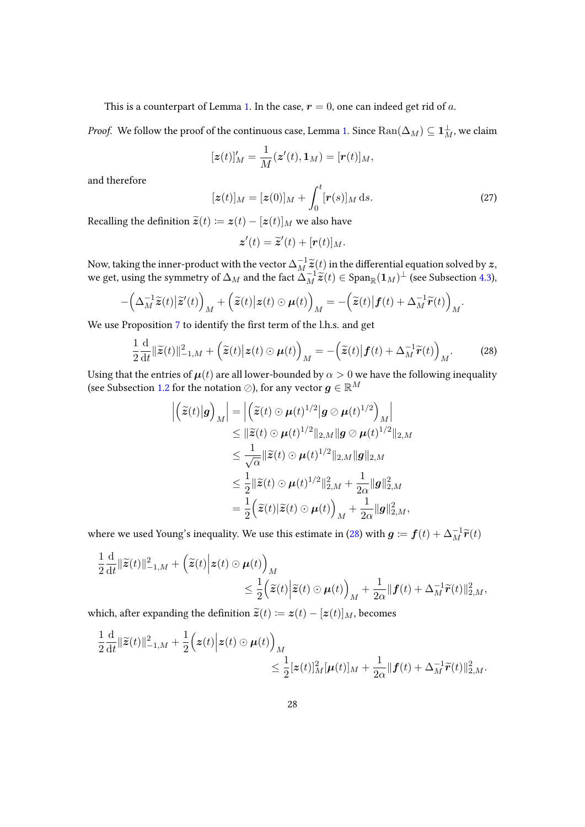This is a counterpart of Lemma [1.](#page-17-4) In the case,  $r = 0$ , one can indeed get rid of a.

*Proof.* We follow the proof of the continuous case, Lemma [1.](#page-17-4) Since  ${\rm Ran}(\Delta_M)\subseteq \mathbf{1}_M^\bot,$  we claim

$$
[\boldsymbol{z}(t)]_M' = \frac{1}{M}(\boldsymbol{z}'(t), \mathbf{1}_M) = [\boldsymbol{r}(t)]_M,
$$

and therefore

<span id="page-27-1"></span>
$$
[\boldsymbol{z}(t)]_M = [\boldsymbol{z}(0)]_M + \int_0^t [\boldsymbol{r}(s)]_M \, \mathrm{d}s. \tag{27}
$$

Recalling the definition  $\widetilde{\mathbf{z}}(t) := \mathbf{z}(t) - [\mathbf{z}(t)]_M$  we also have

$$
\boldsymbol{z}'(t) = \widetilde{\boldsymbol{z}}'(t) + [\boldsymbol{r}(t)]_M.
$$

Now, taking the inner-product with the vector  $\Delta_M^{-1} \tilde{z}(t)$  in the differential equation solved by  $\boldsymbol{z}$ , we get, using the symmetry of  $\Delta_M$  and the fact  $\Delta_M^{-1} \tilde{z}(t) \in \text{Span}_{\mathbb{R}}(\mathbf{1}_M)^{\perp}$  (see Subsection 4.

$$
-\Big(\Delta_M^{-1}\widetilde{\boldsymbol{z}}(t)\big|\widetilde{\boldsymbol{z}}'(t)\Big)_M+\Big(\widetilde{\boldsymbol{z}}(t)\big|\boldsymbol{z}(t)\odot \boldsymbol{\mu}(t)\Big)_M=-\Big(\widetilde{\boldsymbol{z}}(t)\big|\boldsymbol{f}(t)+\Delta_M^{-1}\widetilde{\boldsymbol{r}}(t)\Big)_M.
$$

We use Proposition [7](#page-26-2) to identify the first term of the l.h.s. and get

<span id="page-27-0"></span>
$$
\frac{1}{2}\frac{\mathrm{d}}{\mathrm{d}t}\|\widetilde{\mathbf{z}}(t)\|_{-1,M}^2 + \left(\widetilde{\mathbf{z}}(t)\big|\mathbf{z}(t)\odot\boldsymbol{\mu}(t)\right)_M = -\left(\widetilde{\mathbf{z}}(t)\big|\boldsymbol{f}(t) + \Delta_M^{-1}\widetilde{\boldsymbol{r}}(t)\right)_M.
$$
 (28)

Using that the entries of  $\mu(t)$  are all lower-bounded by  $\alpha > 0$  we have the following inequality (see Subsection [1.2](#page-5-0) for the notation  $\oslash$ ), for any vector  $g \in \mathbb{R}^M$ 

$$
\begin{aligned}\n\left| \left( \tilde{\mathbf{z}}(t) \middle| \mathbf{g} \right)_M \right| &= \left| \left( \tilde{\mathbf{z}}(t) \odot \boldsymbol{\mu}(t)^{1/2} \middle| \mathbf{g} \oslash \boldsymbol{\mu}(t)^{1/2} \right)_M \right| \\
&\leq \|\tilde{\mathbf{z}}(t) \odot \boldsymbol{\mu}(t)^{1/2} \|_{2,M} \|\mathbf{g} \oslash \boldsymbol{\mu}(t)^{1/2} \|_{2,M} \\
&\leq \frac{1}{\sqrt{\alpha}} \|\tilde{\mathbf{z}}(t) \odot \boldsymbol{\mu}(t)^{1/2} \|_{2,M} \|\mathbf{g}\|_{2,M} \\
&\leq \frac{1}{2} \|\tilde{\mathbf{z}}(t) \odot \boldsymbol{\mu}(t)^{1/2} \|_{2,M}^2 + \frac{1}{2\alpha} \|\mathbf{g}\|_{2,M}^2 \\
&= \frac{1}{2} \Big( \tilde{\mathbf{z}}(t) \|\tilde{\mathbf{z}}(t) \odot \boldsymbol{\mu}(t) \Big)_M + \frac{1}{2\alpha} \|\mathbf{g}\|_{2,M}^2,\n\end{aligned}
$$

where we used Young's inequality. We use this estimate in [\(28\)](#page-27-0) with  $\bm{g} \coloneqq \bm{f}(t) + \Delta_M^{-1} \widetilde{\bm{r}}(t)$ 

$$
\frac{1}{2}\frac{\mathrm{d}}{\mathrm{d}t}\|\widetilde{\mathbf{z}}(t)\|_{-1,M}^2 + \left(\widetilde{\mathbf{z}}(t)\Big|\mathbf{z}(t)\odot \boldsymbol{\mu}(t)\right)_M \leq \frac{1}{2}\left(\widetilde{\mathbf{z}}(t)\Big|\widetilde{\mathbf{z}}(t)\odot \boldsymbol{\mu}(t)\right)_M + \frac{1}{2\alpha}\|\boldsymbol{f}(t) + \Delta_M^{-1}\widetilde{\boldsymbol{r}}(t)\|_{2,M}^2,
$$

which, after expanding the definition  $\widetilde{\mathbf{z}}(t) \coloneqq \mathbf{z}(t) - [\mathbf{z}(t)]_M$ , becomes

$$
\frac{1}{2}\frac{\mathrm{d}}{\mathrm{d}t}\|\widetilde{\mathbf{z}}(t)\|_{-1,M}^2 + \frac{1}{2}\Big(\mathbf{z}(t)\Big|\mathbf{z}(t)\odot \boldsymbol{\mu}(t)\Big)_M \\ \leq \frac{1}{2}[\mathbf{z}(t)]_M^2[\boldsymbol{\mu}(t)]_M + \frac{1}{2\alpha}\|\boldsymbol{f}(t) + \Delta_M^{-1}\widetilde{\boldsymbol{r}}(t)\|_{2,M}^2.
$$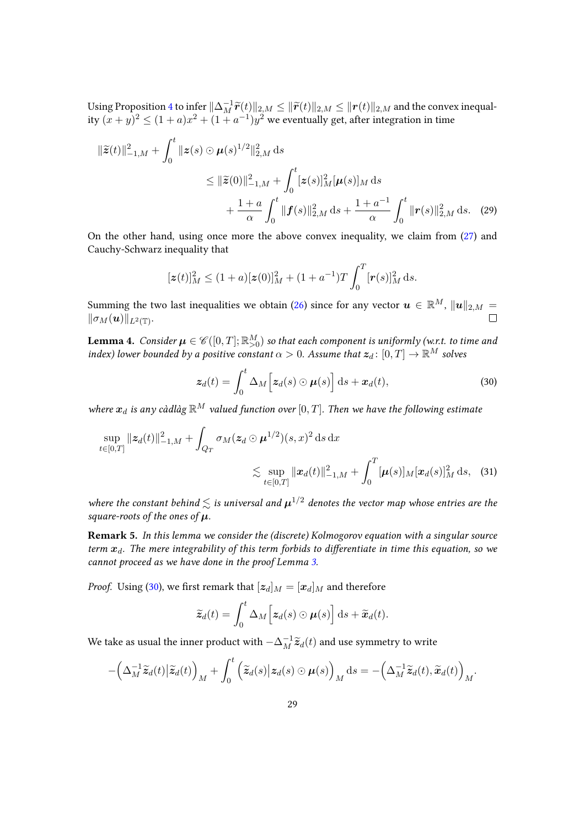Using Proposition [4](#page-22-2) to infer  $\|\Delta_M^{-1} \widetilde{\bm{r}}(t)\|_{2,M} \le \|\widetilde{\bm{r}}(t)\|_{2,M} \le \|{\bm{r}}(t)\|_{2,M}$  and the convex inequality  $(x + y)^2 \le (1 + a)x^2 + (1 + a^{-1})y^2$  we eventually get, after integration in time

$$
\|\tilde{z}(t)\|_{-1,M}^2 + \int_0^t \|z(s) \odot \mu(s)^{1/2}\|_{2,M}^2 ds
$$
  
\n
$$
\leq \|\tilde{z}(0)\|_{-1,M}^2 + \int_0^t [z(s)]_M^2 [\mu(s)]_M ds
$$
  
\n
$$
+ \frac{1+a}{\alpha} \int_0^t \|f(s)\|_{2,M}^2 ds + \frac{1+a^{-1}}{\alpha} \int_0^t \|r(s)\|_{2,M}^2 ds. \quad (29)
$$

On the other hand, using once more the above convex inequality, we claim from [\(27\)](#page-27-1) and Cauchy-Schwarz inequality that

$$
[\boldsymbol{z}(t)]_M^2 \le (1+a)[\boldsymbol{z}(0)]_M^2 + (1+a^{-1})T \int_0^T [\boldsymbol{r}(s)]_M^2 ds.
$$

Summing the two last inequalities we obtain [\(26\)](#page-26-3) since for any vector  $\mathbf{u} \in \mathbb{R}^{M}$ ,  $\|\mathbf{u}\|_{2,M} =$  $\|\sigma_M(\boldsymbol{u})\|_{L^2(\mathbb{T})}.$ 

<span id="page-28-0"></span>**Lemma 4.** Consider  $\pmb{\mu} \in \mathscr{C}([0,T];\mathbb{R}_{>0}^M)$  so that each component is uniformly (w.r.t. to time and index) lower bounded by a positive constant  $\alpha > 0$ . Assume that  $\boldsymbol{z}_d \colon [0,T] \to \mathbb{R}^M$  solves

<span id="page-28-2"></span><span id="page-28-1"></span>
$$
\boldsymbol{z}_d(t) = \int_0^t \Delta_M \Big[ \boldsymbol{z}_d(s) \odot \boldsymbol{\mu}(s) \Big] \, \mathrm{d}s + \boldsymbol{x}_d(t), \tag{30}
$$

where  $x_d$  is any càdlàg  $\mathbb{R}^M$  valued function over  $[0, T]$ . Then we have the following estimate

$$
\sup_{t \in [0,T]} \|z_d(t)\|_{-1,M}^2 + \int_{Q_T} \sigma_M(z_d \odot \boldsymbol{\mu}^{1/2})(s,x)^2 ds dx
$$
  
\$\lesssim \sup\_{t \in [0,T]} \|x\_d(t)\|\_{-1,M}^2 + \int\_0^T [\boldsymbol{\mu}(s)]\_M [\boldsymbol{x}\_d(s)]\_M^2 ds\$, (31)

where the constant behind  $\lesssim$  is universal and  $\mu^{1/2}$  denotes the vector map whose entries are the square-roots of the ones of  $\mu$ .

Remark 5. In this lemma we consider the (discrete) Kolmogorov equation with a singular source term  $x_d$ . The mere integrability of this term forbids to differentiate in time this equation, so we cannot proceed as we have done in the proof Lemma [3.](#page-26-1)

*Proof.* Using [\(30\)](#page-28-1), we first remark that  $[z_d]_M = [x_d]_M$  and therefore

$$
\widetilde{\boldsymbol{z}}_d(t) = \int_0^t \Delta_M \Big[ \boldsymbol{z}_d(s) \odot \boldsymbol{\mu}(s) \Big] \, \mathrm{d} s + \widetilde{\boldsymbol{x}}_d(t).
$$

We take as usual the inner product with  $-\Delta_M^{-1} \widetilde{\boldsymbol{z}}_d(t)$  and use symmetry to write

$$
-\left(\Delta_M^{-1}\widetilde{\boldsymbol{z}}_d(t)\big|\widetilde{\boldsymbol{z}}_d(t)\right)_M+\int_0^t\left(\widetilde{\boldsymbol{z}}_d(s)\big|\boldsymbol{z}_d(s)\odot \boldsymbol{\mu}(s)\right)_M\mathrm{d}s=-\left(\Delta_M^{-1}\widetilde{\boldsymbol{z}}_d(t),\widetilde{\boldsymbol{x}}_d(t)\right)_M.
$$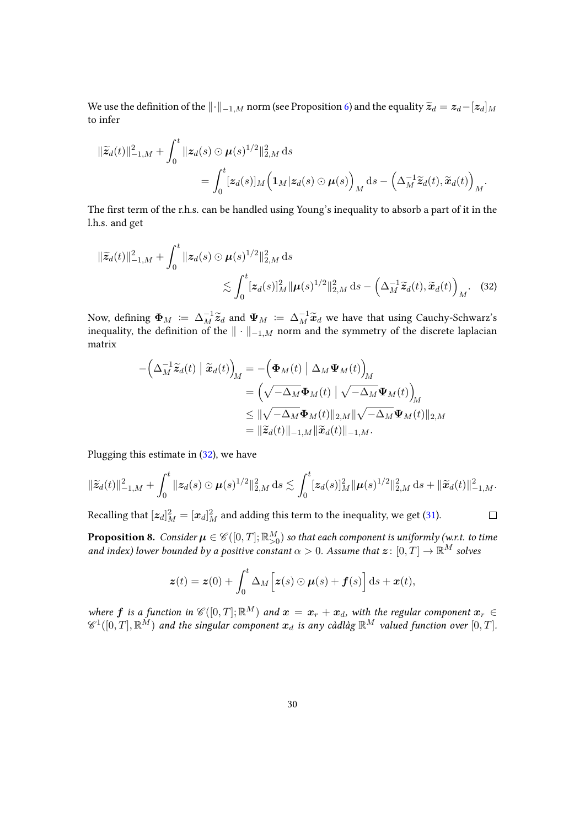We use the definition of the  $\|\cdot\|_{-1,M}$  norm (see Proposition [6\)](#page-23-5) and the equality  $\widetilde{\mathcal{Z}}_d = \mathcal{Z}_d-[{\mathcal Z}_d]_M$ to infer

$$
\begin{aligned} \|\widetilde{z}_d(t)\|_{-1,M}^2 + \int_0^t \|z_d(s) \odot \mu(s)^{1/2}\|_{2,M}^2 \,\mathrm{d}s \\ &= \int_0^t [z_d(s)]_M \Big( \mathbf{1}_M |z_d(s) \odot \mu(s) \Big)_M \,\mathrm{d}s - \Big( \Delta_M^{-1} \widetilde{z}_d(t), \widetilde{x}_d(t) \Big)_M. \end{aligned}
$$

The first term of the r.h.s. can be handled using Young's inequality to absorb a part of it in the l.h.s. and get

$$
\|\tilde{\mathbf{z}}_d(t)\|_{-1,M}^2 + \int_0^t \|\mathbf{z}_d(s) \odot \boldsymbol{\mu}(s)^{1/2}\|_{2,M}^2 ds
$$
  
\$\lesssim \int\_0^t [\mathbf{z}\_d(s)]\_M^2 \|\boldsymbol{\mu}(s)^{1/2}\|\_{2,M}^2 ds - \left(\Delta\_M^{-1} \tilde{\mathbf{z}}\_d(t), \tilde{\mathbf{x}}\_d(t)\right)\_M\$. (32)

Now, defining  $\boldsymbol{\Phi}_M \coloneqq \Delta_M^{-1} \widetilde{\boldsymbol{z}}_d$  and  $\boldsymbol{\Psi}_M \coloneqq \Delta_M^{-1} \widetilde{\boldsymbol{x}}_d$  we have that using Cauchy-Schwarz's inequality, the definition of the  $\|\cdot\|_{-1,M}$  norm and the symmetry of the discrete laplacian matrix

$$
-\left(\Delta_M^{-1}\widetilde{\mathbf{z}}_d(t)\mid \widetilde{\mathbf{x}}_d(t)\right)_M = -\left(\boldsymbol{\Phi}_M(t)\mid \Delta_M \boldsymbol{\Psi}_M(t)\right)_M
$$
  

$$
= \left(\sqrt{-\Delta_M}\boldsymbol{\Phi}_M(t)\mid \sqrt{-\Delta_M}\boldsymbol{\Psi}_M(t)\right)_M
$$
  

$$
\leq \|\sqrt{-\Delta_M}\boldsymbol{\Phi}_M(t)\|_{2,M}\|\sqrt{-\Delta_M}\boldsymbol{\Psi}_M(t)\|_{2,M}
$$
  

$$
= \|\widetilde{\mathbf{z}}_d(t)\|_{-1,M}\|\widetilde{\mathbf{x}}_d(t)\|_{-1,M}.
$$

Plugging this estimate in [\(32\)](#page-29-1), we have

$$
\|\widetilde{\mathbf{z}}_d(t)\|_{-1,M}^2 + \int_0^t \|\mathbf{z}_d(s) \odot \boldsymbol{\mu}(s)^{1/2}\|_{2,M}^2 \, ds \lesssim \int_0^t [\mathbf{z}_d(s)]_M^2 \|\boldsymbol{\mu}(s)^{1/2}\|_{2,M}^2 \, ds + \|\widetilde{\mathbf{x}}_d(t)\|_{-1,M}^2.
$$

<span id="page-29-1"></span> $\Box$ 

Recalling that  $[\bm{z}_d]_M^2 = [\bm{x}_d]_M^2$  and adding this term to the inequality, we get [\(31\)](#page-28-2).

<span id="page-29-0"></span>**Proposition 8.** Consider  $\pmb{\mu}\in \mathscr{C}([0,T];\mathbb{R}_{>0}^M)$  so that each component is uniformly (w.r.t. to time and index) lower bounded by a positive constant  $\alpha > 0$ . Assume that  $\boldsymbol{z} \colon [0,T] \to \mathbb{R}^M$  solves

$$
\boldsymbol{z}(t) = \boldsymbol{z}(0) + \int_0^t \Delta_M \Big[ \boldsymbol{z}(s) \odot \boldsymbol{\mu}(s) + \boldsymbol{f}(s) \Big] \, \mathrm{d}s + \boldsymbol{x}(t),
$$

where  $\bm{f}$  is a function in  $\mathscr{C}([0,T];\mathbb{R}^M)$  and  $\bm{x} = \bm{x}_r + \bm{x}_d$ , with the regular component  $\bm{x}_r \in$  $\mathscr{C}^1([0,T],{\mathbb R}^M)$  and the singular component  $x_d$  is any càdlàg  ${\mathbb R}^M$  valued function over  $[0,T].$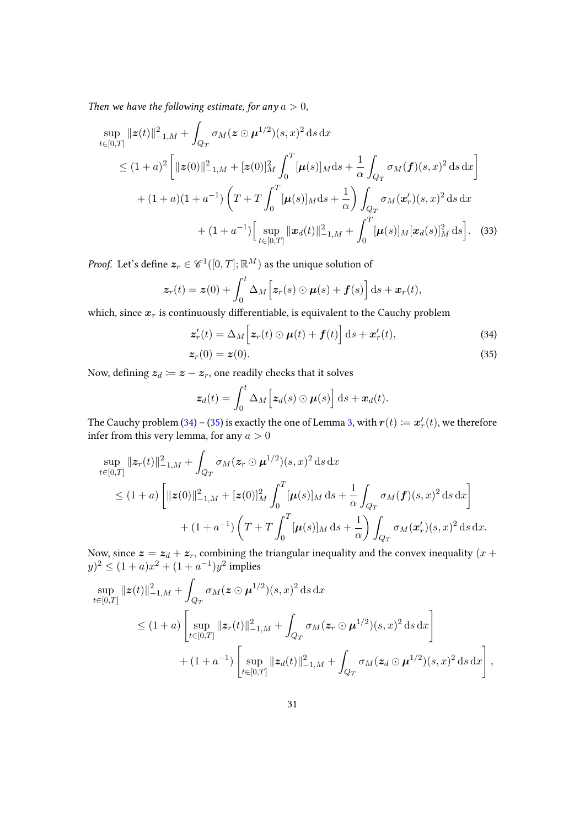Then we have the following estimate, for any  $a > 0$ ,

$$
\sup_{t\in[0,T]} \|z(t)\|_{-1,M}^2 + \int_{Q_T} \sigma_M(z \odot \mu^{1/2})(s,x)^2 ds dx
$$
  
\n
$$
\leq (1+a)^2 \left[ \|z(0)\|_{-1,M}^2 + [z(0)]_M^2 \int_0^T [\mu(s)]_M ds + \frac{1}{\alpha} \int_{Q_T} \sigma_M(f)(s,x)^2 ds dx \right]
$$
  
\n
$$
+ (1+a)(1+a^{-1}) \left( T + T \int_0^T [\mu(s)]_M ds + \frac{1}{\alpha} \right) \int_{Q_T} \sigma_M(x'_r)(s,x)^2 ds dx
$$
  
\n
$$
+ (1+a^{-1}) \left[ \sup_{t\in[0,T]} \|x_d(t)\|_{-1,M}^2 + \int_0^T [\mu(s)]_M [\alpha_d(s)]_M^2 ds \right].
$$
 (33)

*Proof.* Let's define  $\boldsymbol{z}_r \in \mathscr{C}^1([0,T];\mathbb{R}^M)$  as the unique solution of

$$
\boldsymbol{z}_r(t) = \boldsymbol{z}(0) + \int_0^t \Delta_M \Big[ \boldsymbol{z}_r(s) \odot \boldsymbol{\mu}(s) + \boldsymbol{f}(s) \Big] \, \mathrm{d}s + \boldsymbol{x}_r(t),
$$

which, since  $x_r$  is continuously differentiable, is equivalent to the Cauchy problem

<span id="page-30-0"></span>
$$
\mathbf{z}'_r(t) = \Delta_M \Big[ \mathbf{z}_r(t) \odot \boldsymbol{\mu}(t) + \boldsymbol{f}(t) \Big] \, \mathrm{d}s + \mathbf{x}'_r(t), \tag{34}
$$

$$
z_r(0) = z(0). \t\t(35)
$$

Now, defining  $z_d := z - z_r$ , one readily checks that it solves

<span id="page-30-1"></span>
$$
\boldsymbol{z}_d(t) = \int_0^t \Delta_M \Big[ \boldsymbol{z}_d(s) \odot \boldsymbol{\mu}(s) \Big] ds + \boldsymbol{x}_d(t).
$$

The Cauchy problem [\(34\)](#page-30-0) – [\(35\)](#page-30-1) is exactly the one of Lemma [3,](#page-26-1) with  $\bm{r}(t) \coloneqq \bm{x}'_r(t)$ , we therefore infer from this very lemma, for any  $a > 0$ 

$$
\sup_{t\in[0,T]} \|z_r(t)\|_{-1,M}^2 + \int_{Q_T} \sigma_M(z_r \odot \mu^{1/2})(s,x)^2 ds dx
$$
  
\n
$$
\leq (1+a) \left[ \|z(0)\|_{-1,M}^2 + [z(0)]_M^2 \int_0^T [\mu(s)]_M ds + \frac{1}{\alpha} \int_{Q_T} \sigma_M(f)(s,x)^2 ds dx \right] + (1+a^{-1}) \left( T + T \int_0^T [\mu(s)]_M ds + \frac{1}{\alpha} \right) \int_{Q_T} \sigma_M(x'_r)(s,x)^2 ds dx.
$$

Now, since  $\boldsymbol{z} = \boldsymbol{z}_d + \boldsymbol{z}_r$ , combining the triangular inequality and the convex inequality  $(x +$  $(y)^2 \le (1+a)x^2 + (1+a^{-1})y^2$  implies

$$
\sup_{t\in[0,T]} \|z(t)\|_{-1,M}^2 + \int_{Q_T} \sigma_M(z\odot \mu^{1/2})(s,x)^2 ds dx
$$
  
\n
$$
\leq (1+a) \left[ \sup_{t\in[0,T]} \|z_r(t)\|_{-1,M}^2 + \int_{Q_T} \sigma_M(z_r\odot \mu^{1/2})(s,x)^2 ds dx \right] + (1+a^{-1}) \left[ \sup_{t\in[0,T]} \|z_d(t)\|_{-1,M}^2 + \int_{Q_T} \sigma_M(z_d\odot \mu^{1/2})(s,x)^2 ds dx \right],
$$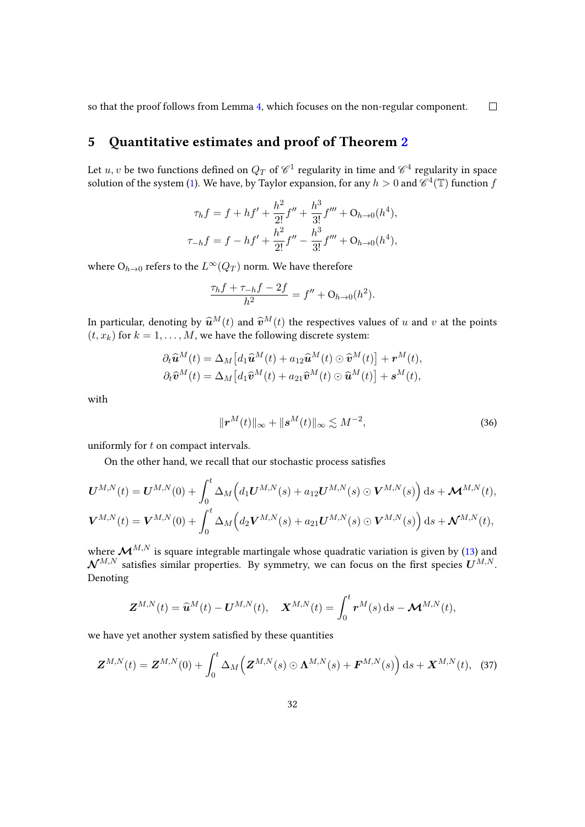so that the proof follows from Lemma [4,](#page-28-0) which focuses on the non-regular component.  $\Box$ 

# <span id="page-31-0"></span>5 Quantitative estimates and proof of Theorem [2](#page-11-0)

Let  $u,v$  be two functions defined on  $Q_T$  of  $\mathscr C^1$  regularity in time and  $\mathscr C^4$  regularity in space solution of the system [\(1\)](#page-1-0). We have, by Taylor expansion, for any  $h > 0$  and  $\mathscr{C}^4(\mathbb{T})$  function  $f$ 

$$
\tau_h f = f + h f' + \frac{h^2}{2!} f'' + \frac{h^3}{3!} f''' + O_{h \to 0}(h^4),
$$
  

$$
\tau_{-h} f = f - h f' + \frac{h^2}{2!} f'' - \frac{h^3}{3!} f''' + O_{h \to 0}(h^4),
$$

where  $O_{h\to 0}$  refers to the  $L^{\infty}(Q_T)$  norm. We have therefore

$$
\frac{\tau_h f + \tau_{-h} f - 2f}{h^2} = f'' + O_{h \to 0}(h^2).
$$

In particular, denoting by  $\hat{\mathbf{u}}^{M}(t)$  and  $\hat{\mathbf{v}}^{M}(t)$  the respectives values of u and v at the points  $(t, x_k)$  for  $k = 1, ..., M$ , we have the following discrete system:

$$
\partial_t \widehat{\mathbf{u}}^M(t) = \Delta_M \left[ d_1 \widehat{\mathbf{u}}^M(t) + a_{12} \widehat{\mathbf{u}}^M(t) \odot \widehat{\mathbf{v}}^M(t) \right] + \mathbf{r}^M(t),
$$
  

$$
\partial_t \widehat{\mathbf{v}}^M(t) = \Delta_M \left[ d_1 \widehat{\mathbf{v}}^M(t) + a_{21} \widehat{\mathbf{v}}^M(t) \odot \widehat{\mathbf{u}}^M(t) \right] + \mathbf{s}^M(t),
$$

with

<span id="page-31-1"></span>
$$
\|\boldsymbol{r}^M(t)\|_{\infty} + \|\boldsymbol{s}^M(t)\|_{\infty} \lesssim M^{-2},\tag{36}
$$

uniformly for t on compact intervals.

On the other hand, we recall that our stochastic process satisfies

$$
\mathbf{U}^{M,N}(t) = \mathbf{U}^{M,N}(0) + \int_0^t \Delta_M \Big( d_1 \mathbf{U}^{M,N}(s) + a_{12} \mathbf{U}^{M,N}(s) \odot \mathbf{V}^{M,N}(s) \Big) ds + \mathbf{M}^{M,N}(t),
$$
  

$$
\mathbf{V}^{M,N}(t) = \mathbf{V}^{M,N}(0) + \int_0^t \Delta_M \Big( d_2 \mathbf{V}^{M,N}(s) + a_{21} \mathbf{U}^{M,N}(s) \odot \mathbf{V}^{M,N}(s) \Big) ds + \mathbf{N}^{M,N}(t),
$$

where  $\mathcal{M}^{M,N}$  is square integrable martingale whose quadratic variation is given by [\(13\)](#page-13-1) and  $\mathcal{N}^{M,N}$  satisfies similar properties. By symmetry, we can focus on the first species  $U^{M,N}$ . Denoting

$$
\mathbf{Z}^{M,N}(t) = \widehat{\mathbf{u}}^M(t) - \mathbf{U}^{M,N}(t), \quad \mathbf{X}^{M,N}(t) = \int_0^t \mathbf{r}^M(s) \,ds - \mathbf{M}^{M,N}(t),
$$

we have yet another system satisfied by these quantities

$$
\boldsymbol{Z}^{M,N}(t) = \boldsymbol{Z}^{M,N}(0) + \int_0^t \Delta_M \Big( \boldsymbol{Z}^{M,N}(s) \odot \boldsymbol{\Lambda}^{M,N}(s) + \boldsymbol{F}^{M,N}(s) \Big) ds + \boldsymbol{X}^{M,N}(t), \quad (37)
$$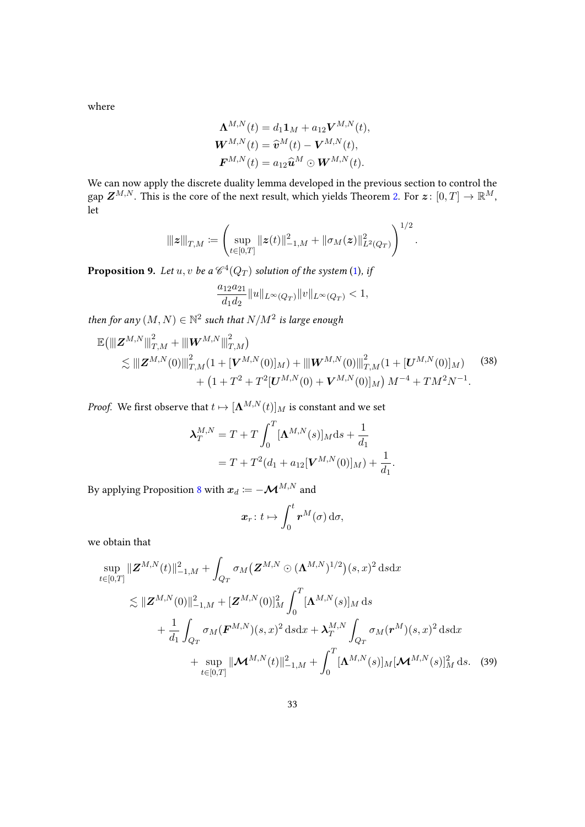where

$$
\Lambda^{M,N}(t) = d_1 \mathbf{1}_M + a_{12} \mathbf{V}^{M,N}(t),
$$
  

$$
\mathbf{W}^{M,N}(t) = \widehat{\mathbf{v}}^M(t) - \mathbf{V}^{M,N}(t),
$$
  

$$
\mathbf{F}^{M,N}(t) = a_{12} \widehat{\mathbf{u}}^M \odot \mathbf{W}^{M,N}(t).
$$

We can now apply the discrete duality lemma developed in the previous section to control the gap  $\boldsymbol{Z}^{M,N}.$  This is the core of the next result, which yields Theorem [2.](#page-11-0) For  $\boldsymbol{z} \colon [0,T] \to \mathbb{R}^M,$ let

$$
\left\| \boldsymbol{z} \right\|_{T,M} \coloneqq \left( \sup_{t \in [0,T]} \|\boldsymbol{z}(t)\|_{-1,M}^2 + \|\sigma_M(\boldsymbol{z})\|_{L^2(Q_T)}^2 \right)^{1/2}.
$$

<span id="page-32-0"></span>**Proposition 9.** Let  $u, v$  be a  $\mathscr{C}^4(Q_T)$  solution of the system [\(1\)](#page-1-0), if

$$
\frac{a_{12}a_{21}}{d_1d_2}||u||_{L^{\infty}(Q_T)}||v||_{L^{\infty}(Q_T)} < 1,
$$

then for any  $(M, N) \in \mathbb{N}^2$  such that  $N/M^2$  is large enough

<span id="page-32-1"></span>
$$
\mathbb{E}\left(\left\|\left[\mathbf{Z}^{M,N}\right]\right\|_{T,M}^2+\left\|\mathbf{W}^{M,N}\right\|_{T,M}^2\right) \n\lesssim \left\|\left[\mathbf{Z}^{M,N}(0)\right\|_{T,M}^2(1+[{\bf V}^{M,N}(0)]_M)+\left\|\left[\mathbf{W}^{M,N}(0)\right]\right\|_{T,M}^2(1+[{\bf U}^{M,N}(0)]_M) \n+ (1+T^2+T^2[{\bf U}^{M,N}(0)+{\bf V}^{M,N}(0)]_M\right)M^{-4}+TM^2N^{-1}.
$$
\n(38)

*Proof.* We first observe that  $t \mapsto [\mathbf{\Lambda}^{M,N}(t)]_M$  is constant and we set

$$
\lambda_T^{M,N} = T + T \int_0^T [\mathbf{\Lambda}^{M,N}(s)]_M \mathrm{d}s + \frac{1}{d_1}
$$
  
=  $T + T^2 (d_1 + a_{12} [\mathbf{V}^{M,N}(0)]_M) + \frac{1}{d_1}.$ 

By applying Proposition [8](#page-29-0) with  $\boldsymbol{x}_d \coloneqq -\boldsymbol{\mathcal{M}}^{M,N}$  and

$$
\boldsymbol{x}_r\colon t\mapsto \int_0^t \boldsymbol{r}^M(\sigma)\,\mathrm{d}\sigma,
$$

we obtain that

$$
\sup_{t\in[0,T]} \|\mathbf{Z}^{M,N}(t)\|_{-1,M}^{2} + \int_{Q_{T}} \sigma_{M}(\mathbf{Z}^{M,N} \odot (\mathbf{\Lambda}^{M,N})^{1/2})(s,x)^{2} ds dx
$$
\n
$$
\lesssim \|\mathbf{Z}^{M,N}(0)\|_{-1,M}^{2} + [\mathbf{Z}^{M,N}(0)]_{M}^{2} \int_{0}^{T} [\mathbf{\Lambda}^{M,N}(s)]_{M} ds
$$
\n
$$
+ \frac{1}{d_{1}} \int_{Q_{T}} \sigma_{M}(\mathbf{F}^{M,N})(s,x)^{2} ds dx + \lambda_{T}^{M,N} \int_{Q_{T}} \sigma_{M}(\mathbf{r}^{M})(s,x)^{2} ds dx
$$
\n
$$
+ \sup_{t\in[0,T]} \|\mathbf{M}^{M,N}(t)\|_{-1,M}^{2} + \int_{0}^{T} [\mathbf{\Lambda}^{M,N}(s)]_{M} [\mathbf{M}^{M,N}(s)]_{M}^{2} ds. \quad (39)
$$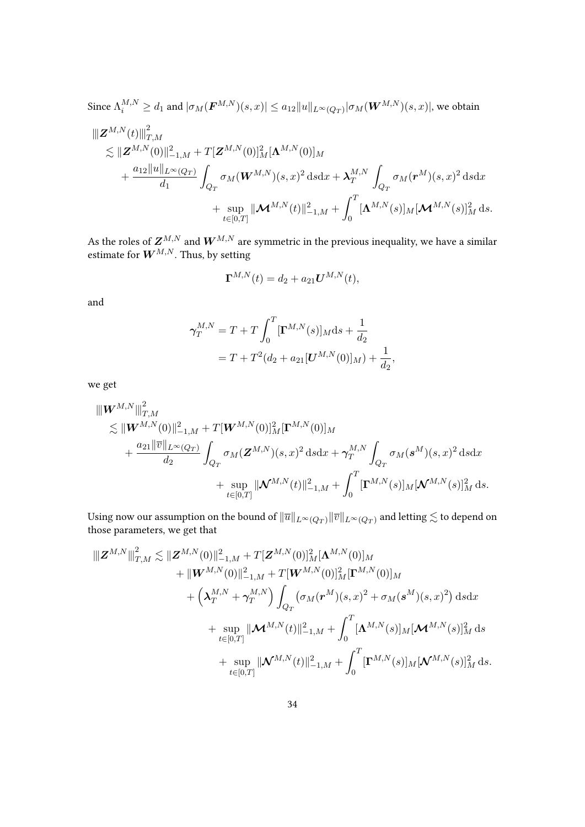Since  $\Lambda_i^{M,N}\geq d_1$  and  $|\sigma_M(\bm{F}^{M,N})(s,x)|\leq a_{12}\|u\|_{L^\infty(Q_T)}|\sigma_M(\bm{W}^{M,N})(s,x)|,$  we obtain

$$
\label{eq:ZM} \begin{split} \|\mathbf{Z}^{M,N}(t)\|_{T,M}^2 & \lesssim \|\mathbf{Z}^{M,N}(0)\|_{-1,M}^2 + T[\mathbf{Z}^{M,N}(0)]_M^2 [\mathbf{\Lambda}^{M,N}(0)]_M \\ & + \frac{a_{12}\|u\|_{L^\infty(Q_T)}}{d_1} \int_{Q_T} \sigma_M(\mathbf{W}^{M,N})(s,x)^2 \, \mathrm{d} s \mathrm{d} x + \boldsymbol{\lambda}_T^{M,N} \int_{Q_T} \sigma_M(\mathbf{r}^M)(s,x)^2 \, \mathrm{d} s \mathrm{d} x \\ & + \sup_{t\in[0,T]} \|\mathbf{\mathcal{M}}^{M,N}(t)\|_{-1,M}^2 + \int_0^T [\mathbf{\Lambda}^{M,N}(s)]_M [\mathbf{\mathcal{M}}^{M,N}(s)]_M^2 \, \mathrm{d} s. \end{split}
$$

As the roles of  $\boldsymbol{Z}^{M,N}$  and  $\boldsymbol{W}^{M,N}$  are symmetric in the previous inequality, we have a similar estimate for  $\boldsymbol{W}^{M,N}.$  Thus, by setting

$$
\mathbf{\Gamma}^{M,N}(t) = d_2 + a_{21} \mathbf{U}^{M,N}(t),
$$

and

$$
\gamma_T^{M,N} = T + T \int_0^T [\mathbf{\Gamma}^{M,N}(s)]_M \mathrm{d}s + \frac{1}{d_2}
$$
  
=  $T + T^2 (d_2 + a_{21} [\mathbf{U}^{M,N}(0)]_M) + \frac{1}{d_2}$ ,

we get

$$
\label{eq:4.10} \begin{split} \|\pmb{W}^{M,N}\|_{T,M}^2\\ \lesssim &~\|\pmb{W}^{M,N}(0)\|_{-1,M}^2+T[\pmb{W}^{M,N}(0)]_M^2[\pmb{\Gamma}^{M,N}(0)]_M\\ &~+\frac{a_{21}\|\overline{v}\|_{L^\infty(Q_T)}}{d_2}\int_{Q_T}\sigma_M(\pmb{Z}^{M,N})(s,x)^2~\mbox{d} s\mbox{d} x+\gamma_T^{M,N}\int_{Q_T}\sigma_M(\pmb{s}^M)(s,x)^2~\mbox{d} s\mbox{d} x\\ &~+\sup_{t\in[0,T]}\|\pmb{\mathcal{N}}^{M,N}(t)\|_{-1,M}^2+\int_0^T[\pmb{\Gamma}^{M,N}(s)]_M[\pmb{\mathcal{N}}^{M,N}(s)]_M^2~\mbox{d} s. \end{split}
$$

Using now our assumption on the bound of  $\|\overline{u}\|_{L^\infty(Q_T)}\|\overline{v}\|_{L^\infty(Q_T)}$  and letting  $\lesssim$  to depend on those parameters, we get that

$$
\|Z^{M,N}\|_{T,M}^2 \lesssim \|Z^{M,N}(0)\|_{-1,M}^2 + T[Z^{M,N}(0)]_M^2 [\mathbf{\Lambda}^{M,N}(0)]_M \\qquad \qquad + \| \mathbf{W}^{M,N}(0)\|_{-1,M}^2 + T[\mathbf{W}^{M,N}(0)]_M^2 [\mathbf{\Gamma}^{M,N}(0)]_M \\qquad \qquad + \left(\lambda_T^{M,N} + \gamma_T^{M,N}\right) \int_{Q_T} (\sigma_M(\mathbf{r}^M)(s,x)^2 + \sigma_M(\mathbf{s}^M)(s,x)^2) \, \mathrm{d} s \mathrm{d} x \\qquad \qquad + \sup_{t \in [0,T]} \| \mathbf{M}^{M,N}(t)\|_{-1,M}^2 + \int_0^T [\mathbf{\Lambda}^{M,N}(s)]_M [\mathbf{M}^{M,N}(s)]_M^2 \, \mathrm{d} s \\qquad \qquad + \sup_{t \in [0,T]} \| \mathbf{W}^{M,N}(t)\|_{-1,M}^2 + \int_0^T [\mathbf{\Gamma}^{M,N}(s)]_M [\mathbf{M}^{M,N}(s)]_M^2 \, \mathrm{d} s.
$$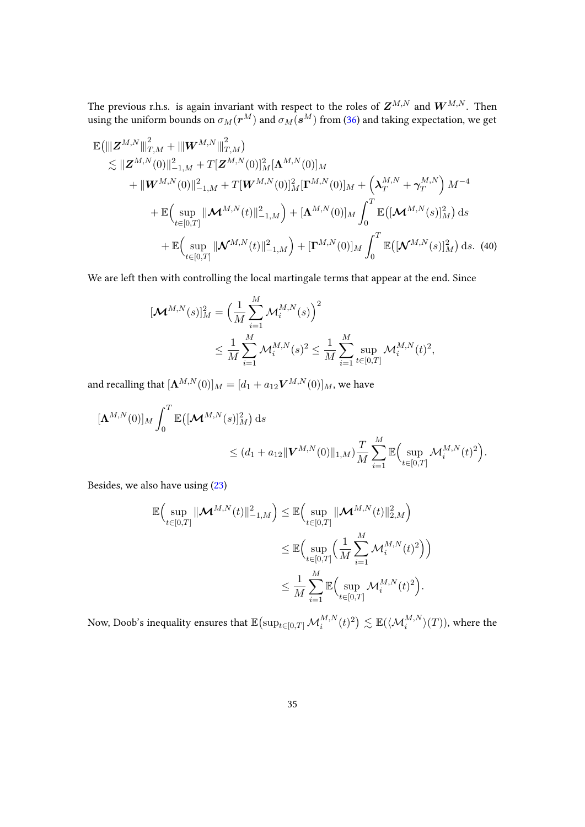The previous r.h.s. is again invariant with respect to the roles of  $\boldsymbol{Z}^{M,N}$  and  $\boldsymbol{W}^{M,N}.$  Then using the uniform bounds on  $\sigma_M(\bm{r}^M)$  and  $\sigma_M(\bm{s}^M)$  from [\(36\)](#page-31-1) and taking expectation, we get

$$
\mathbb{E}(\|Z^{M,N}\|_{T,M}^2 + \|W^{M,N}\|_{T,M}^2)
$$
\n
$$
\lesssim \|Z^{M,N}(0)\|_{-1,M}^2 + T[Z^{M,N}(0)]_M^2 [\mathbf{\Lambda}^{M,N}(0)]_M
$$
\n
$$
+ \|W^{M,N}(0)\|_{-1,M}^2 + T[W^{M,N}(0)]_M^2 [\mathbf{\Gamma}^{M,N}(0)]_M + \left(\lambda_T^{M,N} + \gamma_T^{M,N}\right)M^{-4}
$$
\n
$$
+ \mathbb{E}\Big(\sup_{t\in[0,T]} \|\mathcal{M}^{M,N}(t)\|_{-1,M}^2\Big) + [\mathbf{\Lambda}^{M,N}(0)]_M \int_0^T \mathbb{E}\big([\mathcal{M}^{M,N}(s)]_M^2\big) ds
$$
\n
$$
+ \mathbb{E}\Big(\sup_{t\in[0,T]} \|\mathcal{N}^{M,N}(t)\|_{-1,M}^2\Big) + [\mathbf{\Gamma}^{M,N}(0)]_M \int_0^T \mathbb{E}\big([\mathcal{N}^{M,N}(s)]_M^2\big) ds. (40)
$$

We are left then with controlling the local martingale terms that appear at the end. Since

<span id="page-34-0"></span>
$$
\begin{split} [\mathcal{M}^{M,N}(s)]_{M}^{2} &= \Big(\frac{1}{M}\sum_{i=1}^{M}\mathcal{M}_{i}^{M,N}(s)\Big)^{2} \\ &\leq \frac{1}{M}\sum_{i=1}^{M}\mathcal{M}_{i}^{M,N}(s)^{2} \leq \frac{1}{M}\sum_{i=1}^{M}\sup_{t\in[0,T]}\mathcal{M}_{i}^{M,N}(t)^{2}, \end{split}
$$

and recalling that  $[\mathbf{\Lambda}^{M,N}(0)]_M = [d_1 + a_{12} \mathbf{V}^{M,N}(0)]_M$ , we have

$$
\begin{split} [\mathbf{\Lambda}^{M,N}(0)]_M & \int_0^T \mathbb{E}\big([\mathcal{M}^{M,N}(s)]_M^2\big) \, \mathrm{d} s \\ &\le (d_1 + a_{12} \|\mathbf{V}^{M,N}(0)\|_{1,M}) \frac{T}{M} \sum_{i=1}^M \mathbb{E}\Big(\sup_{t \in [0,T]} \mathcal{M}_i^{M,N}(t)^2\Big). \end{split}
$$

Besides, we also have using [\(23\)](#page-23-4)

$$
\mathbb{E}\Big(\sup_{t\in[0,T]}\|\mathcal{M}^{M,N}(t)\|_{-1,M}^2\Big) \leq \mathbb{E}\Big(\sup_{t\in[0,T]}\|\mathcal{M}^{M,N}(t)\|_{2,M}^2\Big) \n\leq \mathbb{E}\Big(\sup_{t\in[0,T]}\Big(\frac{1}{M}\sum_{i=1}^M \mathcal{M}_i^{M,N}(t)^2\Big)\Big) \n\leq \frac{1}{M}\sum_{i=1}^M \mathbb{E}\Big(\sup_{t\in[0,T]}\mathcal{M}_i^{M,N}(t)^2\Big).
$$

Now, Doob's inequality ensures that  $\mathbb{E}\bigl(\sup_{t\in[0,T]}\mathcal{M}_{i}^{M,N}(t)^2\bigr)\lesssim \mathbb{E}(\langle\mathcal{M}_{i}^{M,N}\rangle(T)),$  where the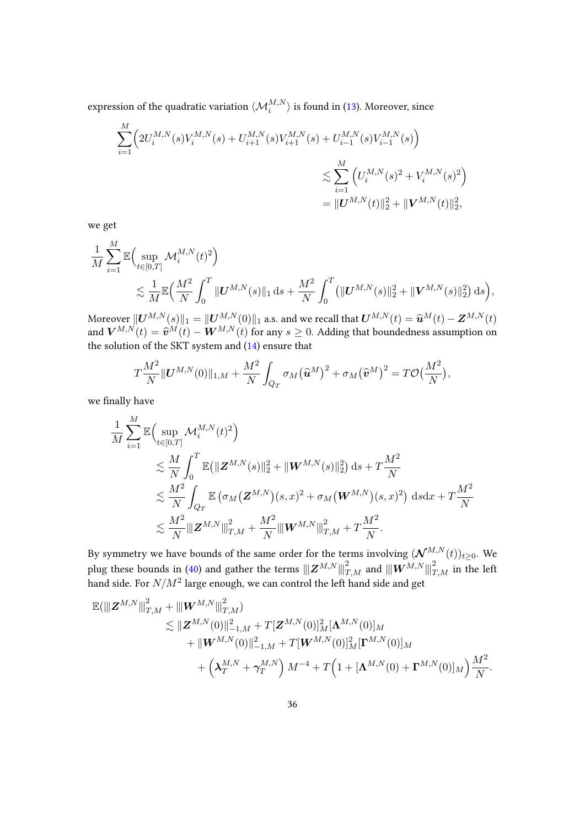expression of the quadratic variation  $\langle {\cal M}_i^{M,N} \rangle$  is found in [\(13\)](#page-13-1). Moreover, since

$$
\sum_{i=1}^{M} \Big( 2U_i^{M,N}(s)V_i^{M,N}(s) + U_{i+1}^{M,N}(s)V_{i+1}^{M,N}(s) + U_{i-1}^{M,N}(s)V_{i-1}^{M,N}(s) \Big) \n\lesssim \sum_{i=1}^{M} \Big( U_i^{M,N}(s)^2 + V_i^{M,N}(s)^2 \Big) \n= ||\boldsymbol{U}^{M,N}(t)||_2^2 + ||\boldsymbol{V}^{M,N}(t)||_2^2,
$$

we get

$$
\begin{split} & \frac{1}{M} \sum_{i=1}^M \mathbb{E} \Big( \sup_{t \in [0,T]} \mathcal{M}_{i}^{M,N}(t)^2 \Big) \\ & \lesssim \frac{1}{M} \mathbb{E} \Big( \frac{M^2}{N} \int_0^T \| \boldsymbol{U}^{M,N}(s) \|_1 \, \mathrm{d} s + \frac{M^2}{N} \int_0^T \big( \| \boldsymbol{U}^{M,N}(s) \|_2^2 + \| \boldsymbol{V}^{M,N}(s) \|_2^2 \big) \, \mathrm{d} s \Big), \end{split}
$$

Moreover  $||U^{M,N}(s)||_1 = ||U^{M,N}(0)||_1$  a.s. and we recall that  $U^{M,N}(t) = \hat{u}^{M}(t) - Z^{M,N}(t)$ and  $\mathbf{V}^{M,N}(t) = \widehat{\mathbf{v}}^{M}(t) - \mathbf{W}^{M,N}(t)$  for any  $s \geq 0$ . Adding that boundedness assumption on the colution of the SVT system and (14) around that the solution of the SKT system and [\(14\)](#page-13-0) ensure that

$$
T\frac{M^2}{N}\|\boldsymbol{U}^{M,N}(0)\|_{1,M}+\frac{M^2}{N}\int_{Q_T}\sigma_M(\widehat{\boldsymbol{u}}^M)^2+\sigma_M(\widehat{\boldsymbol{v}}^M)^2= T\mathcal{O}\big(\frac{M^2}{N}\big),
$$

we finally have

$$
\frac{1}{M} \sum_{i=1}^{M} \mathbb{E} \Big( \sup_{t \in [0,T]} \mathcal{M}_{i}^{M,N}(t)^{2} \Big) \n\lesssim \frac{M}{N} \int_{0}^{T} \mathbb{E} \big( \| \mathbf{Z}^{M,N}(s) \|_{2}^{2} + \| \mathbf{W}^{M,N}(s) \|_{2}^{2} \big) \, ds + T \frac{M^{2}}{N} \n\lesssim \frac{M^{2}}{N} \int_{Q_{T}} \mathbb{E} \big( \sigma_{M} \big( \mathbf{Z}^{M,N} \big) (s,x)^{2} + \sigma_{M} \big( \mathbf{W}^{M,N} \big) (s,x)^{2} \big) \, ds dx + T \frac{M^{2}}{N} \n\lesssim \frac{M^{2}}{N} \| \mathbf{Z}^{M,N} \|_{T,M}^{2} + \frac{M^{2}}{N} \| \mathbf{W}^{M,N} \|_{T,M}^{2} + T \frac{M^{2}}{N}.
$$

By symmetry we have bounds of the same order for the terms involving  $(\mathcal{N}^{M,N}(t))_{t\geq 0}.$  We plug these bounds in [\(40\)](#page-34-0) and gather the terms  $\| \bm{Z}^{M,N} \|_{T,M}^2$  and  $\| \bm{W}^{M,N} \|_{T,M}^2$  in the left hand side. For  $N/M^2$  large enough, we can control the left hand side and get

$$
\mathbb{E}(\|Z^{M,N}\|_{T,M}^2 + \|W^{M,N}\|_{T,M}^2) \n\lesssim \|Z^{M,N}(0)\|_{-1,M}^2 + T[Z^{M,N}(0)]_M^2 [\mathbf{\Lambda}^{M,N}(0)]_M \\ \n+ \|W^{M,N}(0)\|_{-1,M}^2 + T[W^{M,N}(0)]_M^2 [\mathbf{\Gamma}^{M,N}(0)]_M \\ \n+ \left(\lambda_T^{M,N} + \gamma_T^{M,N}\right) M^{-4} + T\left(1 + [\mathbf{\Lambda}^{M,N}(0) + \mathbf{\Gamma}^{M,N}(0)]_M\right)\frac{M^2}{N}.
$$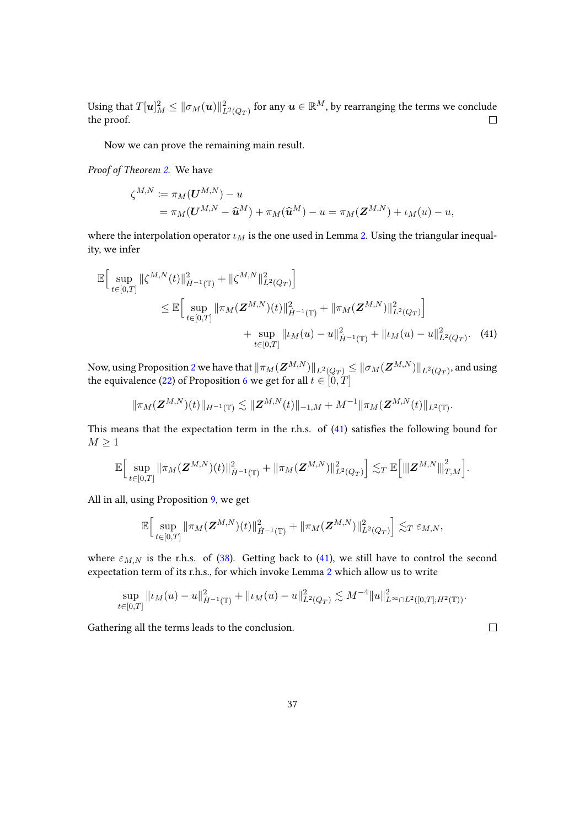Using that  $T[\bm{u}]_M^2 \leq \|\sigma_M(\bm{u})\|_{L^2(Q_T)}^2$  for any  $\bm{u} \in \mathbb{R}^M$ , by rearranging the terms we conclude the proof.  $\Box$ 

Now we can prove the remaining main result.

Proof of Theorem [2.](#page-11-0) We have

$$
\zeta^{M,N} := \pi_M(\mathbf{U}^{M,N}) - u
$$
  
=  $\pi_M(\mathbf{U}^{M,N} - \widehat{\mathbf{u}}^M) + \pi_M(\widehat{\mathbf{u}}^M) - u = \pi_M(\mathbf{Z}^{M,N}) + \iota_M(u) - u,$ 

where the interpolation operator  $\iota_M$  is the one used in Lemma [2.](#page-21-0) Using the triangular inequality, we infer

$$
\mathbb{E}\Big[\sup_{t\in[0,T]}\|\zeta^{M,N}(t)\|_{\dot{H}^{-1}(\mathbb{T})}^2 + \|\zeta^{M,N}\|_{L^2(Q_T)}^2\Big] \n\leq \mathbb{E}\Big[\sup_{t\in[0,T]}\|\pi_M(\mathbf{Z}^{M,N})(t)\|_{\dot{H}^{-1}(\mathbb{T})}^2 + \|\pi_M(\mathbf{Z}^{M,N})\|_{L^2(Q_T)}^2\Big] \n+ \sup_{t\in[0,T]}\|\iota_M(u) - u\|_{\dot{H}^{-1}(\mathbb{T})}^2 + \|\iota_M(u) - u\|_{L^2(Q_T)}^2.
$$
\n(41)

Now, using Proposition [2](#page-20-1) we have that  $\|\pi_M(\bm{Z}^{M,N})\|_{L^2(Q_T)}\leq \|\sigma_M(\bm{Z}^{M,N})\|_{L^2(Q_T)},$  and using the equivalence [\(22\)](#page-23-2) of Proposition [6](#page-23-5) we get for all  $t \in [0, T]$ 

$$
\|\pi_M(\boldsymbol{Z}^{M,N})(t)\|_{H^{-1}(\mathbb{T})}\lesssim \|\boldsymbol{Z}^{M,N}(t)\|_{-1,M}+M^{-1}\|\pi_M(\boldsymbol{Z}^{M,N}(t)\|_{L^2(\mathbb{T})}.
$$

This means that the expectation term in the r.h.s. of  $(41)$  satisfies the following bound for  $M \geq 1$ 

$$
\mathbb{E}\Big[\sup_{t\in[0,T]}\|\pi_M(\bm{Z}^{M,N})(t)\|_{\dot{H}^{-1}(\mathbb{T})}^2+\|\pi_M(\bm{Z}^{M,N})\|_{L^2(Q_T)}^2\Big]\lesssim_T\mathbb{E}\Big[\|\bm{Z}^{M,N}\|_{T,M}^2\Big].
$$

All in all, using Proposition [9,](#page-32-0) we get

$$
\mathbb{E}\Big[\sup_{t\in[0,T]}\|\pi_M(\bm{Z}^{M,N})(t)\|_{\dot{H}^{-1}(\mathbb{T})}^2+\|\pi_M(\bm{Z}^{M,N})\|_{L^2(Q_T)}^2\Big]\lesssim_T \varepsilon_{M,N},
$$

where  $\varepsilon_{M,N}$  is the r.h.s. of [\(38\)](#page-32-1). Getting back to [\(41\)](#page-36-0), we still have to control the second expectation term of its r.h.s., for which invoke Lemma [2](#page-21-0) which allow us to write

$$
\sup_{t\in[0,T]}\|\iota_M(u)-u\|_{\dot{H}^{-1}(\mathbb{T})}^2+\|\iota_M(u)-u\|_{L^2(Q_T)}^2\lesssim M^{-4}\|u\|_{L^\infty\cap L^2([0,T];H^2(\mathbb{T}))}^2.
$$

Gathering all the terms leads to the conclusion.

<span id="page-36-0"></span> $\Box$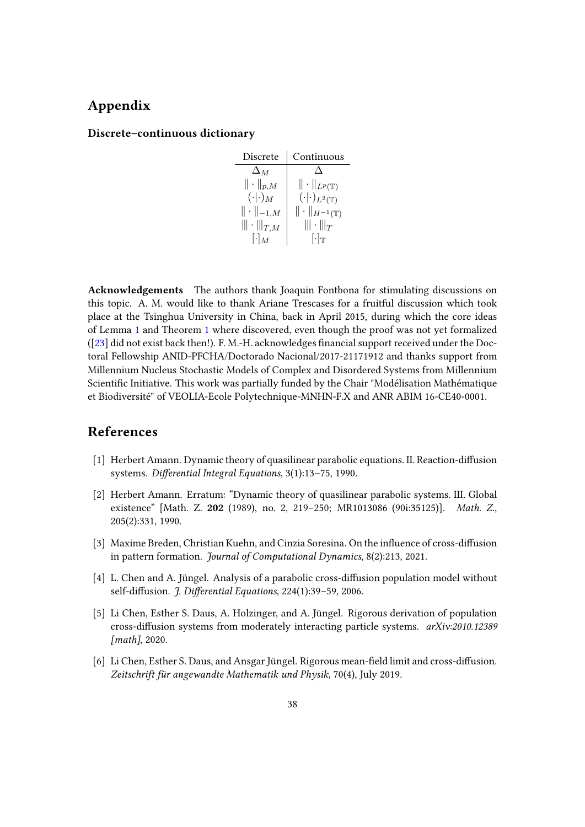# Appendix

### Discrete–continuous dictionary

| Discrete                  | Continuous                         |
|---------------------------|------------------------------------|
| $\Delta_M$                |                                    |
| $\ \cdot\ _{p,M}$         | $\ \cdot\ _{L^p(\mathbb{T})}$      |
| $(\cdot \cdot)_{M}$       | $(\cdot \cdot)_{L^2(\mathbb{T})}$  |
| $\ \cdot\ _{-1,M}$        | $\ \cdot\ _{H^{-1}(\mathbb{T})}$   |
| $\ \! \cdot \! \! _{T,M}$ | $\ \! \cdot \! \! _T$              |
| $\lceil \cdot \rceil_M$   | $\lceil \cdot \rceil_{\mathbb{T}}$ |

Acknowledgements The authors thank Joaquin Fontbona for stimulating discussions on this topic. A. M. would like to thank Ariane Trescases for a fruitful discussion which took place at the Tsinghua University in China, back in April 2015, during which the core ideas of Lemma [1](#page-17-4) and Theorem [1](#page-9-2) where discovered, even though the proof was not yet formalized ([\[23\]](#page-39-4) did not exist back then!). F. M.-H. acknowledges nancial support received under the Doctoral Fellowship ANID-PFCHA/Doctorado Nacional/2017-21171912 and thanks support from Millennium Nucleus Stochastic Models of Complex and Disordered Systems from Millennium Scientific Initiative. This work was partially funded by the Chair "Modélisation Mathématique et Biodiversité" of VEOLIA-Ecole Polytechnique-MNHN-F.X and ANR ABIM 16-CE40-0001.

# References

- <span id="page-37-1"></span>[1] Herbert Amann. Dynamic theory of quasilinear parabolic equations. II. Reaction-diffusion systems. Differential Integral Equations, 3(1):13-75, 1990.
- <span id="page-37-2"></span>[2] Herbert Amann. Erratum: "Dynamic theory of quasilinear parabolic systems. III. Global existence" [Math. Z. 202 (1989), no. 2, 219–250; MR1013086 (90i:35125)]. Math. Z., 205(2):331, 1990.
- <span id="page-37-0"></span>[3] Maxime Breden, Christian Kuehn, and Cinzia Soresina. On the influence of cross-diffusion in pattern formation. Journal of Computational Dynamics, 8(2):213, 2021.
- <span id="page-37-3"></span>[4] L. Chen and A. Jüngel. Analysis of a parabolic cross-diffusion population model without self-diffusion. J. Differential Equations, 224(1):39-59, 2006.
- <span id="page-37-4"></span>[5] Li Chen, Esther S. Daus, A. Holzinger, and A. Jüngel. Rigorous derivation of population cross-diffusion systems from moderately interacting particle systems. arXiv:2010.12389 [math], 2020.
- <span id="page-37-5"></span>[6] Li Chen, Esther S. Daus, and Ansgar Jüngel. Rigorous mean-field limit and cross-diffusion. Zeitschrift für angewandte Mathematik und Physik, 70(4), July 2019.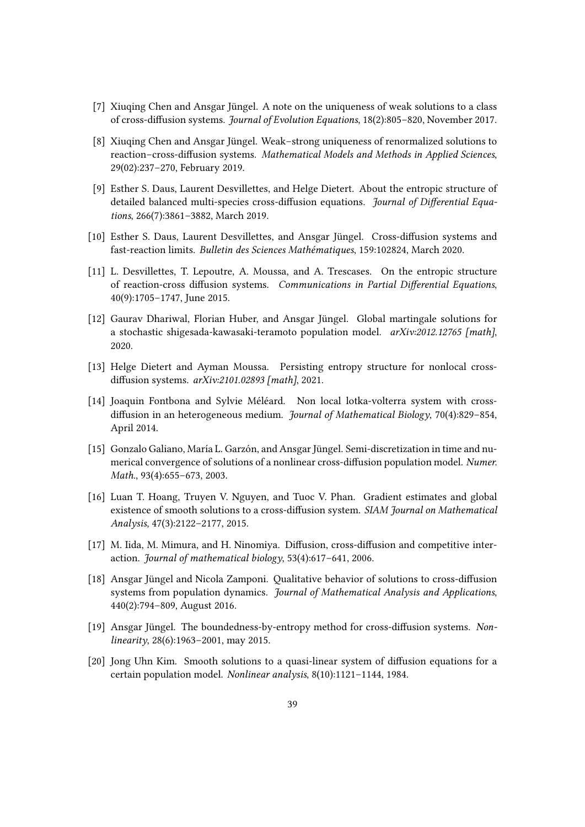- <span id="page-38-5"></span>[7] Xiuqing Chen and Ansgar Jüngel. A note on the uniqueness of weak solutions to a class of cross-diffusion systems. Journal of Evolution Equations, 18(2):805–820, November 2017.
- <span id="page-38-6"></span>[8] Xiuqing Chen and Ansgar Jüngel. Weak–strong uniqueness of renormalized solutions to reaction–cross-diffusion systems. Mathematical Models and Methods in Applied Sciences, 29(02):237–270, February 2019.
- <span id="page-38-11"></span>[9] Esther S. Daus, Laurent Desvillettes, and Helge Dietert. About the entropic structure of detailed balanced multi-species cross-diffusion equations. Journal of Differential Equations, 266(7):3861–3882, March 2019.
- <span id="page-38-8"></span>[10] Esther S. Daus, Laurent Desvillettes, and Ansgar Jüngel. Cross-diffusion systems and fast-reaction limits. Bulletin des Sciences Mathématiques, 159:102824, March 2020.
- <span id="page-38-4"></span>[11] L. Desvillettes, T. Lepoutre, A. Moussa, and A. Trescases. On the entropic structure of reaction-cross diffusion systems. Communications in Partial Differential Equations, 40(9):1705–1747, June 2015.
- <span id="page-38-12"></span>[12] Gaurav Dhariwal, Florian Huber, and Ansgar Jüngel. Global martingale solutions for a stochastic shigesada-kawasaki-teramoto population model. arXiv:2012.12765 [math], 2020.
- <span id="page-38-10"></span>[13] Helge Dietert and Ayman Moussa. Persisting entropy structure for nonlocal crossdiffusion systems. arXiv:2101.02893 [math], 2021.
- <span id="page-38-9"></span>[14] Joaquin Fontbona and Sylvie Méléard. Non local lotka-volterra system with crossdiffusion in an heterogeneous medium. Journal of Mathematical Biology, 70(4):829-854, April 2014.
- <span id="page-38-2"></span>[15] Gonzalo Galiano, María L. Garzón, and Ansgar Jüngel. Semi-discretization in time and numerical convergence of solutions of a nonlinear cross-diffusion population model. Numer. Math., 93(4):655-673, 2003.
- <span id="page-38-1"></span>[16] Luan T. Hoang, Truyen V. Nguyen, and Tuoc V. Phan. Gradient estimates and global existence of smooth solutions to a cross-diffusion system. SIAM Journal on Mathematical Analysis, 47(3):2122–2177, 2015.
- <span id="page-38-7"></span>[17] M. Iida, M. Mimura, and H. Ninomiya. Diffusion, cross-diffusion and competitive interaction. Journal of mathematical biology, 53(4):617-641, 2006.
- <span id="page-38-13"></span>[18] Ansgar Jüngel and Nicola Zamponi. Qualitative behavior of solutions to cross-diffusion systems from population dynamics. Journal of Mathematical Analysis and Applications, 440(2):794–809, August 2016.
- <span id="page-38-3"></span>[19] Ansgar Jüngel. The boundedness-by-entropy method for cross-diffusion systems. Nonlinearity, 28(6):1963–2001, may 2015.
- <span id="page-38-0"></span>[20] Jong Uhn Kim. Smooth solutions to a quasi-linear system of diffusion equations for a certain population model. Nonlinear analysis, 8(10):1121–1144, 1984.